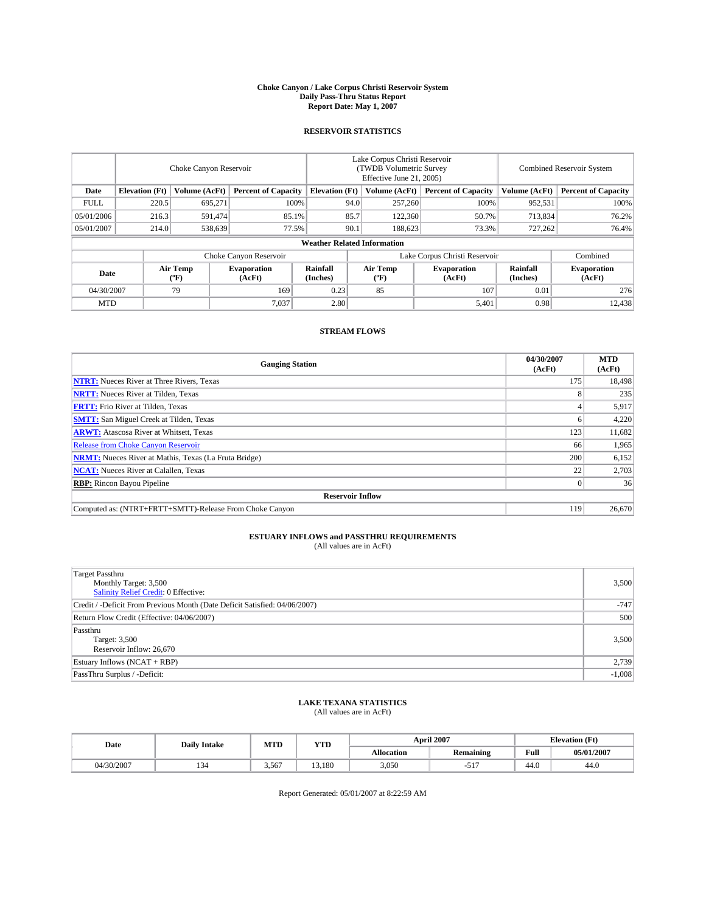#### **Choke Canyon / Lake Corpus Christi Reservoir System Daily Pass-Thru Status Report Report Date: May 1, 2007**

### **RESERVOIR STATISTICS**

|             | Choke Canyon Reservoir             |                  |                              |                       | Lake Corpus Christi Reservoir<br>(TWDB Volumetric Survey<br>Effective June 21, 2005) |                  |                               | Combined Reservoir System |                              |  |
|-------------|------------------------------------|------------------|------------------------------|-----------------------|--------------------------------------------------------------------------------------|------------------|-------------------------------|---------------------------|------------------------------|--|
| Date        | <b>Elevation</b> (Ft)              | Volume (AcFt)    | <b>Percent of Capacity</b>   | <b>Elevation</b> (Ft) |                                                                                      | Volume (AcFt)    | <b>Percent of Capacity</b>    | Volume (AcFt)             | <b>Percent of Capacity</b>   |  |
| <b>FULL</b> | 220.5                              | 695,271          |                              | 100%                  | 94.0                                                                                 | 257,260          | 100%                          | 952,531                   | 100%                         |  |
| 05/01/2006  | 216.3                              | 591,474          | 85.1%                        |                       | 85.7                                                                                 | 122,360          | 50.7%                         | 713,834                   | 76.2%                        |  |
| 05/01/2007  | 214.0                              | 538,639          | 77.5%                        |                       | 90.1                                                                                 | 188,623          | 73.3%                         | 727,262                   | 76.4%                        |  |
|             | <b>Weather Related Information</b> |                  |                              |                       |                                                                                      |                  |                               |                           |                              |  |
|             |                                    |                  | Choke Canyon Reservoir       |                       |                                                                                      |                  | Lake Corpus Christi Reservoir |                           | Combined                     |  |
| Date        |                                    | Air Temp<br>(°F) | <b>Evaporation</b><br>(AcFt) | Rainfall<br>(Inches)  |                                                                                      | Air Temp<br>("F) | <b>Evaporation</b><br>(AcFt)  | Rainfall<br>(Inches)      | <b>Evaporation</b><br>(AcFt) |  |
| 04/30/2007  |                                    | 79               | 169                          | 0.23                  |                                                                                      | 85               | 107                           | 0.01                      | 276                          |  |
| <b>MTD</b>  |                                    |                  | 7.037                        | 2.80                  |                                                                                      |                  | 5,401                         | 0.98                      | 12,438                       |  |

## **STREAM FLOWS**

| <b>Gauging Station</b>                                       | 04/30/2007<br>(AcFt) | <b>MTD</b><br>(AcFt) |
|--------------------------------------------------------------|----------------------|----------------------|
| <b>NTRT:</b> Nueces River at Three Rivers, Texas             | 175                  | 18,498               |
| <b>NRTT:</b> Nueces River at Tilden, Texas                   | 8                    | 235                  |
| <b>FRTT:</b> Frio River at Tilden, Texas                     |                      | 5,917                |
| <b>SMTT:</b> San Miguel Creek at Tilden, Texas               |                      | 4,220                |
| <b>ARWT:</b> Atascosa River at Whitsett, Texas               | 123                  | 11,682               |
| <b>Release from Choke Canyon Reservoir</b>                   | 66                   | 1,965                |
| <b>NRMT:</b> Nueces River at Mathis, Texas (La Fruta Bridge) | 200                  | 6,152                |
| <b>NCAT:</b> Nueces River at Calallen, Texas                 | 22                   | 2,703                |
| <b>RBP:</b> Rincon Bayou Pipeline                            |                      | 36                   |
| <b>Reservoir Inflow</b>                                      |                      |                      |
| Computed as: (NTRT+FRTT+SMTT)-Release From Choke Canyon      | 119                  | 26,670               |

# **ESTUARY INFLOWS and PASSTHRU REQUIREMENTS**<br>(All values are in AcFt)

| <b>Target Passthru</b><br>Monthly Target: 3,500<br>Salinity Relief Credit: 0 Effective: | 3,500    |
|-----------------------------------------------------------------------------------------|----------|
| Credit / -Deficit From Previous Month (Date Deficit Satisfied: 04/06/2007)              | $-747$   |
| Return Flow Credit (Effective: 04/06/2007)                                              | 500      |
| Passthru<br>Target: 3,500<br>Reservoir Inflow: 26,670                                   | 3,500    |
| Estuary Inflows (NCAT + RBP)                                                            | 2,739    |
| PassThru Surplus / -Deficit:                                                            | $-1,008$ |

## **LAKE TEXANA STATISTICS** (All values are in AcFt)

| Date       | <b>Daily Intake</b> | MTD   | <b>YTD</b>      |                   | <b>April 2007</b> | <b>Elevation</b> (Ft) |            |
|------------|---------------------|-------|-----------------|-------------------|-------------------|-----------------------|------------|
|            |                     |       |                 | <b>Allocation</b> | <b>Remaining</b>  | Full                  | 05/01/2007 |
| 04/30/2007 | 134                 | 3,567 | 3.180<br>$\sim$ | 3.050             | ີ່                | 44.0                  | 44.0       |

Report Generated: 05/01/2007 at 8:22:59 AM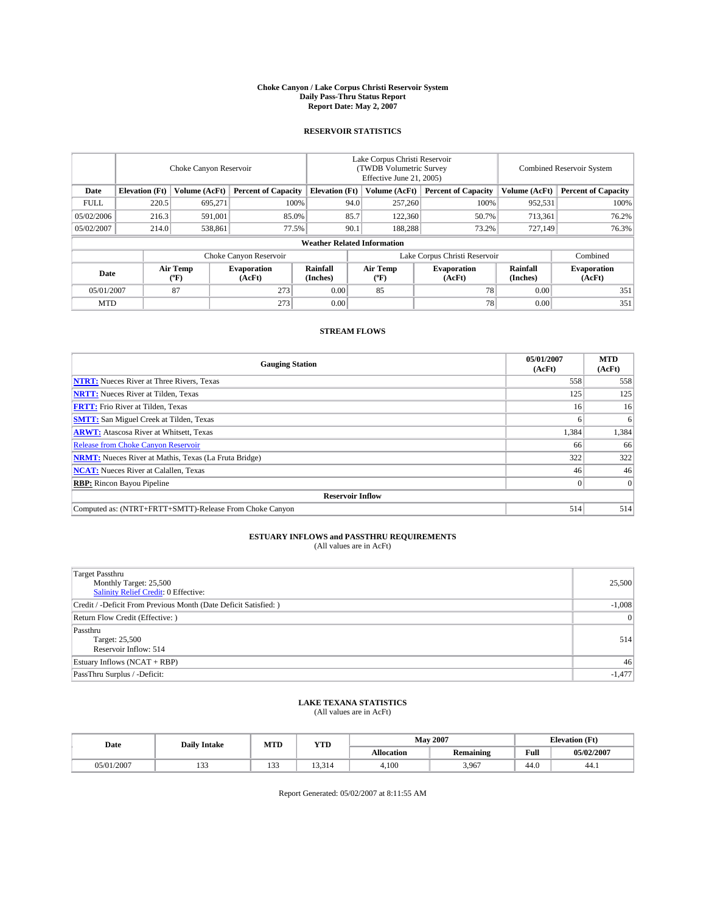#### **Choke Canyon / Lake Corpus Christi Reservoir System Daily Pass-Thru Status Report Report Date: May 2, 2007**

### **RESERVOIR STATISTICS**

|             | Choke Canyon Reservoir             |                  |                              |                       | Lake Corpus Christi Reservoir<br>(TWDB Volumetric Survey<br>Effective June 21, 2005) |                  |                               | Combined Reservoir System |                              |  |
|-------------|------------------------------------|------------------|------------------------------|-----------------------|--------------------------------------------------------------------------------------|------------------|-------------------------------|---------------------------|------------------------------|--|
| Date        | <b>Elevation</b> (Ft)              | Volume (AcFt)    | <b>Percent of Capacity</b>   | <b>Elevation</b> (Ft) |                                                                                      | Volume (AcFt)    | <b>Percent of Capacity</b>    | Volume (AcFt)             | <b>Percent of Capacity</b>   |  |
| <b>FULL</b> | 220.5                              | 695.271          | 100%                         |                       | 94.0                                                                                 | 257,260          | 100%                          | 952,531                   | 100%                         |  |
| 05/02/2006  | 216.3                              | 591.001          | 85.0%                        |                       | 85.7                                                                                 | 122,360          | 50.7%                         | 713,361                   | 76.2%                        |  |
| 05/02/2007  | 214.0                              | 538,861          | 77.5%                        |                       | 90.1                                                                                 | 188.288          | 73.2%                         | 727,149                   | 76.3%                        |  |
|             | <b>Weather Related Information</b> |                  |                              |                       |                                                                                      |                  |                               |                           |                              |  |
|             |                                    |                  | Choke Canyon Reservoir       |                       |                                                                                      |                  | Lake Corpus Christi Reservoir |                           | Combined                     |  |
| Date        |                                    | Air Temp<br>(°F) | <b>Evaporation</b><br>(AcFt) | Rainfall<br>(Inches)  |                                                                                      | Air Temp<br>("F) | <b>Evaporation</b><br>(AcFt)  | Rainfall<br>(Inches)      | <b>Evaporation</b><br>(AcFt) |  |
| 05/01/2007  |                                    | 87               | 273                          | 0.00                  |                                                                                      | 85               | 78                            | 0.00                      | 351                          |  |
| <b>MTD</b>  |                                    |                  | 273                          | 0.00                  |                                                                                      |                  | 78                            | 0.00                      | 351                          |  |

## **STREAM FLOWS**

| <b>Gauging Station</b>                                       | 05/01/2007<br>(AcFt) | <b>MTD</b><br>(AcFt) |
|--------------------------------------------------------------|----------------------|----------------------|
| <b>NTRT:</b> Nueces River at Three Rivers, Texas             | 558                  | 558                  |
| <b>NRTT:</b> Nueces River at Tilden, Texas                   | 125                  | 125                  |
| <b>FRTT:</b> Frio River at Tilden, Texas                     | 16                   | 16                   |
| <b>SMTT:</b> San Miguel Creek at Tilden, Texas               |                      | 6                    |
| <b>ARWT:</b> Atascosa River at Whitsett, Texas               | 1,384                | 1,384                |
| <b>Release from Choke Canyon Reservoir</b>                   | 66                   | 66                   |
| <b>NRMT:</b> Nueces River at Mathis, Texas (La Fruta Bridge) | 322                  | 322                  |
| <b>NCAT:</b> Nueces River at Calallen, Texas                 | 46                   | 46                   |
| <b>RBP:</b> Rincon Bayou Pipeline                            |                      | 0                    |
| <b>Reservoir Inflow</b>                                      |                      |                      |
| Computed as: (NTRT+FRTT+SMTT)-Release From Choke Canyon      | 514                  | 514                  |

# **ESTUARY INFLOWS and PASSTHRU REQUIREMENTS**<br>(All values are in AcFt)

| <b>Target Passthru</b><br>Monthly Target: 25,500<br>Salinity Relief Credit: 0 Effective: | 25,500   |
|------------------------------------------------------------------------------------------|----------|
| Credit / -Deficit From Previous Month (Date Deficit Satisfied: )                         | $-1,008$ |
| Return Flow Credit (Effective:)                                                          | 0        |
| Passthru<br>Target: 25,500<br>Reservoir Inflow: 514                                      | 514      |
| Estuary Inflows (NCAT + RBP)                                                             | 46       |
| PassThru Surplus / -Deficit:                                                             | $-1,477$ |

## **LAKE TEXANA STATISTICS** (All values are in AcFt)

| Date       | <b>Daily Intake</b>      | MTD                             | <b>YTD</b> |                   | <b>May 2007</b>  | <b>Elevation</b> (Ft) |            |
|------------|--------------------------|---------------------------------|------------|-------------------|------------------|-----------------------|------------|
|            |                          |                                 |            | <b>Allocation</b> | <b>Remaining</b> | Full                  | 05/02/2007 |
| 05/01/2007 | $\sim$<br>. . <i>. .</i> | $\sim$ $\sim$ $\sim$<br>$1 - 1$ | 13.314     | 4.100             | 3,967            | 44.0                  | 44.1       |

Report Generated: 05/02/2007 at 8:11:55 AM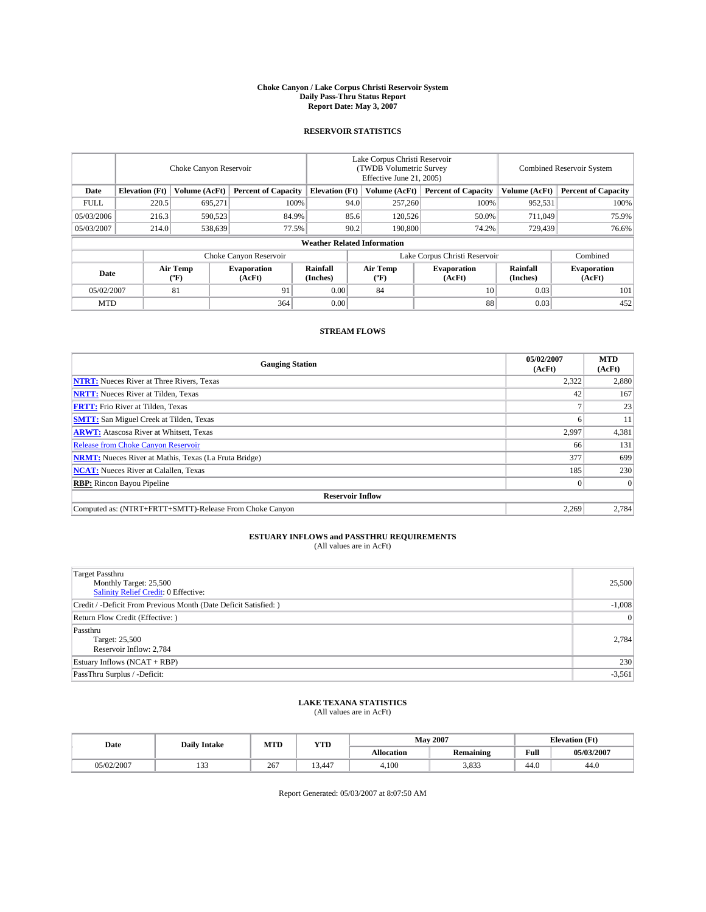#### **Choke Canyon / Lake Corpus Christi Reservoir System Daily Pass-Thru Status Report Report Date: May 3, 2007**

### **RESERVOIR STATISTICS**

|             | Choke Canyon Reservoir             |                  |                              |                       | Lake Corpus Christi Reservoir<br>(TWDB Volumetric Survey<br>Effective June 21, 2005) |                  |                               | Combined Reservoir System |                              |  |
|-------------|------------------------------------|------------------|------------------------------|-----------------------|--------------------------------------------------------------------------------------|------------------|-------------------------------|---------------------------|------------------------------|--|
| Date        | <b>Elevation</b> (Ft)              | Volume (AcFt)    | <b>Percent of Capacity</b>   | <b>Elevation</b> (Ft) |                                                                                      | Volume (AcFt)    | <b>Percent of Capacity</b>    | Volume (AcFt)             | <b>Percent of Capacity</b>   |  |
| <b>FULL</b> | 220.5                              | 695.271          |                              | 100%                  | 94.0                                                                                 | 257,260          | 100%                          | 952,531                   | 100%                         |  |
| 05/03/2006  | 216.3                              | 590,523          | 84.9%                        |                       | 85.6                                                                                 | 120,526          | 50.0%                         | 711,049                   | 75.9%                        |  |
| 05/03/2007  | 214.0                              | 538,639          | 77.5%                        |                       | 90.2                                                                                 | 190,800          | 74.2%                         | 729,439                   | 76.6%                        |  |
|             | <b>Weather Related Information</b> |                  |                              |                       |                                                                                      |                  |                               |                           |                              |  |
|             |                                    |                  | Choke Canyon Reservoir       |                       |                                                                                      |                  | Lake Corpus Christi Reservoir |                           | Combined                     |  |
| Date        |                                    | Air Temp<br>(°F) | <b>Evaporation</b><br>(AcFt) | Rainfall<br>(Inches)  |                                                                                      | Air Temp<br>("F) | <b>Evaporation</b><br>(AcFt)  | Rainfall<br>(Inches)      | <b>Evaporation</b><br>(AcFt) |  |
| 05/02/2007  |                                    | 81               | 91                           | 0.00                  |                                                                                      | 84               | 10                            | 0.03                      | 101                          |  |
| <b>MTD</b>  |                                    |                  | 364                          | 0.00                  |                                                                                      |                  | 88                            | 0.03                      | 452                          |  |

## **STREAM FLOWS**

| <b>Gauging Station</b>                                       | 05/02/2007<br>(AcFt) | <b>MTD</b><br>(AcFt) |
|--------------------------------------------------------------|----------------------|----------------------|
| <b>NTRT:</b> Nueces River at Three Rivers, Texas             | 2,322                | 2,880                |
| <b>NRTT:</b> Nueces River at Tilden, Texas                   | 42                   | 167                  |
| <b>FRTT:</b> Frio River at Tilden, Texas                     |                      | 23                   |
| <b>SMTT:</b> San Miguel Creek at Tilden, Texas               |                      | 11                   |
| <b>ARWT:</b> Atascosa River at Whitsett, Texas               | 2,997                | 4,381                |
| <b>Release from Choke Canyon Reservoir</b>                   | 66                   | 131                  |
| <b>NRMT:</b> Nueces River at Mathis, Texas (La Fruta Bridge) | 377                  | 699                  |
| <b>NCAT:</b> Nueces River at Calallen, Texas                 | 185                  | 230                  |
| <b>RBP:</b> Rincon Bayou Pipeline                            |                      | $\overline{0}$       |
| <b>Reservoir Inflow</b>                                      |                      |                      |
| Computed as: (NTRT+FRTT+SMTT)-Release From Choke Canyon      | 2,269                | 2,784                |

# **ESTUARY INFLOWS and PASSTHRU REQUIREMENTS**<br>(All values are in AcFt)

| <b>Target Passthru</b><br>Monthly Target: 25,500<br>Salinity Relief Credit: 0 Effective: | 25,500   |
|------------------------------------------------------------------------------------------|----------|
| Credit / -Deficit From Previous Month (Date Deficit Satisfied: )                         | $-1,008$ |
| Return Flow Credit (Effective: )                                                         | $\Omega$ |
| Passthru<br>Target: 25,500<br>Reservoir Inflow: 2,784                                    | 2,784    |
| Estuary Inflows (NCAT + RBP)                                                             | 230      |
| PassThru Surplus / -Deficit:                                                             | $-3,561$ |

## **LAKE TEXANA STATISTICS** (All values are in AcFt)

| Date       | <b>Daily Intake</b> | MTD | <b>YTD</b>                    |                   | <b>May 2007</b>  |      | <b>Elevation</b> (Ft) |
|------------|---------------------|-----|-------------------------------|-------------------|------------------|------|-----------------------|
|            |                     |     |                               | <b>Allocation</b> | <b>Remaining</b> | Full | 05/03/2007            |
| 05/02/2007 | $\sim$<br>1 J J     | 267 | 3.447<br>$\ddot{\phantom{1}}$ | 4.100             | 3,833            | 44.0 | 44.0                  |

Report Generated: 05/03/2007 at 8:07:50 AM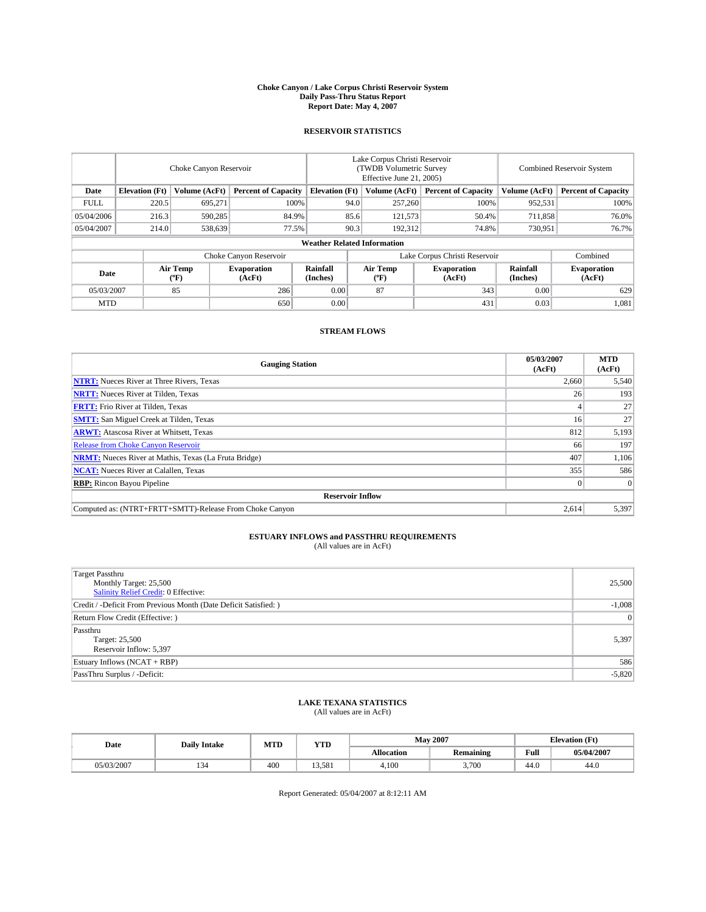#### **Choke Canyon / Lake Corpus Christi Reservoir System Daily Pass-Thru Status Report Report Date: May 4, 2007**

### **RESERVOIR STATISTICS**

|             | Choke Canyon Reservoir |                  |                              |                                    | Lake Corpus Christi Reservoir<br>(TWDB Volumetric Survey<br>Effective June 21, 2005) |                  |                               | Combined Reservoir System |                              |  |
|-------------|------------------------|------------------|------------------------------|------------------------------------|--------------------------------------------------------------------------------------|------------------|-------------------------------|---------------------------|------------------------------|--|
| Date        | <b>Elevation</b> (Ft)  | Volume (AcFt)    | <b>Percent of Capacity</b>   | <b>Elevation</b> (Ft)              |                                                                                      | Volume (AcFt)    | <b>Percent of Capacity</b>    | Volume (AcFt)             | <b>Percent of Capacity</b>   |  |
| <b>FULL</b> | 220.5                  | 695.271          | 100%                         |                                    | 94.0                                                                                 | 257,260          | 100%                          | 952,531                   | 100%                         |  |
| 05/04/2006  | 216.3                  | 590.285          | 84.9%                        |                                    | 85.6                                                                                 | 121,573          | 50.4%                         | 711.858                   | 76.0%                        |  |
| 05/04/2007  | 214.0                  | 538,639          | 77.5%                        |                                    | 90.3                                                                                 | 192,312          | 74.8%                         | 730,951                   | 76.7%                        |  |
|             |                        |                  |                              | <b>Weather Related Information</b> |                                                                                      |                  |                               |                           |                              |  |
|             |                        |                  | Choke Canyon Reservoir       |                                    |                                                                                      |                  | Lake Corpus Christi Reservoir |                           | Combined                     |  |
| Date        |                        | Air Temp<br>("F) | <b>Evaporation</b><br>(AcFt) | Rainfall<br>(Inches)               |                                                                                      | Air Temp<br>("F) | <b>Evaporation</b><br>(AcFt)  | Rainfall<br>(Inches)      | <b>Evaporation</b><br>(AcFt) |  |
| 05/03/2007  |                        | 85               | 286                          | 0.00                               |                                                                                      | 87               | 343                           | 0.00                      | 629                          |  |
| <b>MTD</b>  |                        |                  | 650                          | 0.00                               |                                                                                      |                  | 431                           | 0.03                      | 1,081                        |  |

## **STREAM FLOWS**

| <b>Gauging Station</b>                                       | 05/03/2007<br>(AcFt) | <b>MTD</b><br>(AcFt) |
|--------------------------------------------------------------|----------------------|----------------------|
| <b>NTRT:</b> Nueces River at Three Rivers, Texas             | 2,660                | 5,540                |
| <b>NRTT:</b> Nueces River at Tilden, Texas                   | 26                   | 193                  |
| <b>FRTT:</b> Frio River at Tilden, Texas                     |                      | 27                   |
| <b>SMTT:</b> San Miguel Creek at Tilden, Texas               | 16                   | 27                   |
| <b>ARWT:</b> Atascosa River at Whitsett, Texas               | 812                  | 5,193                |
| <b>Release from Choke Canyon Reservoir</b>                   | 66                   | 197                  |
| <b>NRMT:</b> Nueces River at Mathis, Texas (La Fruta Bridge) | 407                  | 1,106                |
| <b>NCAT:</b> Nueces River at Calallen, Texas                 | 355                  | 586                  |
| <b>RBP:</b> Rincon Bayou Pipeline                            |                      | $\Omega$             |
| <b>Reservoir Inflow</b>                                      |                      |                      |
| Computed as: (NTRT+FRTT+SMTT)-Release From Choke Canyon      | 2,614                | 5,397                |

# **ESTUARY INFLOWS and PASSTHRU REQUIREMENTS**<br>(All values are in AcFt)

| <b>Target Passthru</b><br>Monthly Target: 25,500<br>Salinity Relief Credit: 0 Effective: | 25,500   |
|------------------------------------------------------------------------------------------|----------|
| Credit / -Deficit From Previous Month (Date Deficit Satisfied: )                         | $-1,008$ |
| Return Flow Credit (Effective:)                                                          | $\Omega$ |
| Passthru<br>Target: 25,500<br>Reservoir Inflow: 5,397                                    | 5,397    |
| Estuary Inflows (NCAT + RBP)                                                             | 586      |
| PassThru Surplus / -Deficit:                                                             | $-5,820$ |

## **LAKE TEXANA STATISTICS** (All values are in AcFt)

| Date       | <b>Daily Intake</b> | MTD | <b>YTD</b>      |                   | <b>May 2007</b>  | <b>Elevation</b> (Ft) |            |
|------------|---------------------|-----|-----------------|-------------------|------------------|-----------------------|------------|
|            |                     |     |                 | <b>Allocation</b> | <b>Remaining</b> | Full                  | 05/04/2007 |
| 05/03/2007 | 134                 | 400 | 3.581<br>$\sim$ | 4.100             | 3,700            | 44.0                  | 44.0       |

Report Generated: 05/04/2007 at 8:12:11 AM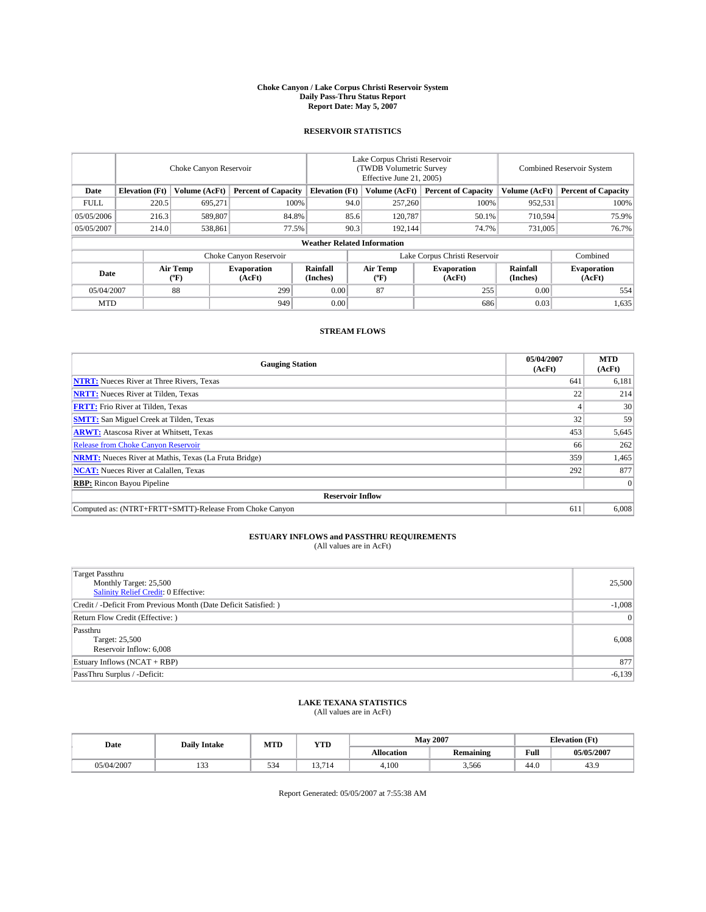#### **Choke Canyon / Lake Corpus Christi Reservoir System Daily Pass-Thru Status Report Report Date: May 5, 2007**

### **RESERVOIR STATISTICS**

|             | Choke Canyon Reservoir |                  |                              |                                    | Lake Corpus Christi Reservoir<br>(TWDB Volumetric Survey<br>Effective June 21, 2005) |                  |                               | Combined Reservoir System |                              |  |
|-------------|------------------------|------------------|------------------------------|------------------------------------|--------------------------------------------------------------------------------------|------------------|-------------------------------|---------------------------|------------------------------|--|
| Date        | <b>Elevation</b> (Ft)  | Volume (AcFt)    | <b>Percent of Capacity</b>   | <b>Elevation</b> (Ft)              |                                                                                      | Volume (AcFt)    | <b>Percent of Capacity</b>    | Volume (AcFt)             | <b>Percent of Capacity</b>   |  |
| <b>FULL</b> | 220.5                  | 695,271          |                              | 100%                               | 94.0                                                                                 | 257,260          | 100%                          | 952,531                   | 100%                         |  |
| 05/05/2006  | 216.3                  | 589,807          | 84.8%                        |                                    | 85.6                                                                                 | 120,787          | 50.1%                         | 710,594                   | 75.9%                        |  |
| 05/05/2007  | 214.0                  | 538,861          | 77.5%                        |                                    | 90.3                                                                                 | 192.144          | 74.7%                         | 731,005                   | 76.7%                        |  |
|             |                        |                  |                              | <b>Weather Related Information</b> |                                                                                      |                  |                               |                           |                              |  |
|             |                        |                  | Choke Canyon Reservoir       |                                    |                                                                                      |                  | Lake Corpus Christi Reservoir |                           | Combined                     |  |
| Date        |                        | Air Temp<br>(°F) | <b>Evaporation</b><br>(AcFt) | Rainfall<br>(Inches)               |                                                                                      | Air Temp<br>("F) | <b>Evaporation</b><br>(AcFt)  | Rainfall<br>(Inches)      | <b>Evaporation</b><br>(AcFt) |  |
| 05/04/2007  |                        | 88               | 299                          | 0.00                               |                                                                                      | 87               | 255                           | 0.00                      | 554                          |  |
| <b>MTD</b>  |                        |                  | 949                          | 0.00                               |                                                                                      |                  | 686                           | 0.03                      | 1,635                        |  |

## **STREAM FLOWS**

| <b>Gauging Station</b>                                       | 05/04/2007<br>(AcFt) | <b>MTD</b><br>(AcFt) |
|--------------------------------------------------------------|----------------------|----------------------|
| <b>NTRT:</b> Nueces River at Three Rivers, Texas             | 641                  | 6,181                |
| <b>NRTT:</b> Nueces River at Tilden, Texas                   | 22                   | 214                  |
| <b>FRTT:</b> Frio River at Tilden, Texas                     |                      | 30                   |
| <b>SMTT:</b> San Miguel Creek at Tilden, Texas               | 32                   | 59                   |
| <b>ARWT:</b> Atascosa River at Whitsett, Texas               | 453                  | 5,645                |
| <b>Release from Choke Canyon Reservoir</b>                   | 66                   | 262                  |
| <b>NRMT:</b> Nueces River at Mathis, Texas (La Fruta Bridge) | 359                  | 1,465                |
| <b>NCAT:</b> Nueces River at Calallen, Texas                 | 292                  | 877                  |
| <b>RBP:</b> Rincon Bayou Pipeline                            |                      | $\Omega$             |
| <b>Reservoir Inflow</b>                                      |                      |                      |
| Computed as: (NTRT+FRTT+SMTT)-Release From Choke Canyon      | 611                  | 6.008                |

## **ESTUARY INFLOWS and PASSTHRU REQUIREMENTS**<br>(All values are in AcFt)

| <b>Target Passthru</b><br>Monthly Target: 25,500<br>Salinity Relief Credit: 0 Effective: | 25,500   |
|------------------------------------------------------------------------------------------|----------|
| Credit / -Deficit From Previous Month (Date Deficit Satisfied: )                         | $-1,008$ |
| Return Flow Credit (Effective:)                                                          | $\Omega$ |
| Passthru<br>Target: 25,500<br>Reservoir Inflow: 6,008                                    | 6,008    |
| Estuary Inflows (NCAT + RBP)                                                             | 877      |
| PassThru Surplus / -Deficit:                                                             | $-6,139$ |

## **LAKE TEXANA STATISTICS** (All values are in AcFt)

| Date       | <b>Daily Intake</b>      | MTD           | <b>YTD</b> |                   | <b>May 2007</b>  | <b>Elevation</b> (Ft) |            |
|------------|--------------------------|---------------|------------|-------------------|------------------|-----------------------|------------|
|            |                          |               |            | <b>Allocation</b> | <b>Remaining</b> | Full                  | 05/05/2007 |
| 05/04/2007 | $\sim$<br>. . <i>. .</i> | $\sim$<br>ىرر | 13.714     | 4.100             | 3,566            | 44.0                  | 43.9       |

Report Generated: 05/05/2007 at 7:55:38 AM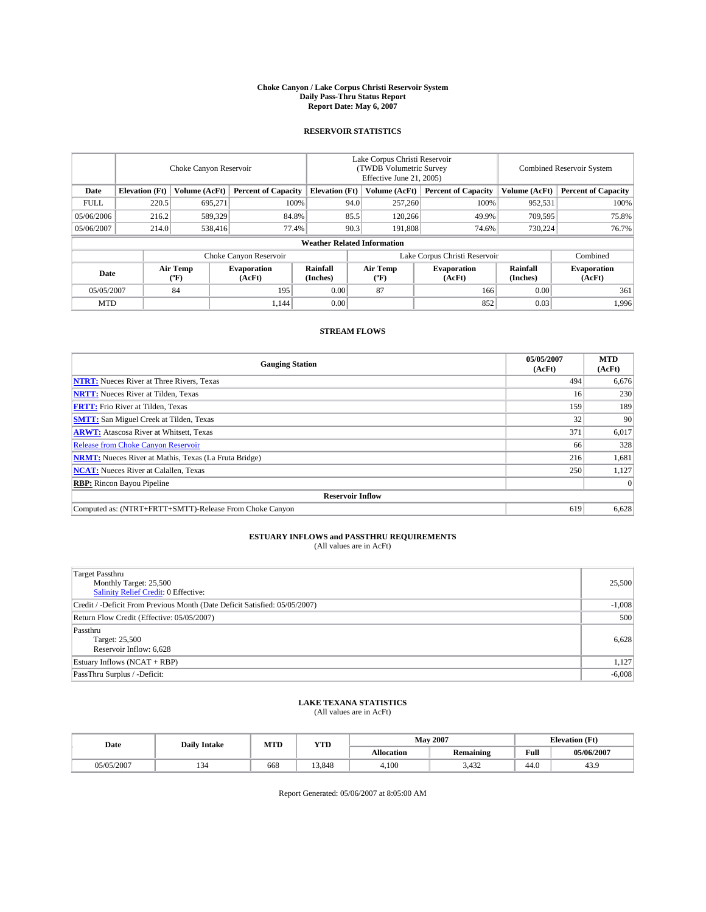#### **Choke Canyon / Lake Corpus Christi Reservoir System Daily Pass-Thru Status Report Report Date: May 6, 2007**

### **RESERVOIR STATISTICS**

|             | Choke Canyon Reservoir |                  |                              |                                    | Lake Corpus Christi Reservoir<br>(TWDB Volumetric Survey<br>Effective June 21, 2005) |                  |                               | Combined Reservoir System |                              |  |
|-------------|------------------------|------------------|------------------------------|------------------------------------|--------------------------------------------------------------------------------------|------------------|-------------------------------|---------------------------|------------------------------|--|
| Date        | <b>Elevation</b> (Ft)  | Volume (AcFt)    | <b>Percent of Capacity</b>   | <b>Elevation</b> (Ft)              |                                                                                      | Volume (AcFt)    | <b>Percent of Capacity</b>    | Volume (AcFt)             | <b>Percent of Capacity</b>   |  |
| <b>FULL</b> | 220.5                  | 695,271          | 100%                         |                                    | 94.0                                                                                 | 257,260          | 100%                          | 952,531                   | 100%                         |  |
| 05/06/2006  | 216.2                  | 589,329          | 84.8%                        |                                    | 85.5                                                                                 | 120,266          | 49.9%                         | 709,595                   | 75.8%                        |  |
| 05/06/2007  | 214.0                  | 538,416          | 77.4%                        |                                    | 90.3                                                                                 | 191.808          | 74.6%                         | 730,224                   | 76.7%                        |  |
|             |                        |                  |                              | <b>Weather Related Information</b> |                                                                                      |                  |                               |                           |                              |  |
|             |                        |                  | Choke Canyon Reservoir       |                                    |                                                                                      |                  | Lake Corpus Christi Reservoir |                           | Combined                     |  |
| Date        |                        | Air Temp<br>(°F) | <b>Evaporation</b><br>(AcFt) | Rainfall<br>(Inches)               |                                                                                      | Air Temp<br>("F) | <b>Evaporation</b><br>(AcFt)  | Rainfall<br>(Inches)      | <b>Evaporation</b><br>(AcFt) |  |
| 05/05/2007  |                        | 84               | 195                          | 0.00                               |                                                                                      | 87               | 166                           | 0.00                      | 361                          |  |
| <b>MTD</b>  |                        |                  | 1.144                        | 0.00                               |                                                                                      |                  | 852                           | 0.03                      | 1,996                        |  |

## **STREAM FLOWS**

| <b>Gauging Station</b>                                       | 05/05/2007<br>(AcFt) | <b>MTD</b><br>(AcFt) |
|--------------------------------------------------------------|----------------------|----------------------|
| <b>NTRT:</b> Nueces River at Three Rivers, Texas             | 494                  | 6,676                |
| <b>NRTT:</b> Nueces River at Tilden, Texas                   | 16                   | 230                  |
| <b>FRTT:</b> Frio River at Tilden, Texas                     | 159                  | 189                  |
| <b>SMTT:</b> San Miguel Creek at Tilden, Texas               | 32                   | 90                   |
| <b>ARWT:</b> Atascosa River at Whitsett, Texas               | 371                  | 6,017                |
| <b>Release from Choke Canyon Reservoir</b>                   | 66                   | 328                  |
| <b>NRMT:</b> Nueces River at Mathis, Texas (La Fruta Bridge) | 216                  | 1,681                |
| <b>NCAT:</b> Nueces River at Calallen, Texas                 | 250                  | 1,127                |
| <b>RBP:</b> Rincon Bayou Pipeline                            |                      | $\Omega$             |
| <b>Reservoir Inflow</b>                                      |                      |                      |
| Computed as: (NTRT+FRTT+SMTT)-Release From Choke Canyon      | 619                  | 6,628                |

# **ESTUARY INFLOWS and PASSTHRU REQUIREMENTS**<br>(All values are in AcFt)

| <b>Target Passthru</b><br>Monthly Target: 25,500<br>Salinity Relief Credit: 0 Effective: | 25,500   |
|------------------------------------------------------------------------------------------|----------|
| Credit / -Deficit From Previous Month (Date Deficit Satisfied: 05/05/2007)               | $-1,008$ |
| Return Flow Credit (Effective: 05/05/2007)                                               | 500      |
| Passthru<br>Target: 25,500<br>Reservoir Inflow: 6,628                                    | 6,628    |
| Estuary Inflows (NCAT + RBP)                                                             | 1,127    |
| PassThru Surplus / -Deficit:                                                             | $-6,008$ |

## **LAKE TEXANA STATISTICS** (All values are in AcFt)

| Date       | <b>Daily Intake</b> | MTD | <b>YTD</b> |                   | <b>May 2007</b>  | <b>Elevation</b> (Ft) |            |
|------------|---------------------|-----|------------|-------------------|------------------|-----------------------|------------|
|            |                     |     |            | <b>Allocation</b> | <b>Remaining</b> | Full                  | 05/06/2007 |
| 05/05/2007 | 134                 | 668 | 13.848     | 4.100             | 3,432            | 44.0                  | 43.9       |

Report Generated: 05/06/2007 at 8:05:00 AM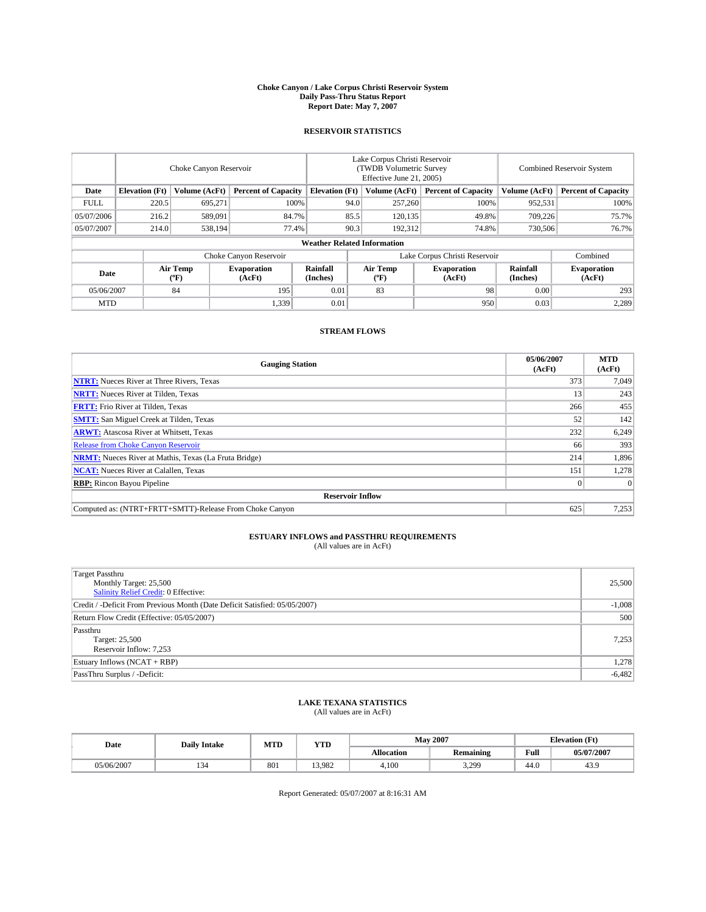#### **Choke Canyon / Lake Corpus Christi Reservoir System Daily Pass-Thru Status Report Report Date: May 7, 2007**

### **RESERVOIR STATISTICS**

|             | Choke Canyon Reservoir             |                  |                              |                       | Lake Corpus Christi Reservoir<br>(TWDB Volumetric Survey<br>Effective June 21, 2005) |                  |                               | Combined Reservoir System |                              |  |
|-------------|------------------------------------|------------------|------------------------------|-----------------------|--------------------------------------------------------------------------------------|------------------|-------------------------------|---------------------------|------------------------------|--|
| Date        | <b>Elevation</b> (Ft)              | Volume (AcFt)    | <b>Percent of Capacity</b>   | <b>Elevation</b> (Ft) |                                                                                      | Volume (AcFt)    | <b>Percent of Capacity</b>    | Volume (AcFt)             | <b>Percent of Capacity</b>   |  |
| <b>FULL</b> | 220.5                              | 695.271          | 100%                         |                       | 94.0                                                                                 | 257,260          | 100%                          | 952,531                   | 100%                         |  |
| 05/07/2006  | 216.2                              | 589,091          | 84.7%                        |                       | 85.5                                                                                 | 120,135          | 49.8%                         | 709,226                   | 75.7%                        |  |
| 05/07/2007  | 214.0                              | 538.194          | 77.4%                        |                       | 90.3                                                                                 | 192,312          | 74.8%                         | 730,506                   | 76.7%                        |  |
|             | <b>Weather Related Information</b> |                  |                              |                       |                                                                                      |                  |                               |                           |                              |  |
|             |                                    |                  | Choke Canyon Reservoir       |                       |                                                                                      |                  | Lake Corpus Christi Reservoir |                           | Combined                     |  |
| Date        |                                    | Air Temp<br>(°F) | <b>Evaporation</b><br>(AcFt) | Rainfall<br>(Inches)  |                                                                                      | Air Temp<br>("F) | <b>Evaporation</b><br>(AcFt)  | Rainfall<br>(Inches)      | <b>Evaporation</b><br>(AcFt) |  |
| 05/06/2007  |                                    | 84               | 195                          | 0.01                  |                                                                                      | 83               | 98                            | 0.00                      | 293                          |  |
| <b>MTD</b>  |                                    |                  | 1,339                        | 0.01                  |                                                                                      |                  | 950                           | 0.03                      | 2,289                        |  |

## **STREAM FLOWS**

| <b>Gauging Station</b>                                       | 05/06/2007<br>(AcFt) | <b>MTD</b><br>(AcFt) |
|--------------------------------------------------------------|----------------------|----------------------|
| <b>NTRT:</b> Nueces River at Three Rivers, Texas             | 373                  | 7.049                |
| <b>NRTT:</b> Nueces River at Tilden, Texas                   | 13                   | 243                  |
| <b>FRTT:</b> Frio River at Tilden, Texas                     | 266                  | 455                  |
| <b>SMTT:</b> San Miguel Creek at Tilden, Texas               | 52                   | 142                  |
| <b>ARWT:</b> Atascosa River at Whitsett, Texas               | 232                  | 6,249                |
| <b>Release from Choke Canyon Reservoir</b>                   | 66                   | 393                  |
| <b>NRMT:</b> Nueces River at Mathis, Texas (La Fruta Bridge) | 214                  | 1,896                |
| <b>NCAT:</b> Nueces River at Calallen, Texas                 | 151                  | 1,278                |
| <b>RBP:</b> Rincon Bayou Pipeline                            |                      | $\Omega$             |
| <b>Reservoir Inflow</b>                                      |                      |                      |
| Computed as: (NTRT+FRTT+SMTT)-Release From Choke Canyon      | 625                  | 7,253                |

# **ESTUARY INFLOWS and PASSTHRU REQUIREMENTS**<br>(All values are in AcFt)

| <b>Target Passthru</b><br>Monthly Target: 25,500<br>Salinity Relief Credit: 0 Effective: | 25,500   |
|------------------------------------------------------------------------------------------|----------|
| Credit / -Deficit From Previous Month (Date Deficit Satisfied: 05/05/2007)               | $-1,008$ |
| Return Flow Credit (Effective: 05/05/2007)                                               | 500      |
| Passthru<br>Target: 25,500<br>Reservoir Inflow: 7,253                                    | 7,253    |
| Estuary Inflows (NCAT + RBP)                                                             | 1,278    |
| PassThru Surplus / -Deficit:                                                             | $-6,482$ |

## **LAKE TEXANA STATISTICS** (All values are in AcFt)

| Date       | <b>Daily Intake</b> | MTD | <b>YTD</b> |                   | <b>May 2007</b>  | <b>Elevation</b> (Ft) |            |
|------------|---------------------|-----|------------|-------------------|------------------|-----------------------|------------|
|            |                     |     |            | <b>Allocation</b> | <b>Remaining</b> | Full                  | 05/07/2007 |
| 05/06/2007 | 134                 | 801 | 13.982     | 4.100             | 3,299            | 44.0                  | 43.9       |

Report Generated: 05/07/2007 at 8:16:31 AM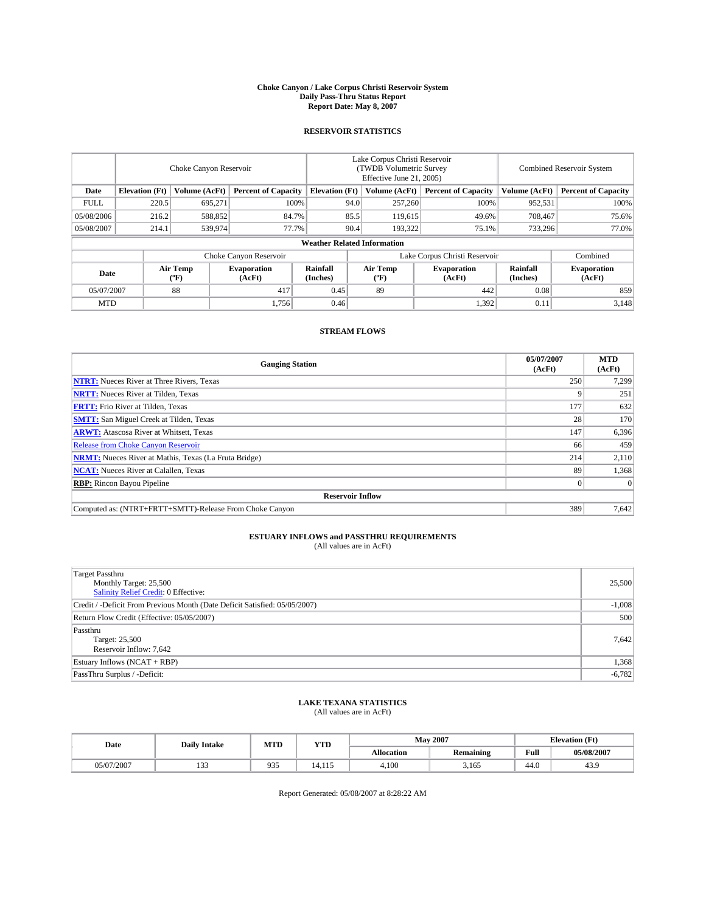#### **Choke Canyon / Lake Corpus Christi Reservoir System Daily Pass-Thru Status Report Report Date: May 8, 2007**

### **RESERVOIR STATISTICS**

|             | Choke Canyon Reservoir             |                  |                              |                       | Lake Corpus Christi Reservoir<br>(TWDB Volumetric Survey<br>Effective June 21, 2005) |                                           |                               | <b>Combined Reservoir System</b> |                              |  |
|-------------|------------------------------------|------------------|------------------------------|-----------------------|--------------------------------------------------------------------------------------|-------------------------------------------|-------------------------------|----------------------------------|------------------------------|--|
| Date        | <b>Elevation</b> (Ft)              | Volume (AcFt)    | <b>Percent of Capacity</b>   | <b>Elevation</b> (Ft) |                                                                                      | Volume (AcFt)                             | <b>Percent of Capacity</b>    | Volume (AcFt)                    | <b>Percent of Capacity</b>   |  |
| <b>FULL</b> | 220.5                              | 695,271          | 100%                         |                       | 94.0                                                                                 | 257,260                                   | 100%                          | 952,531                          | 100%                         |  |
| 05/08/2006  | 216.2                              | 588,852          | 84.7%                        |                       | 85.5                                                                                 | 119,615                                   | 49.6%                         | 708,467                          | 75.6%                        |  |
| 05/08/2007  | 214.1                              | 539,974          | 77.7%                        |                       | 90.4                                                                                 | 193.322                                   | 75.1%                         | 733,296                          | 77.0%                        |  |
|             | <b>Weather Related Information</b> |                  |                              |                       |                                                                                      |                                           |                               |                                  |                              |  |
|             |                                    |                  | Choke Canyon Reservoir       |                       |                                                                                      |                                           | Lake Corpus Christi Reservoir |                                  | Combined                     |  |
| Date        |                                    | Air Temp<br>(°F) | <b>Evaporation</b><br>(AcFt) | Rainfall<br>(Inches)  |                                                                                      | Air Temp<br>$({}^{\mathrm{o}}\mathrm{F})$ | <b>Evaporation</b><br>(AcFt)  | Rainfall<br>(Inches)             | <b>Evaporation</b><br>(AcFt) |  |
| 05/07/2007  |                                    | 88               | 417                          | 0.45                  |                                                                                      | 89                                        | 442                           | 0.08                             | 859                          |  |
| <b>MTD</b>  |                                    |                  | 1,756                        | 0.46                  |                                                                                      |                                           | 1,392                         | 0.11                             | 3,148                        |  |

## **STREAM FLOWS**

| <b>Gauging Station</b>                                       | 05/07/2007<br>(AcFt) | <b>MTD</b><br>(AcFt) |
|--------------------------------------------------------------|----------------------|----------------------|
| <b>NTRT:</b> Nueces River at Three Rivers, Texas             | 250                  | 7.299                |
| <b>NRTT:</b> Nueces River at Tilden, Texas                   |                      | 251                  |
| <b>FRTT:</b> Frio River at Tilden, Texas                     | 177                  | 632                  |
| <b>SMTT:</b> San Miguel Creek at Tilden, Texas               | 28                   | 170                  |
| <b>ARWT:</b> Atascosa River at Whitsett, Texas               | 147                  | 6,396                |
| <b>Release from Choke Canyon Reservoir</b>                   | 66                   | 459                  |
| <b>NRMT:</b> Nueces River at Mathis, Texas (La Fruta Bridge) | 214                  | 2,110                |
| <b>NCAT:</b> Nueces River at Calallen, Texas                 | 89                   | 1,368                |
| <b>RBP:</b> Rincon Bayou Pipeline                            |                      | $\Omega$             |
| <b>Reservoir Inflow</b>                                      |                      |                      |
| Computed as: (NTRT+FRTT+SMTT)-Release From Choke Canyon      | 389                  | 7,642                |

# **ESTUARY INFLOWS and PASSTHRU REQUIREMENTS**<br>(All values are in AcFt)

| <b>Target Passthru</b><br>Monthly Target: 25,500<br>Salinity Relief Credit: 0 Effective: | 25,500   |
|------------------------------------------------------------------------------------------|----------|
| Credit / -Deficit From Previous Month (Date Deficit Satisfied: 05/05/2007)               | $-1,008$ |
| Return Flow Credit (Effective: 05/05/2007)                                               | 500      |
| Passthru<br>Target: 25,500<br>Reservoir Inflow: 7,642                                    | 7,642    |
| Estuary Inflows (NCAT + RBP)                                                             | 1,368    |
| PassThru Surplus / -Deficit:                                                             | $-6,782$ |

## **LAKE TEXANA STATISTICS** (All values are in AcFt)

| Date       | <b>Daily Intake</b> | MTD       | <b>YTD</b> |                   | <b>May 2007</b>  | <b>Elevation</b> (Ft) |            |
|------------|---------------------|-----------|------------|-------------------|------------------|-----------------------|------------|
|            |                     |           |            | <b>Allocation</b> | <b>Remaining</b> | Full                  | 05/08/2007 |
| 05/07/2007 | $\sim$<br>1 J J     | Q2<br>,,, | 4.115      | 4.100             | 3,165            | 44.0                  | 43.9       |

Report Generated: 05/08/2007 at 8:28:22 AM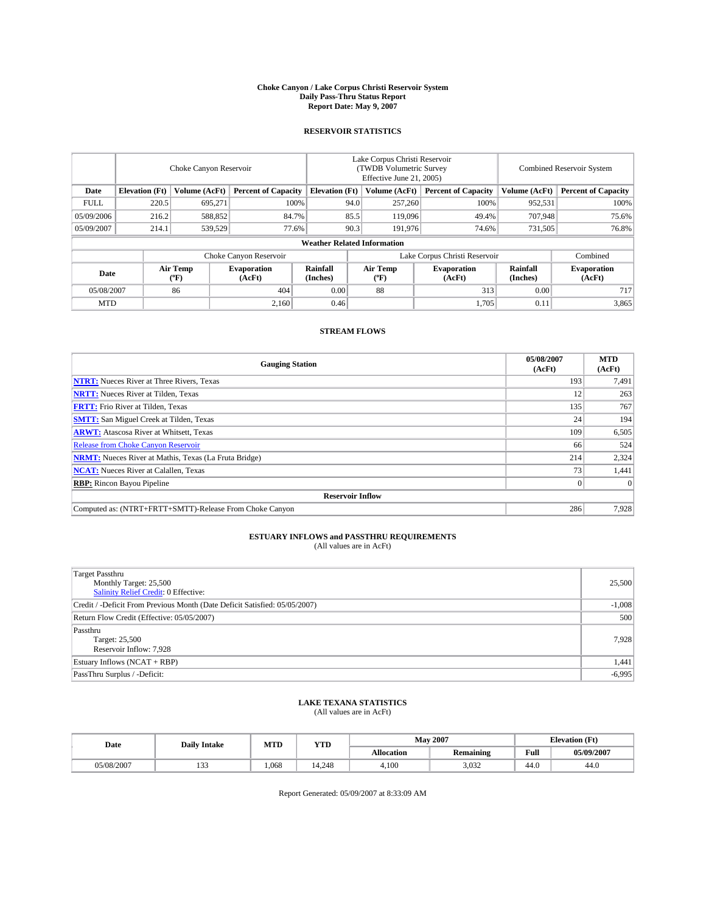#### **Choke Canyon / Lake Corpus Christi Reservoir System Daily Pass-Thru Status Report Report Date: May 9, 2007**

### **RESERVOIR STATISTICS**

|             | Choke Canyon Reservoir             |                  |                              |                       | Lake Corpus Christi Reservoir<br>(TWDB Volumetric Survey<br>Effective June 21, 2005) |                  |                               | Combined Reservoir System |                              |  |
|-------------|------------------------------------|------------------|------------------------------|-----------------------|--------------------------------------------------------------------------------------|------------------|-------------------------------|---------------------------|------------------------------|--|
| Date        | <b>Elevation</b> (Ft)              | Volume (AcFt)    | <b>Percent of Capacity</b>   | <b>Elevation</b> (Ft) |                                                                                      | Volume (AcFt)    | <b>Percent of Capacity</b>    | Volume (AcFt)             | <b>Percent of Capacity</b>   |  |
| <b>FULL</b> | 220.5                              | 695,271          |                              | 100%                  | 94.0                                                                                 | 257,260          | 100%                          | 952,531                   | 100%                         |  |
| 05/09/2006  | 216.2                              | 588,852          | 84.7%                        |                       | 85.5                                                                                 | 119,096          | 49.4%                         | 707,948                   | 75.6%                        |  |
| 05/09/2007  | 214.1                              | 539,529          | 77.6%                        |                       | 90.3                                                                                 | 191,976          | 74.6%                         | 731,505                   | 76.8%                        |  |
|             | <b>Weather Related Information</b> |                  |                              |                       |                                                                                      |                  |                               |                           |                              |  |
|             |                                    |                  | Choke Canyon Reservoir       |                       |                                                                                      |                  | Lake Corpus Christi Reservoir |                           | Combined                     |  |
| Date        |                                    | Air Temp<br>(°F) | <b>Evaporation</b><br>(AcFt) | Rainfall<br>(Inches)  |                                                                                      | Air Temp<br>("F) | <b>Evaporation</b><br>(AcFt)  | Rainfall<br>(Inches)      | <b>Evaporation</b><br>(AcFt) |  |
| 05/08/2007  |                                    | 86               | 404                          | 0.00                  |                                                                                      | 88               | 313                           | 0.00                      | 717                          |  |
| <b>MTD</b>  |                                    |                  | 2,160                        | 0.46                  |                                                                                      |                  | 1,705                         | 0.11                      | 3,865                        |  |

## **STREAM FLOWS**

| <b>Gauging Station</b>                                       | 05/08/2007<br>(AcFt) | <b>MTD</b><br>(AcFt) |
|--------------------------------------------------------------|----------------------|----------------------|
| <b>NTRT:</b> Nueces River at Three Rivers, Texas             | 193                  | 7,491                |
| <b>NRTT:</b> Nueces River at Tilden, Texas                   | 12                   | 263                  |
| <b>FRTT:</b> Frio River at Tilden, Texas                     | 135                  | 767                  |
| <b>SMTT:</b> San Miguel Creek at Tilden, Texas               | 24                   | 194                  |
| <b>ARWT:</b> Atascosa River at Whitsett, Texas               | 109                  | 6,505                |
| <b>Release from Choke Canyon Reservoir</b>                   | 66                   | 524                  |
| <b>NRMT:</b> Nueces River at Mathis, Texas (La Fruta Bridge) | 214                  | 2,324                |
| <b>NCAT:</b> Nueces River at Calallen, Texas                 | 73                   | 1,441                |
| <b>RBP:</b> Rincon Bayou Pipeline                            |                      | $\Omega$             |
| <b>Reservoir Inflow</b>                                      |                      |                      |
| Computed as: (NTRT+FRTT+SMTT)-Release From Choke Canyon      | 286                  | 7.928                |

# **ESTUARY INFLOWS and PASSTHRU REQUIREMENTS**<br>(All values are in AcFt)

| <b>Target Passthru</b><br>Monthly Target: 25,500<br>Salinity Relief Credit: 0 Effective: | 25,500   |
|------------------------------------------------------------------------------------------|----------|
| Credit / -Deficit From Previous Month (Date Deficit Satisfied: 05/05/2007)               | $-1,008$ |
| Return Flow Credit (Effective: 05/05/2007)                                               | 500      |
| Passthru<br>Target: 25,500<br>Reservoir Inflow: 7,928                                    | 7,928    |
| Estuary Inflows (NCAT + RBP)                                                             | 1,441    |
| PassThru Surplus / -Deficit:                                                             | $-6,995$ |

## **LAKE TEXANA STATISTICS** (All values are in AcFt)

| Date       | <b>Daily Intake</b>    | MTD   | <b>YTD</b> |                   | <b>May 2007</b>  | <b>Elevation</b> (Ft) |            |
|------------|------------------------|-------|------------|-------------------|------------------|-----------------------|------------|
|            |                        |       |            | <b>Allocation</b> | <b>Remaining</b> | Full                  | 05/09/2007 |
| 05/08/2007 | 10 <sup>o</sup><br>ن ب | 1.068 | 4.248      | 4.100             | 3.032            | 44.0                  | 44.0       |

Report Generated: 05/09/2007 at 8:33:09 AM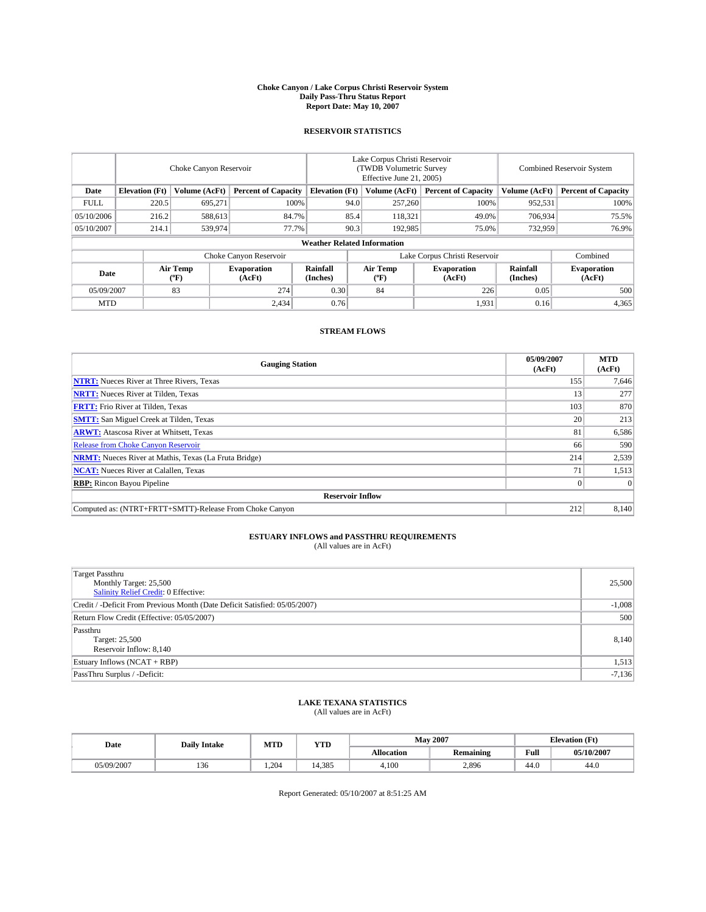#### **Choke Canyon / Lake Corpus Christi Reservoir System Daily Pass-Thru Status Report Report Date: May 10, 2007**

### **RESERVOIR STATISTICS**

|             | Choke Canyon Reservoir             |                  |                              |                       | Lake Corpus Christi Reservoir<br>(TWDB Volumetric Survey<br>Effective June 21, 2005) |                                           |                               |                      | <b>Combined Reservoir System</b> |  |  |
|-------------|------------------------------------|------------------|------------------------------|-----------------------|--------------------------------------------------------------------------------------|-------------------------------------------|-------------------------------|----------------------|----------------------------------|--|--|
| Date        | <b>Elevation</b> (Ft)              | Volume (AcFt)    | <b>Percent of Capacity</b>   | <b>Elevation</b> (Ft) |                                                                                      | Volume (AcFt)                             | <b>Percent of Capacity</b>    | Volume (AcFt)        | <b>Percent of Capacity</b>       |  |  |
| <b>FULL</b> | 220.5                              | 695.271          |                              | 100%                  | 94.0                                                                                 | 257,260                                   | 100%                          | 952,531              | 100%                             |  |  |
| 05/10/2006  | 216.2                              | 588,613          | 84.7%                        |                       | 85.4                                                                                 | 118,321                                   | 49.0%                         | 706,934              | 75.5%                            |  |  |
| 05/10/2007  | 214.1                              | 539,974          | 77.7%                        |                       | 90.3                                                                                 | 192,985                                   | 75.0%                         | 732,959              | 76.9%                            |  |  |
|             | <b>Weather Related Information</b> |                  |                              |                       |                                                                                      |                                           |                               |                      |                                  |  |  |
|             |                                    |                  | Choke Canyon Reservoir       |                       |                                                                                      |                                           | Lake Corpus Christi Reservoir |                      | Combined                         |  |  |
| Date        |                                    | Air Temp<br>(°F) | <b>Evaporation</b><br>(AcFt) | Rainfall<br>(Inches)  |                                                                                      | Air Temp<br>$({}^{\mathrm{o}}\mathrm{F})$ | <b>Evaporation</b><br>(AcFt)  | Rainfall<br>(Inches) | <b>Evaporation</b><br>(AcFt)     |  |  |
| 05/09/2007  |                                    | 83               | 274                          | 0.30                  |                                                                                      | 84                                        | 226                           | 0.05                 | 500                              |  |  |
| <b>MTD</b>  |                                    |                  | 2,434                        | 0.76                  |                                                                                      |                                           | 1,931                         | 0.16                 | 4,365                            |  |  |

## **STREAM FLOWS**

| <b>Gauging Station</b>                                       | 05/09/2007<br>(AcFt) | <b>MTD</b><br>(AcFt) |
|--------------------------------------------------------------|----------------------|----------------------|
| <b>NTRT:</b> Nueces River at Three Rivers, Texas             | 155                  | 7,646                |
| <b>NRTT:</b> Nueces River at Tilden, Texas                   | 13                   | 277                  |
| <b>FRTT:</b> Frio River at Tilden, Texas                     | 103                  | 870                  |
| <b>SMTT:</b> San Miguel Creek at Tilden, Texas               | 20                   | 213                  |
| <b>ARWT:</b> Atascosa River at Whitsett, Texas               | 81                   | 6,586                |
| <b>Release from Choke Canyon Reservoir</b>                   | 66                   | 590                  |
| <b>NRMT:</b> Nueces River at Mathis, Texas (La Fruta Bridge) | 214                  | 2,539                |
| <b>NCAT:</b> Nueces River at Calallen, Texas                 | 71                   | 1,513                |
| <b>RBP:</b> Rincon Bayou Pipeline                            |                      | $\Omega$             |
| <b>Reservoir Inflow</b>                                      |                      |                      |
| Computed as: (NTRT+FRTT+SMTT)-Release From Choke Canyon      | 212                  | 8.140                |

# **ESTUARY INFLOWS and PASSTHRU REQUIREMENTS**<br>(All values are in AcFt)

| <b>Target Passthru</b><br>Monthly Target: 25,500<br>Salinity Relief Credit: 0 Effective: | 25,500   |
|------------------------------------------------------------------------------------------|----------|
| Credit / -Deficit From Previous Month (Date Deficit Satisfied: 05/05/2007)               | $-1,008$ |
| Return Flow Credit (Effective: 05/05/2007)                                               | 500      |
| Passthru<br>Target: 25,500<br>Reservoir Inflow: 8,140                                    | 8,140    |
| Estuary Inflows (NCAT + RBP)                                                             | 1,513    |
| PassThru Surplus / -Deficit:                                                             | $-7,136$ |

## **LAKE TEXANA STATISTICS** (All values are in AcFt)

| Date       | <b>Daily Intake</b> | MTD | <b>YTD</b> |                   | <b>May 2007</b>  | <b>Elevation</b> (Ft) |            |
|------------|---------------------|-----|------------|-------------------|------------------|-----------------------|------------|
|            |                     |     |            | <b>Allocation</b> | <b>Remaining</b> | Full                  | 05/10/2007 |
| 05/09/2007 | 136                 | 204 | 4.385      | 4.100             | 2,896            | 44.0                  | 44.0       |

Report Generated: 05/10/2007 at 8:51:25 AM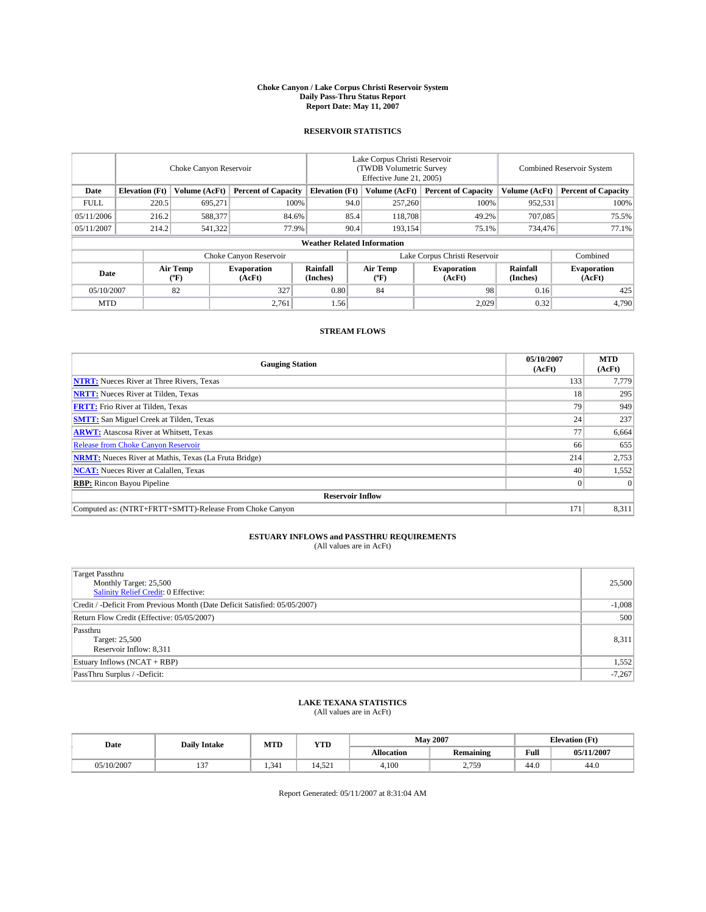#### **Choke Canyon / Lake Corpus Christi Reservoir System Daily Pass-Thru Status Report Report Date: May 11, 2007**

### **RESERVOIR STATISTICS**

|             | Choke Canyon Reservoir             |                  |                              |                       | Lake Corpus Christi Reservoir<br>(TWDB Volumetric Survey<br>Effective June 21, 2005) |                  |                               | Combined Reservoir System |                              |  |
|-------------|------------------------------------|------------------|------------------------------|-----------------------|--------------------------------------------------------------------------------------|------------------|-------------------------------|---------------------------|------------------------------|--|
| Date        | <b>Elevation</b> (Ft)              | Volume (AcFt)    | <b>Percent of Capacity</b>   | <b>Elevation</b> (Ft) |                                                                                      | Volume (AcFt)    | <b>Percent of Capacity</b>    | Volume (AcFt)             | <b>Percent of Capacity</b>   |  |
| <b>FULL</b> | 220.5                              | 695,271          | 100%                         |                       | 94.0                                                                                 | 257,260          | 100%                          | 952,531                   | 100%                         |  |
| 05/11/2006  | 216.2                              | 588,377          | 84.6%                        |                       | 85.4                                                                                 | 118,708          | 49.2%                         | 707,085                   | 75.5%                        |  |
| 05/11/2007  | 214.2                              | 541,322          | 77.9%                        |                       | 90.4                                                                                 | 193,154          | 75.1%                         | 734,476                   | 77.1%                        |  |
|             | <b>Weather Related Information</b> |                  |                              |                       |                                                                                      |                  |                               |                           |                              |  |
|             |                                    |                  | Choke Canyon Reservoir       |                       |                                                                                      |                  | Lake Corpus Christi Reservoir |                           | Combined                     |  |
| Date        |                                    | Air Temp<br>(°F) | <b>Evaporation</b><br>(AcFt) | Rainfall<br>(Inches)  |                                                                                      | Air Temp<br>("F) | <b>Evaporation</b><br>(AcFt)  | Rainfall<br>(Inches)      | <b>Evaporation</b><br>(AcFt) |  |
| 05/10/2007  |                                    | 82               | 327                          | 0.80                  |                                                                                      | 84               | 98                            | 0.16                      | 425                          |  |
| <b>MTD</b>  |                                    |                  | 2,761                        | 1.56                  |                                                                                      |                  | 2,029                         | 0.32                      | 4,790                        |  |

## **STREAM FLOWS**

| <b>Gauging Station</b>                                       | 05/10/2007<br>(AcFt) | <b>MTD</b><br>(AcFt) |
|--------------------------------------------------------------|----------------------|----------------------|
| <b>NTRT:</b> Nueces River at Three Rivers, Texas             | 133                  | 7.779                |
| <b>NRTT:</b> Nueces River at Tilden, Texas                   | 18                   | 295                  |
| <b>FRTT:</b> Frio River at Tilden, Texas                     | 79                   | 949                  |
| <b>SMTT:</b> San Miguel Creek at Tilden, Texas               | 24 <sub>1</sub>      | 237                  |
| <b>ARWT:</b> Atascosa River at Whitsett, Texas               | 77                   | 6,664                |
| <b>Release from Choke Canyon Reservoir</b>                   | 66                   | 655                  |
| <b>NRMT:</b> Nueces River at Mathis, Texas (La Fruta Bridge) | 214                  | 2,753                |
| <b>NCAT:</b> Nueces River at Calallen, Texas                 | 40                   | 1,552                |
| <b>RBP:</b> Rincon Bayou Pipeline                            |                      | $\Omega$             |
| <b>Reservoir Inflow</b>                                      |                      |                      |
| Computed as: (NTRT+FRTT+SMTT)-Release From Choke Canyon      | 171                  | 8,311                |

# **ESTUARY INFLOWS and PASSTHRU REQUIREMENTS**<br>(All values are in AcFt)

| <b>Target Passthru</b><br>Monthly Target: 25,500<br>Salinity Relief Credit: 0 Effective: | 25,500   |
|------------------------------------------------------------------------------------------|----------|
| Credit / -Deficit From Previous Month (Date Deficit Satisfied: 05/05/2007)               | $-1,008$ |
| Return Flow Credit (Effective: 05/05/2007)                                               | 500      |
| Passthru<br>Target: 25,500<br>Reservoir Inflow: 8,311                                    | 8,311    |
| Estuary Inflows (NCAT + RBP)                                                             | 1,552    |
| PassThru Surplus / -Deficit:                                                             | $-7,267$ |

## **LAKE TEXANA STATISTICS** (All values are in AcFt)

| Date       | <b>Daily Intake</b> | MTD   | <b>YTD</b> |                   | <b>May 2007</b>              | <b>Elevation</b> (Ft) |            |
|------------|---------------------|-------|------------|-------------------|------------------------------|-----------------------|------------|
|            |                     |       |            | <b>Allocation</b> | <b>Remaining</b>             | Full                  | 05/11/2007 |
| 05/10/2007 | $\sim$<br>121       | 1.341 | 4.521      | 4.100             | 2 750<br><u>، ، ،</u><br>. ب | 44.0                  | 44.0       |

Report Generated: 05/11/2007 at 8:31:04 AM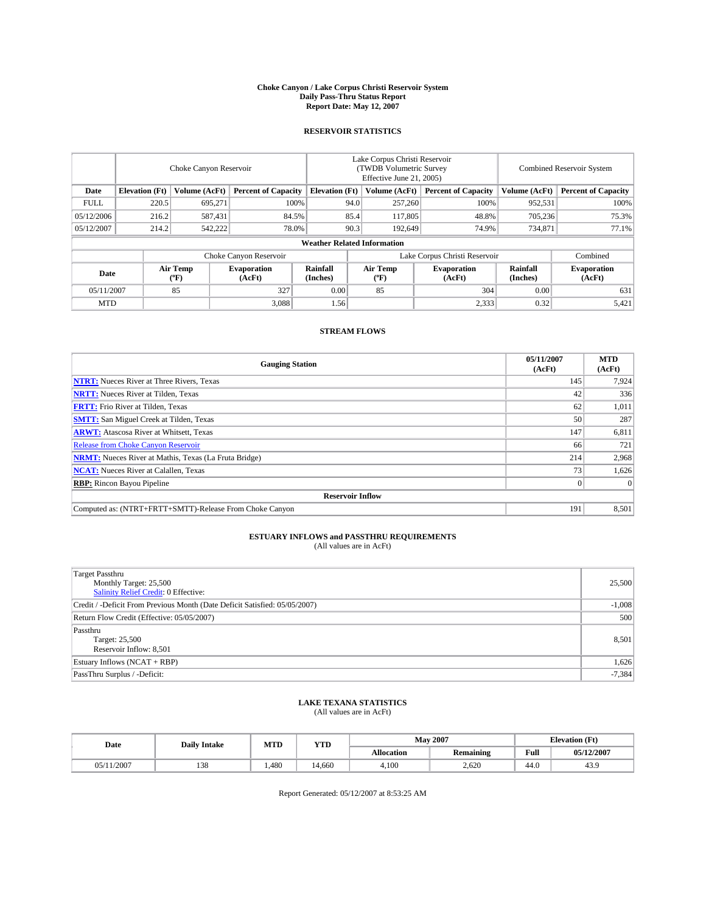#### **Choke Canyon / Lake Corpus Christi Reservoir System Daily Pass-Thru Status Report Report Date: May 12, 2007**

### **RESERVOIR STATISTICS**

|             | Choke Canyon Reservoir             |                               |                              |                       | Lake Corpus Christi Reservoir<br>(TWDB Volumetric Survey<br>Effective June 21, 2005) |                  |                              | Combined Reservoir System |                              |  |
|-------------|------------------------------------|-------------------------------|------------------------------|-----------------------|--------------------------------------------------------------------------------------|------------------|------------------------------|---------------------------|------------------------------|--|
| Date        | <b>Elevation</b> (Ft)              | Volume (AcFt)                 | <b>Percent of Capacity</b>   | <b>Elevation</b> (Ft) |                                                                                      | Volume (AcFt)    | <b>Percent of Capacity</b>   | Volume (AcFt)             | <b>Percent of Capacity</b>   |  |
| <b>FULL</b> | 220.5                              | 695.271                       | 100%                         |                       | 94.0                                                                                 | 257,260          | 100%                         | 952,531                   | 100%                         |  |
| 05/12/2006  | 216.2                              | 587,431                       | 84.5%                        |                       | 85.4                                                                                 | 117,805          | 48.8%                        | 705,236                   | 75.3%                        |  |
| 05/12/2007  | 214.2                              | 542,222                       | 78.0%                        |                       | 90.3                                                                                 | 192,649          | 74.9%                        | 734,871                   | 77.1%                        |  |
|             | <b>Weather Related Information</b> |                               |                              |                       |                                                                                      |                  |                              |                           |                              |  |
|             |                                    | Lake Corpus Christi Reservoir |                              |                       |                                                                                      | Combined         |                              |                           |                              |  |
| Date        |                                    | Air Temp<br>(°F)              | <b>Evaporation</b><br>(AcFt) | Rainfall<br>(Inches)  |                                                                                      | Air Temp<br>("F) | <b>Evaporation</b><br>(AcFt) | Rainfall<br>(Inches)      | <b>Evaporation</b><br>(AcFt) |  |
| 05/11/2007  |                                    | 85                            | 327                          | 0.00                  |                                                                                      | 85               | 304                          | 0.00                      | 631                          |  |
| <b>MTD</b>  |                                    |                               | 3,088                        | 1.56                  |                                                                                      |                  | 2,333                        | 0.32                      | 5,421                        |  |

## **STREAM FLOWS**

| <b>Gauging Station</b>                                       | 05/11/2007<br>(AcFt) | <b>MTD</b><br>(AcFt) |
|--------------------------------------------------------------|----------------------|----------------------|
| <b>NTRT:</b> Nueces River at Three Rivers, Texas             | 145                  | 7,924                |
| <b>NRTT:</b> Nueces River at Tilden, Texas                   | 42                   | 336                  |
| <b>FRTT:</b> Frio River at Tilden, Texas                     | 62                   | 1,011                |
| <b>SMTT:</b> San Miguel Creek at Tilden, Texas               | 50                   | 287                  |
| <b>ARWT:</b> Atascosa River at Whitsett, Texas               | 147                  | 6,811                |
| <b>Release from Choke Canyon Reservoir</b>                   | 66                   | 721                  |
| <b>NRMT:</b> Nueces River at Mathis, Texas (La Fruta Bridge) | 214                  | 2,968                |
| <b>NCAT:</b> Nueces River at Calallen, Texas                 | 73                   | 1,626                |
| <b>RBP:</b> Rincon Bayou Pipeline                            |                      | $\Omega$             |
| <b>Reservoir Inflow</b>                                      |                      |                      |
| Computed as: (NTRT+FRTT+SMTT)-Release From Choke Canyon      | 191                  | 8,501                |

# **ESTUARY INFLOWS and PASSTHRU REQUIREMENTS**<br>(All values are in AcFt)

| <b>Target Passthru</b><br>Monthly Target: 25,500<br>Salinity Relief Credit: 0 Effective: | 25,500   |
|------------------------------------------------------------------------------------------|----------|
| Credit / -Deficit From Previous Month (Date Deficit Satisfied: 05/05/2007)               | $-1,008$ |
| Return Flow Credit (Effective: 05/05/2007)                                               | 500      |
| Passthru<br>Target: 25,500<br>Reservoir Inflow: 8,501                                    | 8,501    |
| Estuary Inflows (NCAT + RBP)                                                             | 1,626    |
| PassThru Surplus / -Deficit:                                                             | $-7,384$ |

## **LAKE TEXANA STATISTICS** (All values are in AcFt)

| Date       | <b>Daily Intake</b> | MTD   | <b>YTD</b> |                   | <b>May 2007</b>  | <b>Elevation</b> (Ft) |            |
|------------|---------------------|-------|------------|-------------------|------------------|-----------------------|------------|
|            |                     |       |            | <b>Allocation</b> | <b>Remaining</b> | Full                  | 05/12/2007 |
| 05/11/2007 | 138                 | 1.480 | 4.660      | 4.100             | 2.620            | 44.0                  | 43.9       |

Report Generated: 05/12/2007 at 8:53:25 AM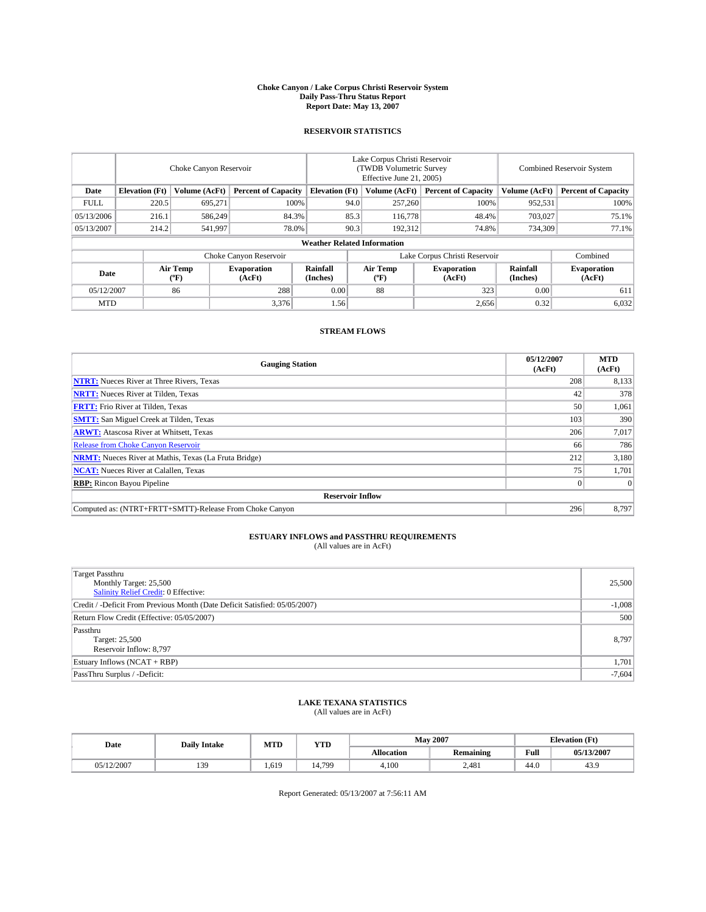#### **Choke Canyon / Lake Corpus Christi Reservoir System Daily Pass-Thru Status Report Report Date: May 13, 2007**

### **RESERVOIR STATISTICS**

|             | Choke Canyon Reservoir             |                  |                              |                       | Lake Corpus Christi Reservoir<br>(TWDB Volumetric Survey<br>Effective June 21, 2005) |                  |                               |                      | Combined Reservoir System    |  |  |
|-------------|------------------------------------|------------------|------------------------------|-----------------------|--------------------------------------------------------------------------------------|------------------|-------------------------------|----------------------|------------------------------|--|--|
| Date        | <b>Elevation</b> (Ft)              | Volume (AcFt)    | <b>Percent of Capacity</b>   | <b>Elevation</b> (Ft) |                                                                                      | Volume (AcFt)    | <b>Percent of Capacity</b>    | Volume (AcFt)        | <b>Percent of Capacity</b>   |  |  |
| <b>FULL</b> | 220.5                              | 695.271          | 100%                         |                       | 94.0                                                                                 | 257,260          | 100%                          | 952,531              | 100%                         |  |  |
| 05/13/2006  | 216.1                              | 586,249          | 84.3%                        |                       | 85.3                                                                                 | 116,778          | 48.4%                         | 703,027              | 75.1%                        |  |  |
| 05/13/2007  | 214.2                              | 541,997          | 78.0%                        |                       | 90.3                                                                                 | 192.312          | 74.8%                         | 734,309              | 77.1%                        |  |  |
|             | <b>Weather Related Information</b> |                  |                              |                       |                                                                                      |                  |                               |                      |                              |  |  |
|             |                                    |                  | Choke Canyon Reservoir       |                       |                                                                                      |                  | Lake Corpus Christi Reservoir |                      | Combined                     |  |  |
| Date        |                                    | Air Temp<br>(°F) | <b>Evaporation</b><br>(AcFt) | Rainfall<br>(Inches)  |                                                                                      | Air Temp<br>("F) | <b>Evaporation</b><br>(AcFt)  | Rainfall<br>(Inches) | <b>Evaporation</b><br>(AcFt) |  |  |
| 05/12/2007  |                                    | 86               | 288                          | 0.00                  |                                                                                      | 88               | 323                           | 0.00                 | 611                          |  |  |
| <b>MTD</b>  |                                    |                  | 3,376                        | 1.56                  |                                                                                      |                  | 2,656                         | 0.32                 | 6,032                        |  |  |

## **STREAM FLOWS**

| <b>Gauging Station</b>                                       | 05/12/2007<br>(AcFt) | <b>MTD</b><br>(AcFt) |
|--------------------------------------------------------------|----------------------|----------------------|
| <b>NTRT:</b> Nueces River at Three Rivers, Texas             | 208                  | 8,133                |
| <b>NRTT:</b> Nueces River at Tilden, Texas                   | 42                   | 378                  |
| <b>FRTT:</b> Frio River at Tilden, Texas                     | 50                   | 1,061                |
| <b>SMTT:</b> San Miguel Creek at Tilden, Texas               | 103                  | 390                  |
| <b>ARWT:</b> Atascosa River at Whitsett, Texas               | 206                  | 7,017                |
| <b>Release from Choke Canyon Reservoir</b>                   | 66                   | 786                  |
| <b>NRMT:</b> Nueces River at Mathis, Texas (La Fruta Bridge) | 212                  | 3,180                |
| <b>NCAT:</b> Nueces River at Calallen, Texas                 | 75                   | 1,701                |
| <b>RBP:</b> Rincon Bayou Pipeline                            |                      | $\Omega$             |
| <b>Reservoir Inflow</b>                                      |                      |                      |
| Computed as: (NTRT+FRTT+SMTT)-Release From Choke Canyon      | 296                  | 8.797                |

# **ESTUARY INFLOWS and PASSTHRU REQUIREMENTS**<br>(All values are in AcFt)

| <b>Target Passthru</b><br>Monthly Target: 25,500<br>Salinity Relief Credit: 0 Effective: | 25,500   |
|------------------------------------------------------------------------------------------|----------|
| Credit / -Deficit From Previous Month (Date Deficit Satisfied: 05/05/2007)               | $-1,008$ |
| Return Flow Credit (Effective: 05/05/2007)                                               | 500      |
| Passthru<br>Target: 25,500<br>Reservoir Inflow: 8,797                                    | 8,797    |
| Estuary Inflows (NCAT + RBP)                                                             | 1,701    |
| PassThru Surplus / -Deficit:                                                             | $-7,604$ |

## **LAKE TEXANA STATISTICS** (All values are in AcFt)

| Date       | <b>Daily Intake</b> | MTD   | <b>YTD</b> |                   | <b>May 2007</b>  | <b>Elevation</b> (Ft) |            |
|------------|---------------------|-------|------------|-------------------|------------------|-----------------------|------------|
|            |                     |       |            | <b>Allocation</b> | <b>Remaining</b> | Full                  | 05/13/2007 |
| 05/12/2007 | 139                 | 1,619 | 14.799     | 4.100             | 2.481            | 44.0                  | 43.9       |

Report Generated: 05/13/2007 at 7:56:11 AM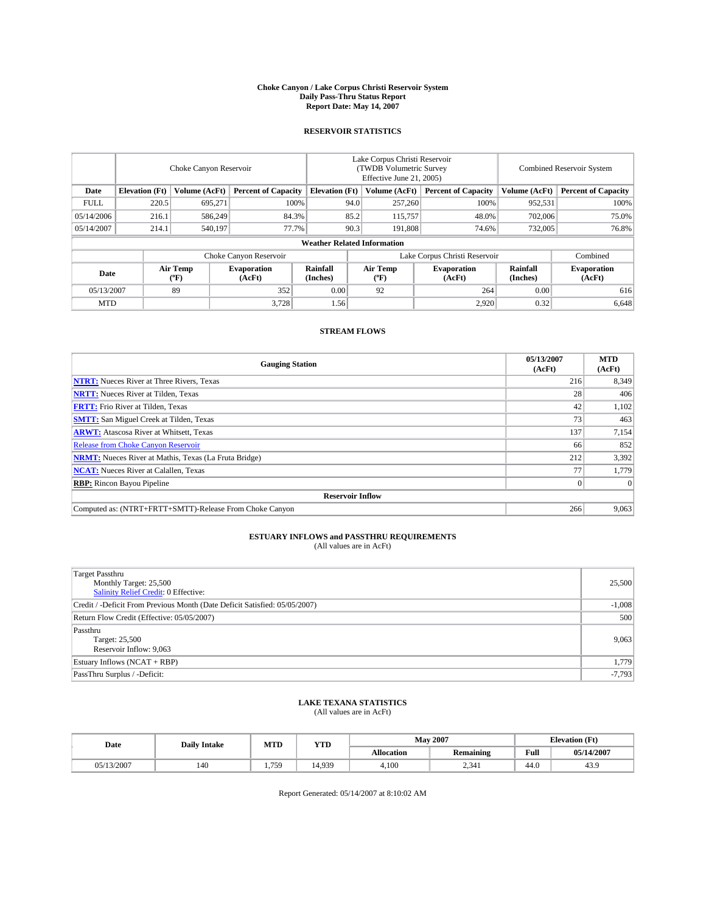#### **Choke Canyon / Lake Corpus Christi Reservoir System Daily Pass-Thru Status Report Report Date: May 14, 2007**

### **RESERVOIR STATISTICS**

|             | Choke Canyon Reservoir             |                  |                              |                       | Lake Corpus Christi Reservoir<br>(TWDB Volumetric Survey<br>Effective June 21, 2005) |                  |                               | Combined Reservoir System |                              |  |
|-------------|------------------------------------|------------------|------------------------------|-----------------------|--------------------------------------------------------------------------------------|------------------|-------------------------------|---------------------------|------------------------------|--|
| Date        | <b>Elevation</b> (Ft)              | Volume (AcFt)    | <b>Percent of Capacity</b>   | <b>Elevation</b> (Ft) |                                                                                      | Volume (AcFt)    | <b>Percent of Capacity</b>    | Volume (AcFt)             | <b>Percent of Capacity</b>   |  |
| <b>FULL</b> | 220.5                              | 695.271          |                              | 100%                  | 94.0                                                                                 | 257,260          | 100%                          | 952,531                   | 100%                         |  |
| 05/14/2006  | 216.1                              | 586,249          | 84.3%                        |                       | 85.2                                                                                 | 115,757          | 48.0%                         | 702,006                   | 75.0%                        |  |
| 05/14/2007  | 214.1                              | 540,197          | 77.7%                        |                       | 90.3                                                                                 | 191.808          | 74.6%                         | 732,005                   | 76.8%                        |  |
|             | <b>Weather Related Information</b> |                  |                              |                       |                                                                                      |                  |                               |                           |                              |  |
|             |                                    |                  | Choke Canyon Reservoir       |                       |                                                                                      |                  | Lake Corpus Christi Reservoir |                           | Combined                     |  |
| Date        |                                    | Air Temp<br>(°F) | <b>Evaporation</b><br>(AcFt) | Rainfall<br>(Inches)  |                                                                                      | Air Temp<br>("F) | <b>Evaporation</b><br>(AcFt)  | Rainfall<br>(Inches)      | <b>Evaporation</b><br>(AcFt) |  |
| 05/13/2007  |                                    | 89               | 352                          | 0.00                  |                                                                                      | 92               | 264                           | 0.00                      | 616                          |  |
| <b>MTD</b>  |                                    |                  | 3,728                        | 1.56                  |                                                                                      |                  | 2,920                         | 0.32                      | 6,648                        |  |

## **STREAM FLOWS**

| <b>Gauging Station</b>                                       | 05/13/2007<br>(AcFt) | <b>MTD</b><br>(AcFt) |
|--------------------------------------------------------------|----------------------|----------------------|
| <b>NTRT:</b> Nueces River at Three Rivers, Texas             | 216                  | 8,349                |
| <b>NRTT:</b> Nueces River at Tilden, Texas                   | 28                   | 406                  |
| <b>FRTT:</b> Frio River at Tilden, Texas                     | 42                   | 1,102                |
| <b>SMTT:</b> San Miguel Creek at Tilden, Texas               | 73 <sub>1</sub>      | 463                  |
| <b>ARWT:</b> Atascosa River at Whitsett, Texas               | 137                  | 7,154                |
| <b>Release from Choke Canyon Reservoir</b>                   | 66                   | 852                  |
| <b>NRMT:</b> Nueces River at Mathis, Texas (La Fruta Bridge) | 212                  | 3,392                |
| <b>NCAT:</b> Nueces River at Calallen, Texas                 | 77                   | 1,779                |
| <b>RBP:</b> Rincon Bayou Pipeline                            |                      | $\Omega$             |
| <b>Reservoir Inflow</b>                                      |                      |                      |
| Computed as: (NTRT+FRTT+SMTT)-Release From Choke Canyon      | 266                  | 9,063                |

# **ESTUARY INFLOWS and PASSTHRU REQUIREMENTS**<br>(All values are in AcFt)

| <b>Target Passthru</b><br>Monthly Target: 25,500<br>Salinity Relief Credit: 0 Effective: | 25,500   |
|------------------------------------------------------------------------------------------|----------|
| Credit / -Deficit From Previous Month (Date Deficit Satisfied: 05/05/2007)               | $-1,008$ |
| Return Flow Credit (Effective: 05/05/2007)                                               | 500      |
| Passthru<br>Target: 25,500<br>Reservoir Inflow: 9,063                                    | 9,063    |
| Estuary Inflows (NCAT + RBP)                                                             | 1,779    |
| PassThru Surplus / -Deficit:                                                             | $-7,793$ |

## **LAKE TEXANA STATISTICS** (All values are in AcFt)

| Date       | <b>Daily Intake</b> | MTD  | <b>YTD</b> |                   | <b>May 2007</b>  | <b>Elevation</b> (Ft) |            |
|------------|---------------------|------|------------|-------------------|------------------|-----------------------|------------|
|            |                     |      |            | <b>Allocation</b> | <b>Remaining</b> | Full                  | 05/14/2007 |
| 05/13/2007 | 140                 | ,759 | 4.939      | 4.100             | 2,341            | 44.0                  | 43.9       |

Report Generated: 05/14/2007 at 8:10:02 AM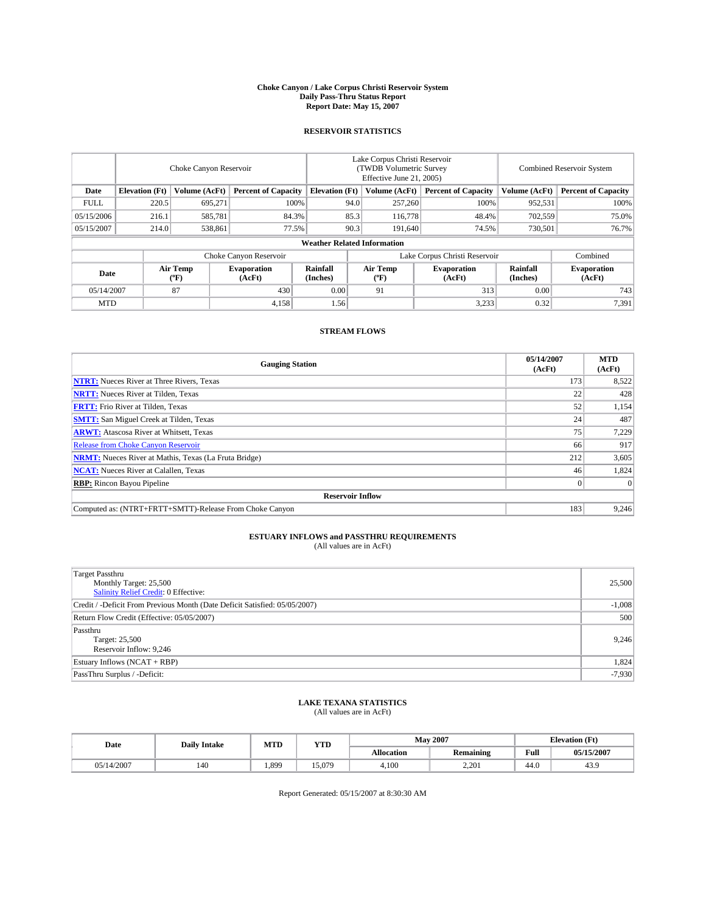#### **Choke Canyon / Lake Corpus Christi Reservoir System Daily Pass-Thru Status Report Report Date: May 15, 2007**

### **RESERVOIR STATISTICS**

|             | Choke Canyon Reservoir             |                         |                              |                       | Lake Corpus Christi Reservoir<br>(TWDB Volumetric Survey<br>Effective June 21, 2005) |                                           |                               |                      | <b>Combined Reservoir System</b> |  |  |
|-------------|------------------------------------|-------------------------|------------------------------|-----------------------|--------------------------------------------------------------------------------------|-------------------------------------------|-------------------------------|----------------------|----------------------------------|--|--|
| Date        | <b>Elevation</b> (Ft)              | Volume (AcFt)           | <b>Percent of Capacity</b>   | <b>Elevation</b> (Ft) |                                                                                      | Volume (AcFt)                             | <b>Percent of Capacity</b>    | Volume (AcFt)        | <b>Percent of Capacity</b>       |  |  |
| <b>FULL</b> | 220.5                              | 695.271                 | 100%                         |                       | 94.0                                                                                 | 257,260                                   | 100%                          | 952,531              | 100%                             |  |  |
| 05/15/2006  | 216.1                              | 585,781                 | 84.3%                        |                       | 85.3                                                                                 | 116,778                                   | 48.4%                         | 702,559              | 75.0%                            |  |  |
| 05/15/2007  | 214.0                              | 538,861                 | 77.5%                        |                       | 90.3                                                                                 | 191,640                                   | 74.5%                         | 730,501              | 76.7%                            |  |  |
|             | <b>Weather Related Information</b> |                         |                              |                       |                                                                                      |                                           |                               |                      |                                  |  |  |
|             |                                    |                         | Choke Canyon Reservoir       |                       |                                                                                      |                                           | Lake Corpus Christi Reservoir |                      | Combined                         |  |  |
| Date        |                                    | <b>Air Temp</b><br>(°F) | <b>Evaporation</b><br>(AcFt) | Rainfall<br>(Inches)  |                                                                                      | Air Temp<br>$({}^{\mathrm{o}}\mathrm{F})$ | <b>Evaporation</b><br>(AcFt)  | Rainfall<br>(Inches) | <b>Evaporation</b><br>(AcFt)     |  |  |
| 05/14/2007  |                                    | 87                      | 430                          | 0.00                  |                                                                                      | 91                                        | 313                           | 0.00                 | 743                              |  |  |
| <b>MTD</b>  |                                    |                         | 4,158                        | 1.56                  |                                                                                      |                                           | 3,233                         | 0.32                 | 7,391                            |  |  |

## **STREAM FLOWS**

| <b>Gauging Station</b>                                       | 05/14/2007<br>(AcFt) | <b>MTD</b><br>(AcFt) |
|--------------------------------------------------------------|----------------------|----------------------|
| <b>NTRT:</b> Nueces River at Three Rivers, Texas             | 173                  | 8,522                |
| <b>NRTT:</b> Nueces River at Tilden, Texas                   | 22                   | 428                  |
| <b>FRTT:</b> Frio River at Tilden, Texas                     | 52                   | 1,154                |
| <b>SMTT:</b> San Miguel Creek at Tilden, Texas               | 24                   | 487                  |
| <b>ARWT:</b> Atascosa River at Whitsett, Texas               | 75                   | 7,229                |
| <b>Release from Choke Canyon Reservoir</b>                   | 66                   | 917                  |
| <b>NRMT:</b> Nueces River at Mathis, Texas (La Fruta Bridge) | 212                  | 3,605                |
| <b>NCAT:</b> Nueces River at Calallen, Texas                 | 46                   | 1,824                |
| <b>RBP:</b> Rincon Bayou Pipeline                            |                      | $\Omega$             |
| <b>Reservoir Inflow</b>                                      |                      |                      |
| Computed as: (NTRT+FRTT+SMTT)-Release From Choke Canyon      | 183                  | 9.246                |

# **ESTUARY INFLOWS and PASSTHRU REQUIREMENTS**<br>(All values are in AcFt)

| <b>Target Passthru</b><br>Monthly Target: 25,500<br>Salinity Relief Credit: 0 Effective: | 25,500   |
|------------------------------------------------------------------------------------------|----------|
| Credit / -Deficit From Previous Month (Date Deficit Satisfied: 05/05/2007)               | $-1,008$ |
| Return Flow Credit (Effective: 05/05/2007)                                               | 500      |
| Passthru<br>Target: 25,500<br>Reservoir Inflow: 9,246                                    | 9.246    |
| Estuary Inflows (NCAT + RBP)                                                             | 1,824    |
| PassThru Surplus / -Deficit:                                                             | $-7,930$ |

## **LAKE TEXANA STATISTICS** (All values are in AcFt)

| Date       | <b>Daily Intake</b> | MTD   | <b>YTD</b> |            | <b>May 2007</b>  |      | <b>Elevation</b> (Ft) |
|------------|---------------------|-------|------------|------------|------------------|------|-----------------------|
|            |                     |       |            | Allocation | <b>Remaining</b> | Full | 05/15/2007            |
| 05/14/2007 | 140                 | 1,899 | 15.079     | 4.100      | 2.201            | 44.0 | 43.9                  |

Report Generated: 05/15/2007 at 8:30:30 AM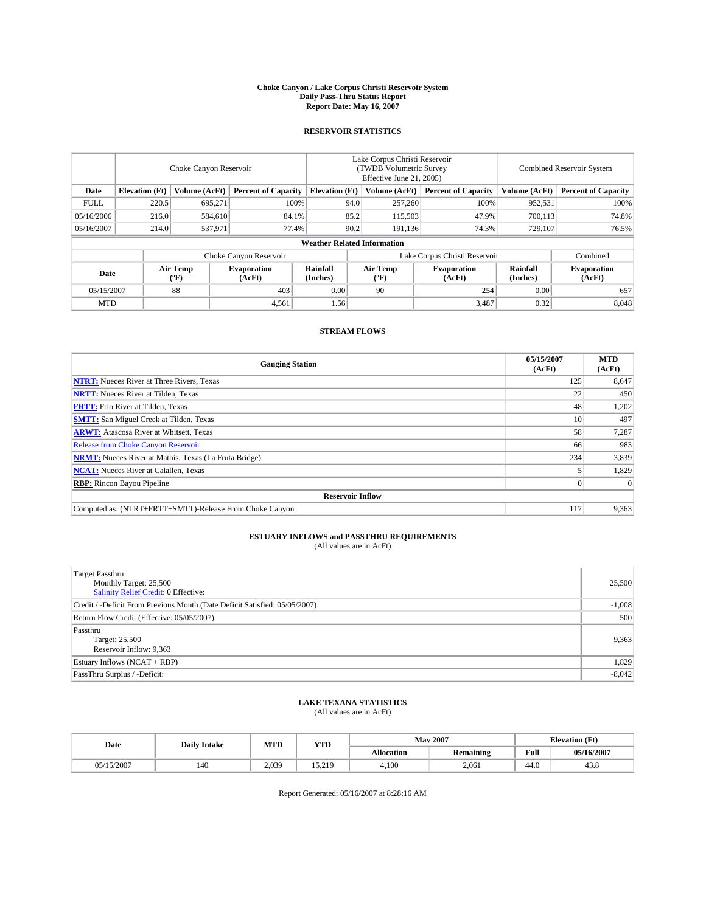#### **Choke Canyon / Lake Corpus Christi Reservoir System Daily Pass-Thru Status Report Report Date: May 16, 2007**

### **RESERVOIR STATISTICS**

|             | Choke Canyon Reservoir             |                         |                              |                       | Lake Corpus Christi Reservoir<br>(TWDB Volumetric Survey<br>Effective June 21, 2005) |                                           |                               |                      | <b>Combined Reservoir System</b> |  |  |
|-------------|------------------------------------|-------------------------|------------------------------|-----------------------|--------------------------------------------------------------------------------------|-------------------------------------------|-------------------------------|----------------------|----------------------------------|--|--|
| Date        | <b>Elevation</b> (Ft)              | Volume (AcFt)           | <b>Percent of Capacity</b>   | <b>Elevation</b> (Ft) |                                                                                      | Volume (AcFt)                             | <b>Percent of Capacity</b>    | Volume (AcFt)        | <b>Percent of Capacity</b>       |  |  |
| <b>FULL</b> | 220.5                              | 695.271                 | 100%                         |                       | 94.0                                                                                 | 257,260                                   | 100%                          | 952,531              | 100%                             |  |  |
| 05/16/2006  | 216.0                              | 584,610                 | 84.1%                        |                       | 85.2                                                                                 | 115,503                                   | 47.9%                         | 700,113              | 74.8%                            |  |  |
| 05/16/2007  | 214.0                              | 537,971                 | 77.4%                        |                       | 90.2                                                                                 | 191.136                                   | 74.3%                         | 729.107              | 76.5%                            |  |  |
|             | <b>Weather Related Information</b> |                         |                              |                       |                                                                                      |                                           |                               |                      |                                  |  |  |
|             |                                    |                         | Choke Canyon Reservoir       |                       |                                                                                      |                                           | Lake Corpus Christi Reservoir |                      | Combined                         |  |  |
| Date        |                                    | <b>Air Temp</b><br>(°F) | <b>Evaporation</b><br>(AcFt) | Rainfall<br>(Inches)  |                                                                                      | Air Temp<br>$({}^{\mathrm{o}}\mathrm{F})$ | <b>Evaporation</b><br>(AcFt)  | Rainfall<br>(Inches) | <b>Evaporation</b><br>(AcFt)     |  |  |
| 05/15/2007  |                                    | 88                      | 403                          | 0.00                  |                                                                                      | 90                                        | 254                           | 0.00                 | 657                              |  |  |
| <b>MTD</b>  |                                    |                         | 4,561                        | 1.56                  |                                                                                      |                                           | 3,487                         | 0.32                 | 8,048                            |  |  |

## **STREAM FLOWS**

| <b>Gauging Station</b>                                       | 05/15/2007<br>(AcFt) | <b>MTD</b><br>(AcFt) |
|--------------------------------------------------------------|----------------------|----------------------|
| <b>NTRT:</b> Nueces River at Three Rivers, Texas             | 125                  | 8,647                |
| <b>NRTT:</b> Nueces River at Tilden, Texas                   | 22                   | 450                  |
| <b>FRTT:</b> Frio River at Tilden, Texas                     | 48                   | 1,202                |
| <b>SMTT:</b> San Miguel Creek at Tilden, Texas               | 10                   | 497                  |
| <b>ARWT:</b> Atascosa River at Whitsett, Texas               | 58                   | 7,287                |
| <b>Release from Choke Canyon Reservoir</b>                   | 66                   | 983                  |
| <b>NRMT:</b> Nueces River at Mathis, Texas (La Fruta Bridge) | 234                  | 3,839                |
| <b>NCAT:</b> Nueces River at Calallen, Texas                 |                      | 1,829                |
| <b>RBP:</b> Rincon Bayou Pipeline                            |                      | $\Omega$             |
| <b>Reservoir Inflow</b>                                      |                      |                      |
| Computed as: (NTRT+FRTT+SMTT)-Release From Choke Canyon      | 117                  | 9,363                |

# **ESTUARY INFLOWS and PASSTHRU REQUIREMENTS**<br>(All values are in AcFt)

| <b>Target Passthru</b><br>Monthly Target: 25,500<br>Salinity Relief Credit: 0 Effective: | 25,500   |
|------------------------------------------------------------------------------------------|----------|
| Credit / -Deficit From Previous Month (Date Deficit Satisfied: 05/05/2007)               | $-1,008$ |
| Return Flow Credit (Effective: 05/05/2007)                                               | 500      |
| Passthru<br>Target: 25,500<br>Reservoir Inflow: 9,363                                    | 9,363    |
| Estuary Inflows (NCAT + RBP)                                                             | 1,829    |
| PassThru Surplus / -Deficit:                                                             | $-8,042$ |

## **LAKE TEXANA STATISTICS** (All values are in AcFt)

| Date            | <b>Daily Intake</b> | MTD   | <b>YTD</b>       |                   | <b>May 2007</b>  | <b>Elevation</b> (Ft) |            |
|-----------------|---------------------|-------|------------------|-------------------|------------------|-----------------------|------------|
|                 |                     |       |                  | <b>Allocation</b> | <b>Remaining</b> | Full                  | 05/16/2007 |
| /15/2007<br>n5/ | 140                 | 2.039 | 15 210<br>17.413 | 4.100             | 2.061            | 44.0                  | 43.8       |

Report Generated: 05/16/2007 at 8:28:16 AM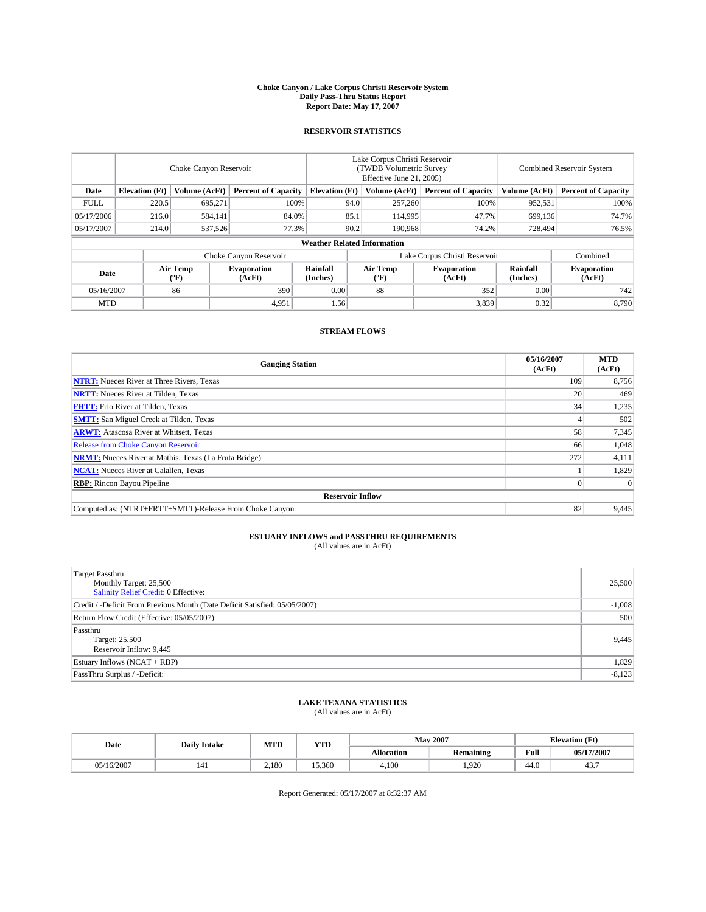#### **Choke Canyon / Lake Corpus Christi Reservoir System Daily Pass-Thru Status Report Report Date: May 17, 2007**

### **RESERVOIR STATISTICS**

|             | Choke Canyon Reservoir             |                  |                              |                       | Lake Corpus Christi Reservoir<br>(TWDB Volumetric Survey<br>Effective June 21, 2005) |                  |                               | Combined Reservoir System |                              |  |
|-------------|------------------------------------|------------------|------------------------------|-----------------------|--------------------------------------------------------------------------------------|------------------|-------------------------------|---------------------------|------------------------------|--|
| Date        | <b>Elevation</b> (Ft)              | Volume (AcFt)    | <b>Percent of Capacity</b>   | <b>Elevation</b> (Ft) |                                                                                      | Volume (AcFt)    | <b>Percent of Capacity</b>    | Volume (AcFt)             | <b>Percent of Capacity</b>   |  |
| <b>FULL</b> | 220.5                              | 695,271          |                              | 100%                  | 94.0                                                                                 | 257,260          | 100%                          | 952,531                   | 100%                         |  |
| 05/17/2006  | 216.0                              | 584,141          | 84.0%                        |                       | 85.1                                                                                 | 114,995          | 47.7%                         | 699,136                   | 74.7%                        |  |
| 05/17/2007  | 214.0                              | 537,526          | 77.3%                        |                       | 90.2                                                                                 | 190.968          | 74.2%                         | 728,494                   | 76.5%                        |  |
|             | <b>Weather Related Information</b> |                  |                              |                       |                                                                                      |                  |                               |                           |                              |  |
|             |                                    |                  | Choke Canyon Reservoir       |                       |                                                                                      |                  | Lake Corpus Christi Reservoir |                           | Combined                     |  |
| Date        |                                    | Air Temp<br>(°F) | <b>Evaporation</b><br>(AcFt) | Rainfall<br>(Inches)  |                                                                                      | Air Temp<br>("F) | <b>Evaporation</b><br>(AcFt)  | Rainfall<br>(Inches)      | <b>Evaporation</b><br>(AcFt) |  |
| 05/16/2007  |                                    | 86               | 390                          | 0.00                  |                                                                                      | 88               | 352                           | 0.00                      | 742                          |  |
| <b>MTD</b>  |                                    |                  | 4,951                        | 1.56                  |                                                                                      |                  | 3,839                         | 0.32                      | 8,790                        |  |

## **STREAM FLOWS**

| <b>Gauging Station</b>                                       | 05/16/2007<br>(AcFt) | <b>MTD</b><br>(AcFt) |
|--------------------------------------------------------------|----------------------|----------------------|
| <b>NTRT:</b> Nueces River at Three Rivers, Texas             | 109                  | 8,756                |
| <b>NRTT:</b> Nueces River at Tilden, Texas                   | 20                   | 469                  |
| <b>FRTT:</b> Frio River at Tilden, Texas                     | 34                   | 1,235                |
| <b>SMTT:</b> San Miguel Creek at Tilden, Texas               |                      | 502                  |
| <b>ARWT:</b> Atascosa River at Whitsett, Texas               | 58                   | 7,345                |
| <b>Release from Choke Canyon Reservoir</b>                   | 66                   | 1,048                |
| <b>NRMT:</b> Nueces River at Mathis, Texas (La Fruta Bridge) | 272                  | 4,111                |
| <b>NCAT:</b> Nueces River at Calallen, Texas                 |                      | 1,829                |
| <b>RBP:</b> Rincon Bayou Pipeline                            |                      | $\Omega$             |
| <b>Reservoir Inflow</b>                                      |                      |                      |
| Computed as: (NTRT+FRTT+SMTT)-Release From Choke Canyon      | 82                   | 9,445                |

# **ESTUARY INFLOWS and PASSTHRU REQUIREMENTS**<br>(All values are in AcFt)

| <b>Target Passthru</b><br>Monthly Target: 25,500<br>Salinity Relief Credit: 0 Effective: | 25,500   |
|------------------------------------------------------------------------------------------|----------|
| Credit / -Deficit From Previous Month (Date Deficit Satisfied: 05/05/2007)               | $-1,008$ |
| Return Flow Credit (Effective: 05/05/2007)                                               | 500      |
| Passthru<br>Target: 25,500<br>Reservoir Inflow: 9,445                                    | 9,445    |
| Estuary Inflows (NCAT + RBP)                                                             | 1,829    |
| PassThru Surplus / -Deficit:                                                             | $-8,123$ |

## **LAKE TEXANA STATISTICS** (All values are in AcFt)

| Date       | <b>Daily Intake</b> | MTD   | <b>YTD</b> |                   | <b>May 2007</b>  |      | <b>Elevation</b> (Ft) |
|------------|---------------------|-------|------------|-------------------|------------------|------|-----------------------|
|            |                     |       |            | <b>Allocation</b> | <b>Remaining</b> | Full | 05/17/2007            |
| 05/16/2007 | 141                 | 2,180 | 15.360     | 4.100             | .920             | 44.0 | 40.                   |

Report Generated: 05/17/2007 at 8:32:37 AM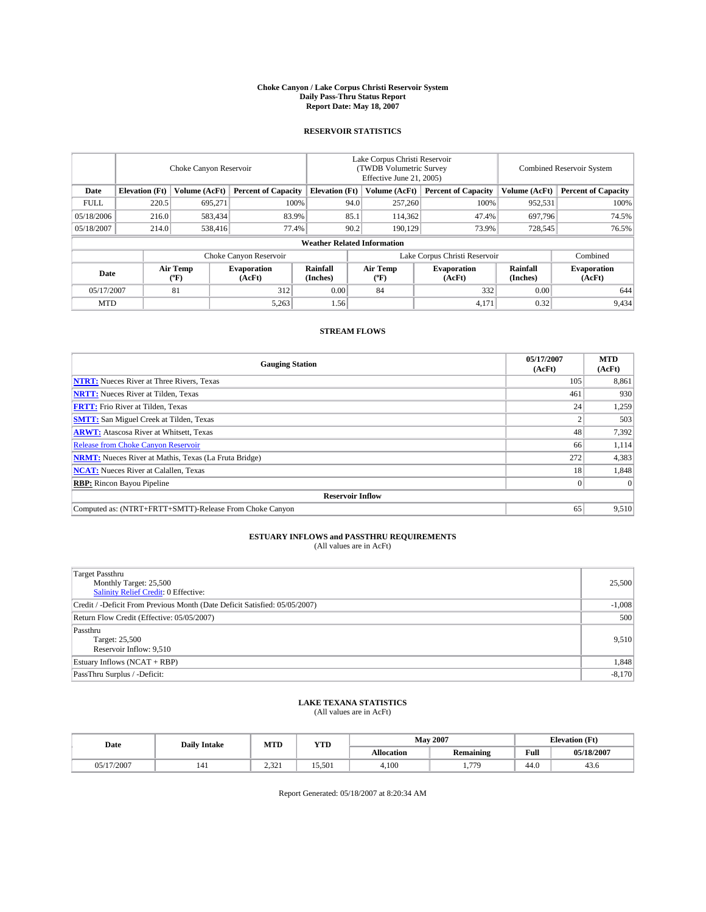#### **Choke Canyon / Lake Corpus Christi Reservoir System Daily Pass-Thru Status Report Report Date: May 18, 2007**

### **RESERVOIR STATISTICS**

|             | Choke Canyon Reservoir             |                  |                              |                       | Lake Corpus Christi Reservoir<br>(TWDB Volumetric Survey<br>Effective June 21, 2005) |                  |                               |                      | Combined Reservoir System    |  |  |
|-------------|------------------------------------|------------------|------------------------------|-----------------------|--------------------------------------------------------------------------------------|------------------|-------------------------------|----------------------|------------------------------|--|--|
| Date        | <b>Elevation</b> (Ft)              | Volume (AcFt)    | <b>Percent of Capacity</b>   | <b>Elevation</b> (Ft) |                                                                                      | Volume (AcFt)    | <b>Percent of Capacity</b>    | Volume (AcFt)        | <b>Percent of Capacity</b>   |  |  |
| <b>FULL</b> | 220.5                              | 695,271          | 100%                         |                       | 94.0                                                                                 | 257,260          | 100%                          | 952,531              | 100%                         |  |  |
| 05/18/2006  | 216.0                              | 583,434          | 83.9%                        |                       | 85.1                                                                                 | 114,362          | 47.4%                         | 697,796              | 74.5%                        |  |  |
| 05/18/2007  | 214.0                              | 538,416          | 77.4%                        |                       | 90.2                                                                                 | 190.129          | 73.9%                         | 728,545              | 76.5%                        |  |  |
|             | <b>Weather Related Information</b> |                  |                              |                       |                                                                                      |                  |                               |                      |                              |  |  |
|             |                                    |                  | Choke Canyon Reservoir       |                       |                                                                                      |                  | Lake Corpus Christi Reservoir |                      | Combined                     |  |  |
| Date        |                                    | Air Temp<br>(°F) | <b>Evaporation</b><br>(AcFt) | Rainfall<br>(Inches)  |                                                                                      | Air Temp<br>("F) | <b>Evaporation</b><br>(AcFt)  | Rainfall<br>(Inches) | <b>Evaporation</b><br>(AcFt) |  |  |
| 05/17/2007  |                                    | 81               | 312                          | 0.00                  |                                                                                      | 84               | 332                           | 0.00                 | 644                          |  |  |
| <b>MTD</b>  |                                    |                  | 5,263                        | 1.56                  |                                                                                      |                  | 4,171                         | 0.32                 | 9,434                        |  |  |

## **STREAM FLOWS**

| <b>Gauging Station</b>                                       | 05/17/2007<br>(AcFt) | <b>MTD</b><br>(AcFt) |
|--------------------------------------------------------------|----------------------|----------------------|
| <b>NTRT:</b> Nueces River at Three Rivers, Texas             | 105                  | 8,861                |
| <b>NRTT:</b> Nueces River at Tilden, Texas                   | 461                  | 930                  |
| <b>FRTT:</b> Frio River at Tilden, Texas                     | 24 <sub>1</sub>      | 1,259                |
| <b>SMTT:</b> San Miguel Creek at Tilden, Texas               |                      | 503                  |
| <b>ARWT:</b> Atascosa River at Whitsett, Texas               | 48                   | 7,392                |
| <b>Release from Choke Canyon Reservoir</b>                   | 66                   | 1,114                |
| <b>NRMT:</b> Nueces River at Mathis, Texas (La Fruta Bridge) | 272                  | 4,383                |
| <b>NCAT:</b> Nueces River at Calallen, Texas                 | 18                   | 1,848                |
| <b>RBP:</b> Rincon Bayou Pipeline                            |                      | $\Omega$             |
| <b>Reservoir Inflow</b>                                      |                      |                      |
| Computed as: (NTRT+FRTT+SMTT)-Release From Choke Canyon      | 65                   | 9.510                |

# **ESTUARY INFLOWS and PASSTHRU REQUIREMENTS**<br>(All values are in AcFt)

| <b>Target Passthru</b><br>Monthly Target: 25,500<br>Salinity Relief Credit: 0 Effective: | 25,500   |
|------------------------------------------------------------------------------------------|----------|
| Credit / -Deficit From Previous Month (Date Deficit Satisfied: 05/05/2007)               | $-1,008$ |
| Return Flow Credit (Effective: 05/05/2007)                                               | 500      |
| Passthru<br>Target: 25,500<br>Reservoir Inflow: 9,510                                    | 9,510    |
| Estuary Inflows (NCAT + RBP)                                                             | 1,848    |
| PassThru Surplus / -Deficit:                                                             | $-8,170$ |

## **LAKE TEXANA STATISTICS** (All values are in AcFt)

| Date       | <b>Daily Intake</b> | MTD              | <b>YTD</b> |                   | <b>May 2007</b>  |      | <b>Elevation</b> (Ft) |
|------------|---------------------|------------------|------------|-------------------|------------------|------|-----------------------|
|            |                     |                  |            | <b>Allocation</b> | <b>Remaining</b> | Full | 05/18/2007            |
| 05/17/2007 | 141                 | 2 32 1<br>2.JZ 1 | 15.501     | 4.100             | 770<br>          | 44.0 | 45.0                  |

Report Generated: 05/18/2007 at 8:20:34 AM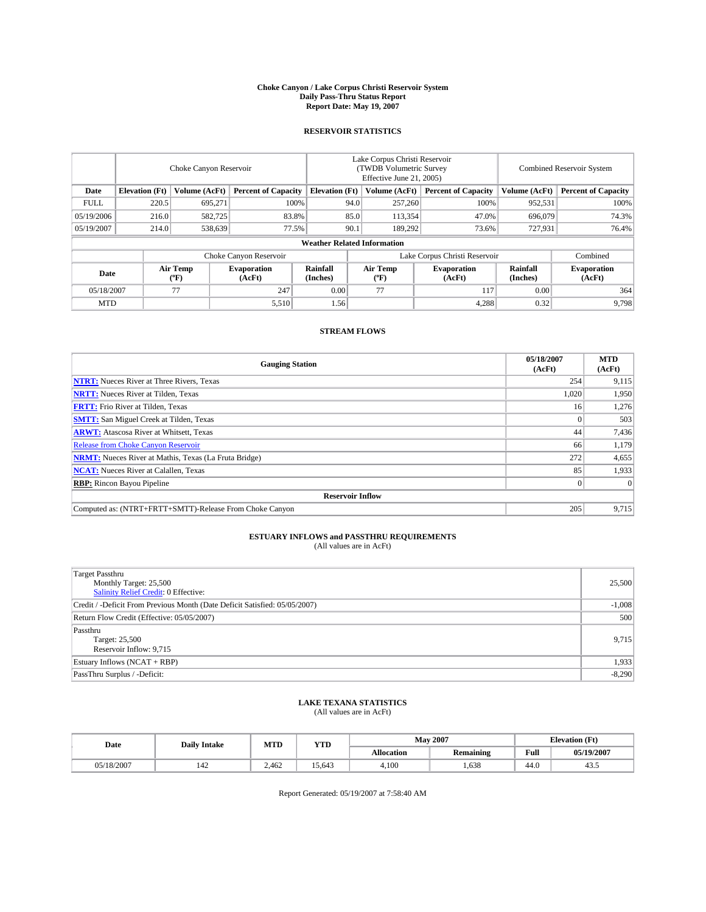#### **Choke Canyon / Lake Corpus Christi Reservoir System Daily Pass-Thru Status Report Report Date: May 19, 2007**

### **RESERVOIR STATISTICS**

|             | Choke Canyon Reservoir             |                  |                              |                       | Lake Corpus Christi Reservoir<br>(TWDB Volumetric Survey<br>Effective June 21, 2005) |                  |                               | Combined Reservoir System |                              |  |
|-------------|------------------------------------|------------------|------------------------------|-----------------------|--------------------------------------------------------------------------------------|------------------|-------------------------------|---------------------------|------------------------------|--|
| Date        | <b>Elevation</b> (Ft)              | Volume (AcFt)    | <b>Percent of Capacity</b>   | <b>Elevation</b> (Ft) |                                                                                      | Volume (AcFt)    | <b>Percent of Capacity</b>    | Volume (AcFt)             | <b>Percent of Capacity</b>   |  |
| <b>FULL</b> | 220.5                              | 695,271          | 100%                         |                       | 94.0                                                                                 | 257,260          | 100%                          | 952,531                   | 100%                         |  |
| 05/19/2006  | 216.0                              | 582,725          | 83.8%                        |                       | 85.0                                                                                 | 113,354          | 47.0%                         | 696,079                   | 74.3%                        |  |
| 05/19/2007  | 214.0                              | 538,639          | 77.5%                        |                       | 90.1                                                                                 | 189.292          | 73.6%                         | 727,931                   | 76.4%                        |  |
|             | <b>Weather Related Information</b> |                  |                              |                       |                                                                                      |                  |                               |                           |                              |  |
|             |                                    |                  | Choke Canyon Reservoir       |                       |                                                                                      |                  | Lake Corpus Christi Reservoir |                           | Combined                     |  |
| Date        |                                    | Air Temp<br>(°F) | <b>Evaporation</b><br>(AcFt) | Rainfall<br>(Inches)  |                                                                                      | Air Temp<br>("F) | <b>Evaporation</b><br>(AcFt)  | Rainfall<br>(Inches)      | <b>Evaporation</b><br>(AcFt) |  |
| 05/18/2007  |                                    | 77               | 247                          | 0.00                  |                                                                                      | 77               | 117                           | 0.00                      | 364                          |  |
| <b>MTD</b>  |                                    |                  | 5,510                        | 1.56                  |                                                                                      |                  | 4,288                         | 0.32                      | 9,798                        |  |

## **STREAM FLOWS**

| <b>Gauging Station</b>                                       | 05/18/2007<br>(AcFt) | <b>MTD</b><br>(AcFt) |
|--------------------------------------------------------------|----------------------|----------------------|
| <b>NTRT:</b> Nueces River at Three Rivers, Texas             | 254                  | 9,115                |
| <b>NRTT:</b> Nueces River at Tilden, Texas                   | 1.020                | 1,950                |
| <b>FRTT:</b> Frio River at Tilden, Texas                     | 16                   | 1,276                |
| <b>SMTT:</b> San Miguel Creek at Tilden, Texas               |                      | 503                  |
| <b>ARWT:</b> Atascosa River at Whitsett, Texas               | 44                   | 7,436                |
| <b>Release from Choke Canyon Reservoir</b>                   | 66                   | 1,179                |
| <b>NRMT:</b> Nueces River at Mathis, Texas (La Fruta Bridge) | 272                  | 4,655                |
| <b>NCAT:</b> Nueces River at Calallen, Texas                 | 85                   | 1,933                |
| <b>RBP:</b> Rincon Bayou Pipeline                            |                      | $\Omega$             |
| <b>Reservoir Inflow</b>                                      |                      |                      |
| Computed as: (NTRT+FRTT+SMTT)-Release From Choke Canyon      | 205                  | 9,715                |

# **ESTUARY INFLOWS and PASSTHRU REQUIREMENTS**<br>(All values are in AcFt)

| <b>Target Passthru</b><br>Monthly Target: 25,500<br>Salinity Relief Credit: 0 Effective: | 25,500   |
|------------------------------------------------------------------------------------------|----------|
| Credit / -Deficit From Previous Month (Date Deficit Satisfied: 05/05/2007)               | $-1,008$ |
| Return Flow Credit (Effective: 05/05/2007)                                               | 500      |
| Passthru<br>Target: 25,500<br>Reservoir Inflow: 9,715                                    | 9,715    |
| Estuary Inflows (NCAT + RBP)                                                             | 1,933    |
| PassThru Surplus / -Deficit:                                                             | $-8,290$ |

## **LAKE TEXANA STATISTICS** (All values are in AcFt)

| Date       | <b>Daily Intake</b> | MTD   | <b>YTD</b> |                   | <b>May 2007</b>  | <b>Elevation</b> (Ft) |            |
|------------|---------------------|-------|------------|-------------------|------------------|-----------------------|------------|
|            |                     |       |            | <b>Allocation</b> | <b>Remaining</b> | Full                  | 05/19/2007 |
| 05/18/2007 | 142                 | 2.462 | 15.643     | 4.100             | .638             | 44.0                  | 43.5       |

Report Generated: 05/19/2007 at 7:58:40 AM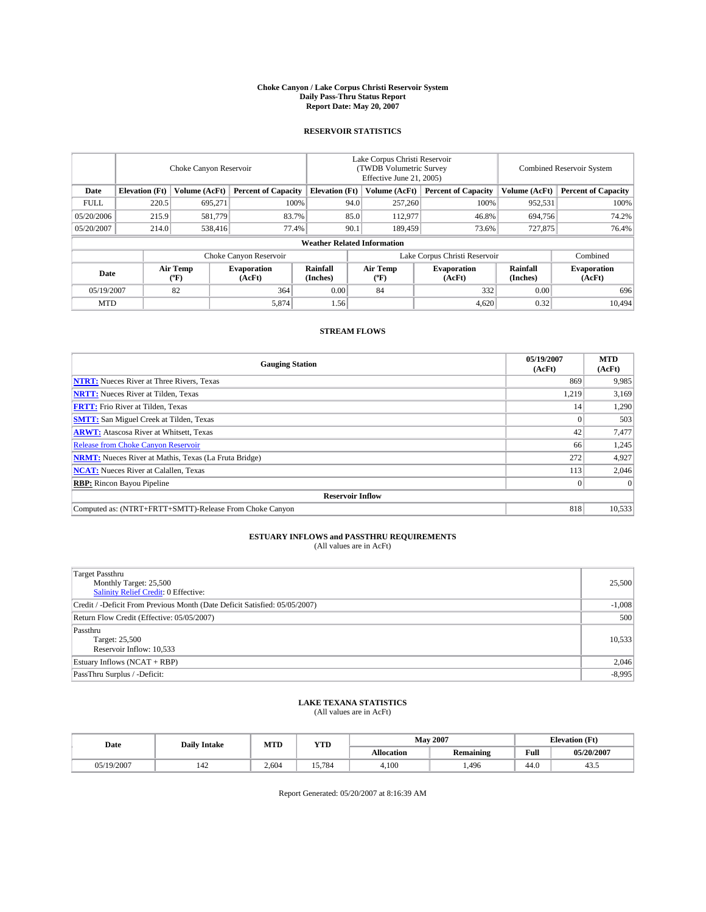#### **Choke Canyon / Lake Corpus Christi Reservoir System Daily Pass-Thru Status Report Report Date: May 20, 2007**

### **RESERVOIR STATISTICS**

|             | Choke Canyon Reservoir             |                  |                              |                       | Lake Corpus Christi Reservoir<br>(TWDB Volumetric Survey<br>Effective June 21, 2005) |                  |                               |                      | Combined Reservoir System    |  |  |
|-------------|------------------------------------|------------------|------------------------------|-----------------------|--------------------------------------------------------------------------------------|------------------|-------------------------------|----------------------|------------------------------|--|--|
| Date        | <b>Elevation</b> (Ft)              | Volume (AcFt)    | <b>Percent of Capacity</b>   | <b>Elevation</b> (Ft) |                                                                                      | Volume (AcFt)    | <b>Percent of Capacity</b>    | Volume (AcFt)        | <b>Percent of Capacity</b>   |  |  |
| <b>FULL</b> | 220.5                              | 695,271          |                              | 100%                  | 94.0                                                                                 | 257,260          | 100%                          | 952,531              | 100%                         |  |  |
| 05/20/2006  | 215.9                              | 581,779          | 83.7%                        |                       | 85.0                                                                                 | 112,977          | 46.8%                         | 694,756              | 74.2%                        |  |  |
| 05/20/2007  | 214.0                              | 538,416          | 77.4%                        |                       | 90.1                                                                                 | 189,459          | 73.6%                         | 727,875              | 76.4%                        |  |  |
|             | <b>Weather Related Information</b> |                  |                              |                       |                                                                                      |                  |                               |                      |                              |  |  |
|             |                                    |                  | Choke Canyon Reservoir       |                       |                                                                                      |                  | Lake Corpus Christi Reservoir |                      | Combined                     |  |  |
| Date        |                                    | Air Temp<br>(°F) | <b>Evaporation</b><br>(AcFt) | Rainfall<br>(Inches)  |                                                                                      | Air Temp<br>("F) | <b>Evaporation</b><br>(AcFt)  | Rainfall<br>(Inches) | <b>Evaporation</b><br>(AcFt) |  |  |
| 05/19/2007  |                                    | 82               | 364                          | 0.00                  |                                                                                      | 84               | 332                           | 0.00                 | 696                          |  |  |
| <b>MTD</b>  |                                    |                  | 5,874                        | 1.56                  |                                                                                      |                  | 4,620                         | 0.32                 | 10,494                       |  |  |

## **STREAM FLOWS**

| <b>Gauging Station</b>                                       | 05/19/2007<br>(AcFt) | <b>MTD</b><br>(AcFt) |
|--------------------------------------------------------------|----------------------|----------------------|
| <b>NTRT:</b> Nueces River at Three Rivers, Texas             | 869                  | 9,985                |
| <b>NRTT:</b> Nueces River at Tilden, Texas                   | 1,219                | 3,169                |
| <b>FRTT:</b> Frio River at Tilden, Texas                     | 14                   | 1,290                |
| <b>SMTT:</b> San Miguel Creek at Tilden, Texas               |                      | 503                  |
| <b>ARWT:</b> Atascosa River at Whitsett, Texas               | 42                   | 7,477                |
| <b>Release from Choke Canyon Reservoir</b>                   | 66                   | 1,245                |
| <b>NRMT:</b> Nueces River at Mathis, Texas (La Fruta Bridge) | 272                  | 4,927                |
| <b>NCAT:</b> Nueces River at Calallen, Texas                 | 113                  | 2,046                |
| <b>RBP:</b> Rincon Bayou Pipeline                            |                      | $\Omega$             |
| <b>Reservoir Inflow</b>                                      |                      |                      |
| Computed as: (NTRT+FRTT+SMTT)-Release From Choke Canyon      | 818                  | 10,533               |

# **ESTUARY INFLOWS and PASSTHRU REQUIREMENTS**<br>(All values are in AcFt)

| <b>Target Passthru</b><br>Monthly Target: 25,500<br>Salinity Relief Credit: 0 Effective: | 25,500   |
|------------------------------------------------------------------------------------------|----------|
| Credit / -Deficit From Previous Month (Date Deficit Satisfied: 05/05/2007)               | $-1,008$ |
| Return Flow Credit (Effective: 05/05/2007)                                               | 500      |
| Passthru<br>Target: 25,500<br>Reservoir Inflow: 10,533                                   | 10,533   |
| Estuary Inflows (NCAT + RBP)                                                             | 2,046    |
| PassThru Surplus / -Deficit:                                                             | $-8,995$ |

## **LAKE TEXANA STATISTICS** (All values are in AcFt)

| Date       | <b>Daily Intake</b> | MTD   | <b>YTD</b> |                   | <b>May 2007</b>  | <b>Elevation</b> (Ft) |            |
|------------|---------------------|-------|------------|-------------------|------------------|-----------------------|------------|
|            |                     |       |            | <b>Allocation</b> | <b>Remaining</b> | Full                  | 05/20/2007 |
| 05/19/2007 | 142                 | 2.604 | 5.784      | 4.100             | ,496             | 44.0                  | 45.3       |

Report Generated: 05/20/2007 at 8:16:39 AM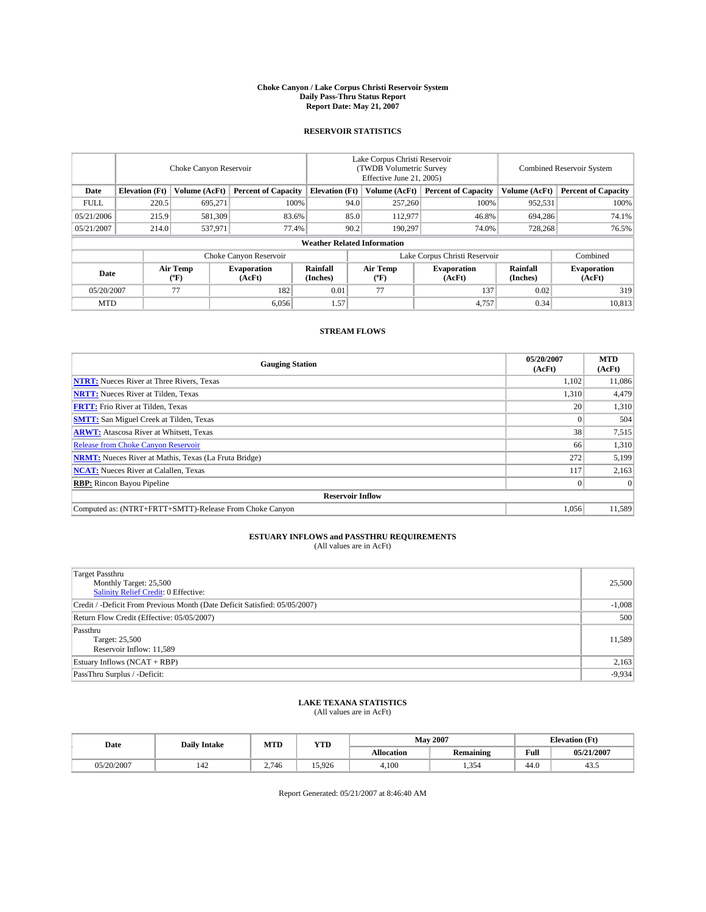#### **Choke Canyon / Lake Corpus Christi Reservoir System Daily Pass-Thru Status Report Report Date: May 21, 2007**

### **RESERVOIR STATISTICS**

|             | Choke Canyon Reservoir             |                         |                              |                       | Lake Corpus Christi Reservoir<br>(TWDB Volumetric Survey<br>Effective June 21, 2005) |                  |                               | <b>Combined Reservoir System</b> |                              |  |
|-------------|------------------------------------|-------------------------|------------------------------|-----------------------|--------------------------------------------------------------------------------------|------------------|-------------------------------|----------------------------------|------------------------------|--|
| Date        | <b>Elevation</b> (Ft)              | Volume (AcFt)           | <b>Percent of Capacity</b>   | <b>Elevation</b> (Ft) |                                                                                      | Volume (AcFt)    | <b>Percent of Capacity</b>    | Volume (AcFt)                    | <b>Percent of Capacity</b>   |  |
| <b>FULL</b> | 220.5                              | 695,271                 | 100%                         |                       | 94.0                                                                                 | 257,260          | 100%                          | 952,531                          | 100%                         |  |
| 05/21/2006  | 215.9                              | 581,309                 | 83.6%                        |                       | 85.0                                                                                 | 112,977          | 46.8%                         | 694,286                          | 74.1%                        |  |
| 05/21/2007  | 214.0                              | 537,971                 | 77.4%                        |                       | 90.2                                                                                 | 190.297          | 74.0%                         | 728,268                          | 76.5%                        |  |
|             | <b>Weather Related Information</b> |                         |                              |                       |                                                                                      |                  |                               |                                  |                              |  |
|             |                                    |                         | Choke Canyon Reservoir       |                       |                                                                                      |                  | Lake Corpus Christi Reservoir |                                  | Combined                     |  |
| Date        |                                    | <b>Air Temp</b><br>(°F) | <b>Evaporation</b><br>(AcFt) | Rainfall<br>(Inches)  |                                                                                      | Air Temp<br>("F) | <b>Evaporation</b><br>(AcFt)  | Rainfall<br>(Inches)             | <b>Evaporation</b><br>(AcFt) |  |
| 05/20/2007  |                                    | 77                      | 182                          | 0.01                  |                                                                                      | 77               | 137                           | 0.02                             | 319                          |  |
| <b>MTD</b>  |                                    |                         | 6,056                        | 1.57                  |                                                                                      |                  | 4,757                         | 0.34                             | 10,813                       |  |

## **STREAM FLOWS**

| <b>Gauging Station</b>                                       | 05/20/2007<br>(AcFt) | <b>MTD</b><br>(AcFt) |
|--------------------------------------------------------------|----------------------|----------------------|
| <b>NTRT:</b> Nueces River at Three Rivers, Texas             | 1,102                | 11,086               |
| <b>NRTT:</b> Nueces River at Tilden, Texas                   | 1,310                | 4,479                |
| <b>FRTT:</b> Frio River at Tilden, Texas                     | 20 <sub>1</sub>      | 1,310                |
| <b>SMTT:</b> San Miguel Creek at Tilden, Texas               |                      | 504                  |
| <b>ARWT:</b> Atascosa River at Whitsett, Texas               | 38                   | 7,515                |
| <b>Release from Choke Canyon Reservoir</b>                   | 66                   | 1,310                |
| <b>NRMT:</b> Nueces River at Mathis, Texas (La Fruta Bridge) | 272                  | 5,199                |
| <b>NCAT:</b> Nueces River at Calallen, Texas                 | 117                  | 2,163                |
| <b>RBP:</b> Rincon Bayou Pipeline                            |                      | $\Omega$             |
| <b>Reservoir Inflow</b>                                      |                      |                      |
| Computed as: (NTRT+FRTT+SMTT)-Release From Choke Canyon      | 1.056                | 11,589               |

# **ESTUARY INFLOWS and PASSTHRU REQUIREMENTS**<br>(All values are in AcFt)

| <b>Target Passthru</b><br>Monthly Target: 25,500<br>Salinity Relief Credit: 0 Effective: | 25,500   |
|------------------------------------------------------------------------------------------|----------|
| Credit / -Deficit From Previous Month (Date Deficit Satisfied: 05/05/2007)               | $-1,008$ |
| Return Flow Credit (Effective: 05/05/2007)                                               | 500      |
| Passthru<br>Target: 25,500<br>Reservoir Inflow: 11,589                                   | 11,589   |
| Estuary Inflows (NCAT + RBP)                                                             | 2,163    |
| PassThru Surplus / -Deficit:                                                             | $-9,934$ |

## **LAKE TEXANA STATISTICS** (All values are in AcFt)

| Date       | <b>Daily Intake</b> | MTD   | <b>YTD</b> |                   | <b>May 2007</b>  | <b>Elevation</b> (Ft) |            |
|------------|---------------------|-------|------------|-------------------|------------------|-----------------------|------------|
|            |                     |       |            | <b>Allocation</b> | <b>Remaining</b> | Full                  | 05/21/2007 |
| 05/20/2007 | 142                 | 2.746 | 15.926     | 4.100             | 1.354            | 44.0                  | 45.3       |

Report Generated: 05/21/2007 at 8:46:40 AM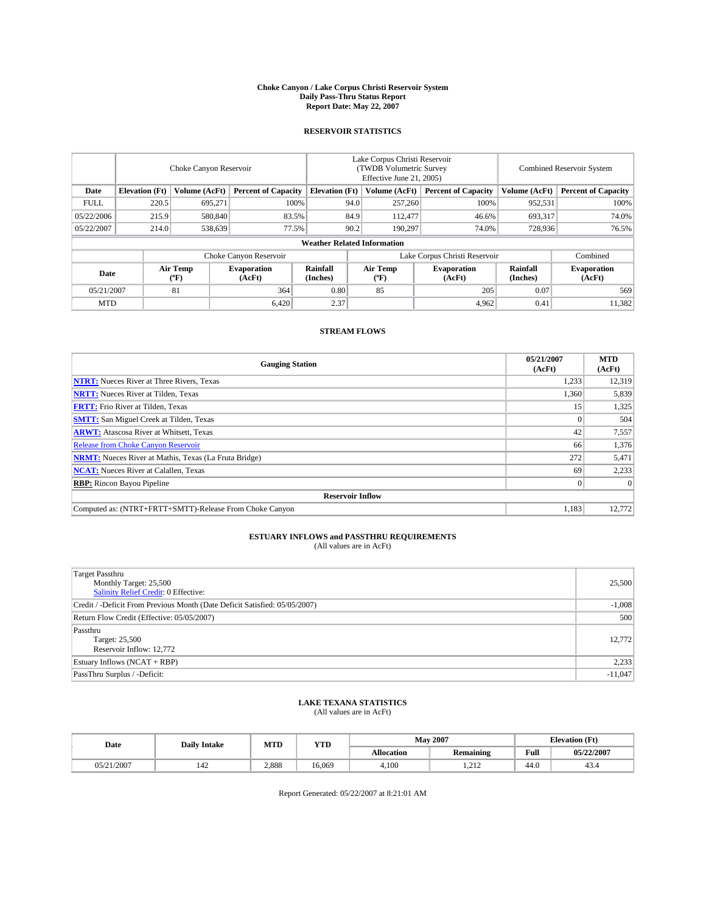#### **Choke Canyon / Lake Corpus Christi Reservoir System Daily Pass-Thru Status Report Report Date: May 22, 2007**

### **RESERVOIR STATISTICS**

|             | Choke Canyon Reservoir |                  |                              |                                    | Lake Corpus Christi Reservoir<br>(TWDB Volumetric Survey<br>Effective June 21, 2005) |                  |                               |                      | Combined Reservoir System    |  |  |
|-------------|------------------------|------------------|------------------------------|------------------------------------|--------------------------------------------------------------------------------------|------------------|-------------------------------|----------------------|------------------------------|--|--|
| Date        | <b>Elevation</b> (Ft)  | Volume (AcFt)    | <b>Percent of Capacity</b>   | <b>Elevation</b> (Ft)              |                                                                                      | Volume (AcFt)    | <b>Percent of Capacity</b>    | Volume (AcFt)        | <b>Percent of Capacity</b>   |  |  |
| <b>FULL</b> | 220.5                  | 695,271          |                              | 100%                               | 94.0                                                                                 | 257,260          | 100%                          | 952,531              | 100%                         |  |  |
| 05/22/2006  | 215.9                  | 580,840          | 83.5%                        |                                    | 84.9                                                                                 | 112,477          | 46.6%                         | 693,317              | 74.0%                        |  |  |
| 05/22/2007  | 214.0                  | 538,639          | 77.5%                        |                                    | 90.2                                                                                 | 190.297          | 74.0%                         | 728,936              | 76.5%                        |  |  |
|             |                        |                  |                              | <b>Weather Related Information</b> |                                                                                      |                  |                               |                      |                              |  |  |
|             |                        |                  | Choke Canyon Reservoir       |                                    |                                                                                      |                  | Lake Corpus Christi Reservoir |                      | Combined                     |  |  |
| Date        |                        | Air Temp<br>(°F) | <b>Evaporation</b><br>(AcFt) | Rainfall<br>(Inches)               |                                                                                      | Air Temp<br>("F) | <b>Evaporation</b><br>(AcFt)  | Rainfall<br>(Inches) | <b>Evaporation</b><br>(AcFt) |  |  |
| 05/21/2007  |                        | 81               | 364                          | 0.80                               |                                                                                      | 85               | 205                           | 0.07                 | 569                          |  |  |
| <b>MTD</b>  |                        |                  | 6,420                        | 2.37                               |                                                                                      |                  | 4,962                         | 0.41                 | 11,382                       |  |  |

## **STREAM FLOWS**

| <b>Gauging Station</b>                                       | 05/21/2007<br>(AcFt) | <b>MTD</b><br>(AcFt) |
|--------------------------------------------------------------|----------------------|----------------------|
| <b>NTRT:</b> Nueces River at Three Rivers, Texas             | 1,233                | 12,319               |
| <b>NRTT:</b> Nueces River at Tilden, Texas                   | 1,360                | 5,839                |
| <b>FRTT:</b> Frio River at Tilden, Texas                     | 15                   | 1,325                |
| <b>SMTT:</b> San Miguel Creek at Tilden, Texas               |                      | 504                  |
| <b>ARWT:</b> Atascosa River at Whitsett, Texas               | 42                   | 7,557                |
| <b>Release from Choke Canyon Reservoir</b>                   | 66                   | 1,376                |
| <b>NRMT:</b> Nueces River at Mathis, Texas (La Fruta Bridge) | 272                  | 5,471                |
| <b>NCAT:</b> Nueces River at Calallen, Texas                 | 69                   | 2,233                |
| <b>RBP:</b> Rincon Bayou Pipeline                            |                      | $\Omega$             |
| <b>Reservoir Inflow</b>                                      |                      |                      |
| Computed as: (NTRT+FRTT+SMTT)-Release From Choke Canyon      | 1,183                | 12,772               |

# **ESTUARY INFLOWS and PASSTHRU REQUIREMENTS**<br>(All values are in AcFt)

| <b>Target Passthru</b><br>Monthly Target: 25,500<br>Salinity Relief Credit: 0 Effective: | 25,500    |
|------------------------------------------------------------------------------------------|-----------|
| Credit / -Deficit From Previous Month (Date Deficit Satisfied: 05/05/2007)               | $-1,008$  |
| Return Flow Credit (Effective: 05/05/2007)                                               | 500       |
| Passthru<br>Target: 25,500<br>Reservoir Inflow: 12,772                                   | 12,772    |
| Estuary Inflows (NCAT + RBP)                                                             | 2,233     |
| PassThru Surplus / -Deficit:                                                             | $-11,047$ |

## **LAKE TEXANA STATISTICS** (All values are in AcFt)

| Date       | <b>Daily Intake</b> | MTD   | <b>YTD</b> |                   | <b>May 2007</b>  |      | <b>Elevation</b> (Ft) |
|------------|---------------------|-------|------------|-------------------|------------------|------|-----------------------|
|            |                     |       |            | <b>Allocation</b> | <b>Remaining</b> | Full | 05/22/2007            |
| 05/21/2007 | 142                 | 2,888 | 16.069     | 4.100             | 010<br>1.414     | 44.0 | 45.4                  |

Report Generated: 05/22/2007 at 8:21:01 AM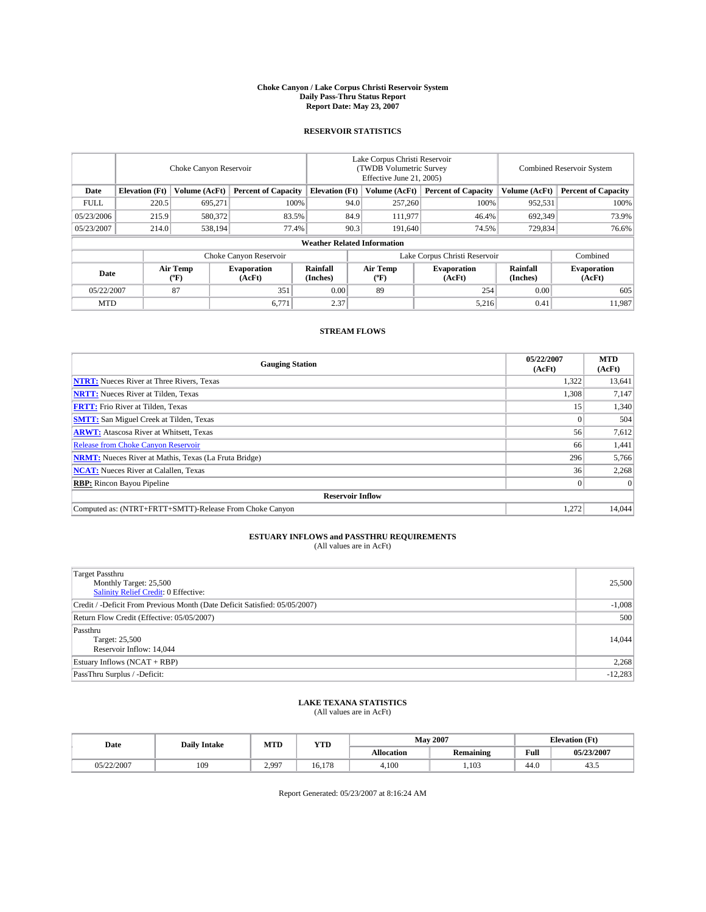#### **Choke Canyon / Lake Corpus Christi Reservoir System Daily Pass-Thru Status Report Report Date: May 23, 2007**

### **RESERVOIR STATISTICS**

|             | Choke Canyon Reservoir             |                  |                              |                       | Lake Corpus Christi Reservoir<br>(TWDB Volumetric Survey<br>Effective June 21, 2005) |                  |                               |                      | Combined Reservoir System    |  |  |
|-------------|------------------------------------|------------------|------------------------------|-----------------------|--------------------------------------------------------------------------------------|------------------|-------------------------------|----------------------|------------------------------|--|--|
| Date        | <b>Elevation</b> (Ft)              | Volume (AcFt)    | <b>Percent of Capacity</b>   | <b>Elevation</b> (Ft) |                                                                                      | Volume (AcFt)    | <b>Percent of Capacity</b>    | Volume (AcFt)        | <b>Percent of Capacity</b>   |  |  |
| <b>FULL</b> | 220.5                              | 695,271          |                              | 100%                  | 94.0                                                                                 | 257,260          | 100%                          | 952,531              | 100%                         |  |  |
| 05/23/2006  | 215.9                              | 580,372          | 83.5%                        |                       | 84.9                                                                                 | 111,977          | 46.4%                         | 692,349              | 73.9%                        |  |  |
| 05/23/2007  | 214.0                              | 538.194          | 77.4%                        |                       | 90.3                                                                                 | 191.640          | 74.5%                         | 729,834              | 76.6%                        |  |  |
|             | <b>Weather Related Information</b> |                  |                              |                       |                                                                                      |                  |                               |                      |                              |  |  |
|             |                                    |                  | Choke Canyon Reservoir       |                       |                                                                                      |                  | Lake Corpus Christi Reservoir |                      | Combined                     |  |  |
| Date        |                                    | Air Temp<br>(°F) | <b>Evaporation</b><br>(AcFt) | Rainfall<br>(Inches)  |                                                                                      | Air Temp<br>("F) | <b>Evaporation</b><br>(AcFt)  | Rainfall<br>(Inches) | <b>Evaporation</b><br>(AcFt) |  |  |
| 05/22/2007  |                                    | 87               | 351                          | 0.00                  |                                                                                      | 89               | 254                           | 0.00                 | 605                          |  |  |
| <b>MTD</b>  |                                    |                  | 6,771                        | 2.37                  |                                                                                      |                  | 5,216                         | 0.41                 | 11,987                       |  |  |

## **STREAM FLOWS**

| <b>Gauging Station</b>                                       | 05/22/2007<br>(AcFt) | <b>MTD</b><br>(AcFt) |
|--------------------------------------------------------------|----------------------|----------------------|
| <b>NTRT:</b> Nueces River at Three Rivers, Texas             | 1,322                | 13,641               |
| <b>NRTT:</b> Nueces River at Tilden, Texas                   | 1,308                | 7,147                |
| <b>FRTT:</b> Frio River at Tilden, Texas                     | 15                   | 1,340                |
| <b>SMTT:</b> San Miguel Creek at Tilden, Texas               |                      | 504                  |
| <b>ARWT:</b> Atascosa River at Whitsett, Texas               | 56                   | 7,612                |
| <b>Release from Choke Canyon Reservoir</b>                   | 66                   | 1,441                |
| <b>NRMT:</b> Nueces River at Mathis, Texas (La Fruta Bridge) | 296                  | 5,766                |
| <b>NCAT:</b> Nueces River at Calallen, Texas                 | 36                   | 2,268                |
| <b>RBP:</b> Rincon Bayou Pipeline                            |                      | $\Omega$             |
| <b>Reservoir Inflow</b>                                      |                      |                      |
| Computed as: (NTRT+FRTT+SMTT)-Release From Choke Canyon      | 1,272                | 14.044               |

# **ESTUARY INFLOWS and PASSTHRU REQUIREMENTS**<br>(All values are in AcFt)

| <b>Target Passthru</b><br>Monthly Target: 25,500<br>Salinity Relief Credit: 0 Effective: | 25,500    |
|------------------------------------------------------------------------------------------|-----------|
| Credit / -Deficit From Previous Month (Date Deficit Satisfied: 05/05/2007)               | $-1,008$  |
| Return Flow Credit (Effective: 05/05/2007)                                               | 500       |
| Passthru<br>Target: 25,500<br>Reservoir Inflow: 14,044                                   | 14,044    |
| Estuary Inflows (NCAT + RBP)                                                             | 2,268     |
| PassThru Surplus / -Deficit:                                                             | $-12,283$ |

## **LAKE TEXANA STATISTICS** (All values are in AcFt)

| Date       | <b>Daily Intake</b> | MTD   | <b>YTD</b> |                   | <b>May 2007</b>  | <b>Elevation</b> (Ft) |            |
|------------|---------------------|-------|------------|-------------------|------------------|-----------------------|------------|
|            |                     |       |            | <b>Allocation</b> | <b>Remaining</b> | Full                  | 05/23/2007 |
| 05/22/2007 | 109                 | 2.997 | 16.178     | 4.100             | .103             | 44.0                  | ر+         |

Report Generated: 05/23/2007 at 8:16:24 AM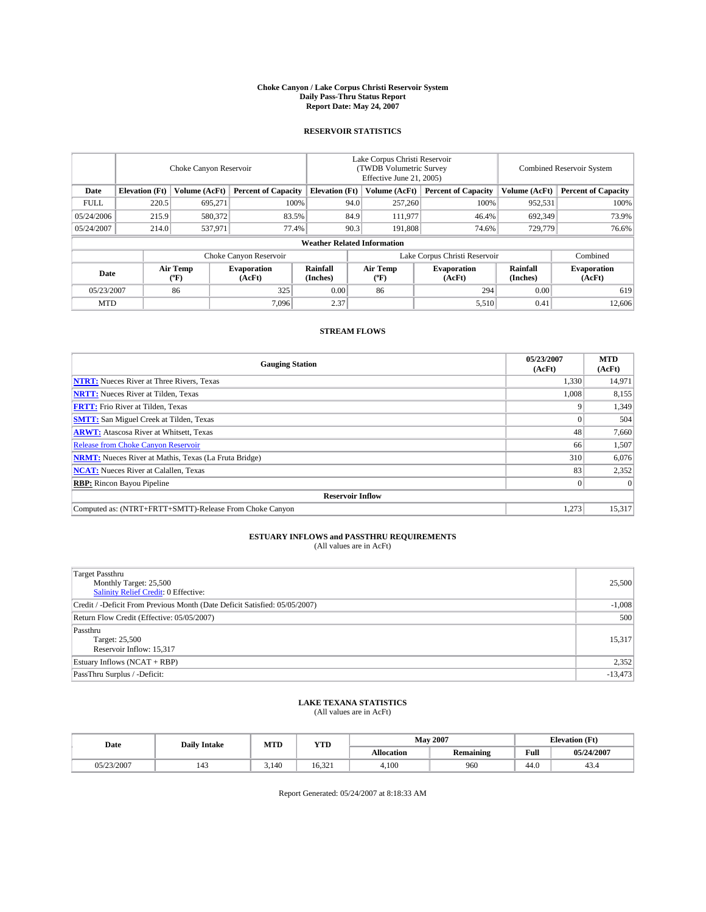#### **Choke Canyon / Lake Corpus Christi Reservoir System Daily Pass-Thru Status Report Report Date: May 24, 2007**

### **RESERVOIR STATISTICS**

|             | Choke Canyon Reservoir             |                  |                              |                       | Lake Corpus Christi Reservoir<br>(TWDB Volumetric Survey<br>Effective June 21, 2005) |                  |                               |                      | Combined Reservoir System    |  |  |
|-------------|------------------------------------|------------------|------------------------------|-----------------------|--------------------------------------------------------------------------------------|------------------|-------------------------------|----------------------|------------------------------|--|--|
| Date        | <b>Elevation</b> (Ft)              | Volume (AcFt)    | <b>Percent of Capacity</b>   | <b>Elevation</b> (Ft) |                                                                                      | Volume (AcFt)    | <b>Percent of Capacity</b>    | Volume (AcFt)        | <b>Percent of Capacity</b>   |  |  |
| <b>FULL</b> | 220.5                              | 695,271          |                              | 100%                  | 94.0                                                                                 | 257,260          | 100%                          | 952,531              | 100%                         |  |  |
| 05/24/2006  | 215.9                              | 580,372          | 83.5%                        |                       | 84.9                                                                                 | 111,977          | 46.4%                         | 692,349              | 73.9%                        |  |  |
| 05/24/2007  | 214.0                              | 537,971          | 77.4%                        |                       | 90.3                                                                                 | 191.808          | 74.6%                         | 729,779              | 76.6%                        |  |  |
|             | <b>Weather Related Information</b> |                  |                              |                       |                                                                                      |                  |                               |                      |                              |  |  |
|             |                                    |                  | Choke Canyon Reservoir       |                       |                                                                                      |                  | Lake Corpus Christi Reservoir |                      | Combined                     |  |  |
| Date        |                                    | Air Temp<br>(°F) | <b>Evaporation</b><br>(AcFt) | Rainfall<br>(Inches)  |                                                                                      | Air Temp<br>("F) | <b>Evaporation</b><br>(AcFt)  | Rainfall<br>(Inches) | <b>Evaporation</b><br>(AcFt) |  |  |
| 05/23/2007  |                                    | 86               | 325                          | 0.00                  |                                                                                      | 86               | 294                           | 0.00                 | 619                          |  |  |
| <b>MTD</b>  |                                    |                  | 7.096                        | 2.37                  |                                                                                      |                  | 5,510                         | 0.41                 | 12,606                       |  |  |

## **STREAM FLOWS**

| <b>Gauging Station</b>                                       | 05/23/2007<br>(AcFt) | <b>MTD</b><br>(AcFt) |
|--------------------------------------------------------------|----------------------|----------------------|
| <b>NTRT:</b> Nueces River at Three Rivers, Texas             | 1,330                | 14,971               |
| <b>NRTT:</b> Nueces River at Tilden, Texas                   | 1,008                | 8,155                |
| <b>FRTT:</b> Frio River at Tilden, Texas                     |                      | 1,349                |
| <b>SMTT:</b> San Miguel Creek at Tilden, Texas               |                      | 504                  |
| <b>ARWT:</b> Atascosa River at Whitsett, Texas               | 48                   | 7,660                |
| <b>Release from Choke Canyon Reservoir</b>                   | 66                   | 1,507                |
| <b>NRMT:</b> Nueces River at Mathis, Texas (La Fruta Bridge) | 310                  | 6,076                |
| <b>NCAT:</b> Nueces River at Calallen, Texas                 | 83                   | 2,352                |
| <b>RBP:</b> Rincon Bayou Pipeline                            |                      | $\Omega$             |
| <b>Reservoir Inflow</b>                                      |                      |                      |
| Computed as: (NTRT+FRTT+SMTT)-Release From Choke Canyon      | 1,273                | 15,317               |

# **ESTUARY INFLOWS and PASSTHRU REQUIREMENTS**<br>(All values are in AcFt)

| <b>Target Passthru</b><br>Monthly Target: 25,500<br>Salinity Relief Credit: 0 Effective: | 25,500    |
|------------------------------------------------------------------------------------------|-----------|
| Credit / -Deficit From Previous Month (Date Deficit Satisfied: 05/05/2007)               | $-1,008$  |
| Return Flow Credit (Effective: 05/05/2007)                                               | 500       |
| Passthru<br>Target: 25,500<br>Reservoir Inflow: 15,317                                   | 15,317    |
| Estuary Inflows (NCAT + RBP)                                                             | 2,352     |
| PassThru Surplus / -Deficit:                                                             | $-13,473$ |

## **LAKE TEXANA STATISTICS** (All values are in AcFt)

| Date       | <b>Daily Intake</b> | MTD   | <b>YTD</b> |                   | <b>May 2007</b>  | <b>Elevation</b> (Ft) |            |
|------------|---------------------|-------|------------|-------------------|------------------|-----------------------|------------|
|            |                     |       |            | <b>Allocation</b> | <b>Remaining</b> | Full                  | 05/24/2007 |
| 05/23/2007 | 143                 | 3,140 | 16.321     | 4.100             | 960              | 44.0                  | 45.4       |

Report Generated: 05/24/2007 at 8:18:33 AM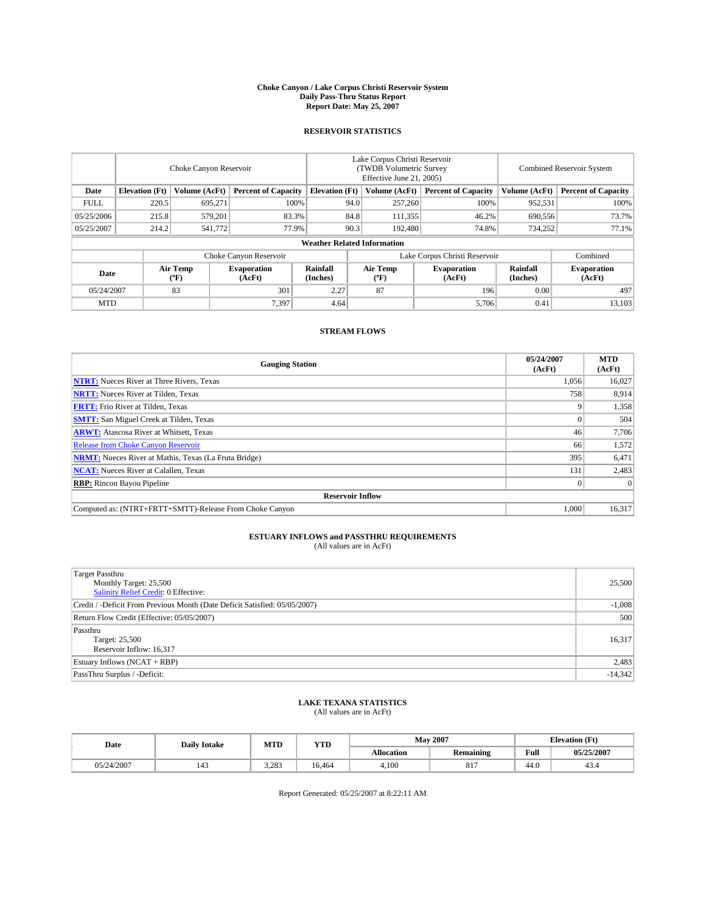#### **Choke Canyon / Lake Corpus Christi Reservoir System Daily Pass-Thru Status Report Report Date: May 25, 2007**

### **RESERVOIR STATISTICS**

|             | Choke Canyon Reservoir             |                  |                              |                       | Lake Corpus Christi Reservoir<br>(TWDB Volumetric Survey<br>Effective June 21, 2005) |                  |                               |                      | Combined Reservoir System    |  |  |
|-------------|------------------------------------|------------------|------------------------------|-----------------------|--------------------------------------------------------------------------------------|------------------|-------------------------------|----------------------|------------------------------|--|--|
| Date        | <b>Elevation</b> (Ft)              | Volume (AcFt)    | <b>Percent of Capacity</b>   | <b>Elevation</b> (Ft) |                                                                                      | Volume (AcFt)    | <b>Percent of Capacity</b>    | Volume (AcFt)        | <b>Percent of Capacity</b>   |  |  |
| <b>FULL</b> | 220.5                              | 695,271          | 100%                         |                       | 94.0                                                                                 | 257,260          | 100%                          | 952,531              | 100%                         |  |  |
| 05/25/2006  | 215.8                              | 579.201          | 83.3%                        |                       | 84.8                                                                                 | 111,355          | 46.2%                         | 690,556              | 73.7%                        |  |  |
| 05/25/2007  | 214.2                              | 541,772          | 77.9%                        |                       | 90.3                                                                                 | 192,480          | 74.8%                         | 734,252              | 77.1%                        |  |  |
|             | <b>Weather Related Information</b> |                  |                              |                       |                                                                                      |                  |                               |                      |                              |  |  |
|             |                                    |                  | Choke Canyon Reservoir       |                       |                                                                                      |                  | Lake Corpus Christi Reservoir |                      | Combined                     |  |  |
| Date        |                                    | Air Temp<br>(°F) | <b>Evaporation</b><br>(AcFt) | Rainfall<br>(Inches)  |                                                                                      | Air Temp<br>("F) | <b>Evaporation</b><br>(AcFt)  | Rainfall<br>(Inches) | <b>Evaporation</b><br>(AcFt) |  |  |
| 05/24/2007  |                                    | 83               | 301                          | 2.27                  |                                                                                      | 87               | 196                           | 0.00                 | 497                          |  |  |
| <b>MTD</b>  |                                    |                  | 7.397                        | 4.64                  |                                                                                      |                  | 5,706                         | 0.41                 | 13,103                       |  |  |

## **STREAM FLOWS**

| <b>Gauging Station</b>                                       | 05/24/2007<br>(AcFt) | <b>MTD</b><br>(AcFt) |
|--------------------------------------------------------------|----------------------|----------------------|
| <b>NTRT:</b> Nueces River at Three Rivers, Texas             | 1,056                | 16,027               |
| <b>NRTT:</b> Nueces River at Tilden, Texas                   | 758                  | 8,914                |
| <b>FRTT:</b> Frio River at Tilden, Texas                     |                      | 1,358                |
| <b>SMTT:</b> San Miguel Creek at Tilden, Texas               |                      | 504                  |
| <b>ARWT:</b> Atascosa River at Whitsett, Texas               | 46                   | 7,706                |
| <b>Release from Choke Canyon Reservoir</b>                   | 66                   | 1,572                |
| <b>NRMT:</b> Nueces River at Mathis, Texas (La Fruta Bridge) | 395                  | 6,471                |
| <b>NCAT:</b> Nueces River at Calallen, Texas                 | 131                  | 2,483                |
| <b>RBP:</b> Rincon Bayou Pipeline                            |                      | $\Omega$             |
| <b>Reservoir Inflow</b>                                      |                      |                      |
| Computed as: (NTRT+FRTT+SMTT)-Release From Choke Canyon      | 1,000                | 16,317               |

# **ESTUARY INFLOWS and PASSTHRU REQUIREMENTS**<br>(All values are in AcFt)

| <b>Target Passthru</b><br>Monthly Target: 25,500<br>Salinity Relief Credit: 0 Effective: | 25,500    |
|------------------------------------------------------------------------------------------|-----------|
| Credit / -Deficit From Previous Month (Date Deficit Satisfied: 05/05/2007)               | $-1,008$  |
| Return Flow Credit (Effective: 05/05/2007)                                               | 500       |
| Passthru<br>Target: 25,500<br>Reservoir Inflow: 16,317                                   | 16,317    |
| Estuary Inflows (NCAT + RBP)                                                             | 2,483     |
| PassThru Surplus / -Deficit:                                                             | $-14,342$ |

## **LAKE TEXANA STATISTICS** (All values are in AcFt)

| Date       | <b>Daily Intake</b>   | MTD   | <b>YTD</b> |                   | <b>May 2007</b>  | <b>Elevation</b> (Ft) |            |
|------------|-----------------------|-------|------------|-------------------|------------------|-----------------------|------------|
|            |                       |       |            | <b>Allocation</b> | <b>Remaining</b> | Full                  | 05/25/2007 |
| 05/24/2007 | $\overline{A}$<br>143 | 3.283 | 16.464     | 4.100             | 017<br>ðΙ        | 44.0                  | 43.4       |

Report Generated: 05/25/2007 at 8:22:11 AM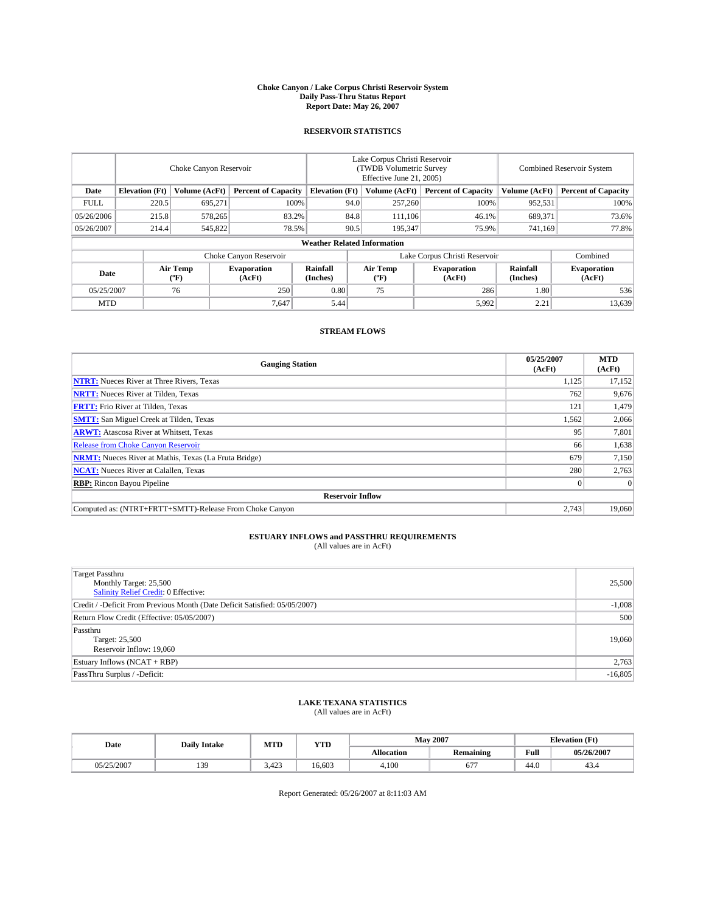#### **Choke Canyon / Lake Corpus Christi Reservoir System Daily Pass-Thru Status Report Report Date: May 26, 2007**

### **RESERVOIR STATISTICS**

|             | Choke Canyon Reservoir             |                  |                              |                       | Lake Corpus Christi Reservoir<br>(TWDB Volumetric Survey<br>Effective June 21, 2005) |                  |                               |                      | Combined Reservoir System    |  |  |
|-------------|------------------------------------|------------------|------------------------------|-----------------------|--------------------------------------------------------------------------------------|------------------|-------------------------------|----------------------|------------------------------|--|--|
| Date        | <b>Elevation</b> (Ft)              | Volume (AcFt)    | <b>Percent of Capacity</b>   | <b>Elevation</b> (Ft) |                                                                                      | Volume (AcFt)    | <b>Percent of Capacity</b>    | Volume (AcFt)        | <b>Percent of Capacity</b>   |  |  |
| <b>FULL</b> | 220.5                              | 695,271          | 100%                         |                       | 94.0                                                                                 | 257,260          | 100%                          | 952,531              | 100%                         |  |  |
| 05/26/2006  | 215.8                              | 578,265          | 83.2%                        |                       | 84.8                                                                                 | 111,106          | 46.1%                         | 689,371              | 73.6%                        |  |  |
| 05/26/2007  | 214.4                              | 545,822          | 78.5%                        |                       | 90.5                                                                                 | 195,347          | 75.9%                         | 741,169              | 77.8%                        |  |  |
|             | <b>Weather Related Information</b> |                  |                              |                       |                                                                                      |                  |                               |                      |                              |  |  |
|             |                                    |                  | Choke Canyon Reservoir       |                       |                                                                                      |                  | Lake Corpus Christi Reservoir |                      | Combined                     |  |  |
| Date        |                                    | Air Temp<br>(°F) | <b>Evaporation</b><br>(AcFt) | Rainfall<br>(Inches)  |                                                                                      | Air Temp<br>("F) | <b>Evaporation</b><br>(AcFt)  | Rainfall<br>(Inches) | <b>Evaporation</b><br>(AcFt) |  |  |
| 05/25/2007  |                                    | 76               | 250                          | 0.80                  |                                                                                      | 75               | 286                           | 1.80                 | 536                          |  |  |
| <b>MTD</b>  |                                    |                  | 7.647                        | 5.44                  |                                                                                      |                  | 5,992                         | 2.21                 | 13,639                       |  |  |

## **STREAM FLOWS**

| <b>Gauging Station</b>                                       | 05/25/2007<br>(AcFt) | <b>MTD</b><br>(AcFt) |
|--------------------------------------------------------------|----------------------|----------------------|
| <b>NTRT:</b> Nueces River at Three Rivers, Texas             | 1,125                | 17,152               |
| <b>NRTT:</b> Nueces River at Tilden, Texas                   | 762                  | 9,676                |
| <b>FRTT:</b> Frio River at Tilden, Texas                     | 121                  | 1,479                |
| <b>SMTT:</b> San Miguel Creek at Tilden, Texas               | 1,562                | 2,066                |
| <b>ARWT:</b> Atascosa River at Whitsett, Texas               | 95                   | 7,801                |
| <b>Release from Choke Canyon Reservoir</b>                   | 66                   | 1,638                |
| <b>NRMT:</b> Nueces River at Mathis, Texas (La Fruta Bridge) | 679                  | 7,150                |
| <b>NCAT:</b> Nueces River at Calallen, Texas                 | 280                  | 2,763                |
| <b>RBP:</b> Rincon Bayou Pipeline                            |                      | $\Omega$             |
| <b>Reservoir Inflow</b>                                      |                      |                      |
| Computed as: (NTRT+FRTT+SMTT)-Release From Choke Canyon      | 2.743                | 19,060               |

# **ESTUARY INFLOWS and PASSTHRU REQUIREMENTS**<br>(All values are in AcFt)

| <b>Target Passthru</b><br>Monthly Target: 25,500<br>Salinity Relief Credit: 0 Effective: | 25,500    |
|------------------------------------------------------------------------------------------|-----------|
| Credit / -Deficit From Previous Month (Date Deficit Satisfied: 05/05/2007)               | $-1,008$  |
| Return Flow Credit (Effective: 05/05/2007)                                               | 500       |
| Passthru<br>Target: 25,500<br>Reservoir Inflow: 19,060                                   | 19,060    |
| Estuary Inflows (NCAT + RBP)                                                             | 2,763     |
| PassThru Surplus / -Deficit:                                                             | $-16,805$ |

## **LAKE TEXANA STATISTICS** (All values are in AcFt)

| Date       | <b>Daily Intake</b> | MTD   | <b>YTD</b> |                   | <b>May 2007</b>  |      | <b>Elevation</b> (Ft) |
|------------|---------------------|-------|------------|-------------------|------------------|------|-----------------------|
|            |                     |       |            | <b>Allocation</b> | <b>Remaining</b> | Full | 05/26/2007            |
| 05/25/2007 | 139                 | 3.423 | 16.603     | 4.100             | 67 <sup>7</sup>  | 44.0 | 45.4                  |

Report Generated: 05/26/2007 at 8:11:03 AM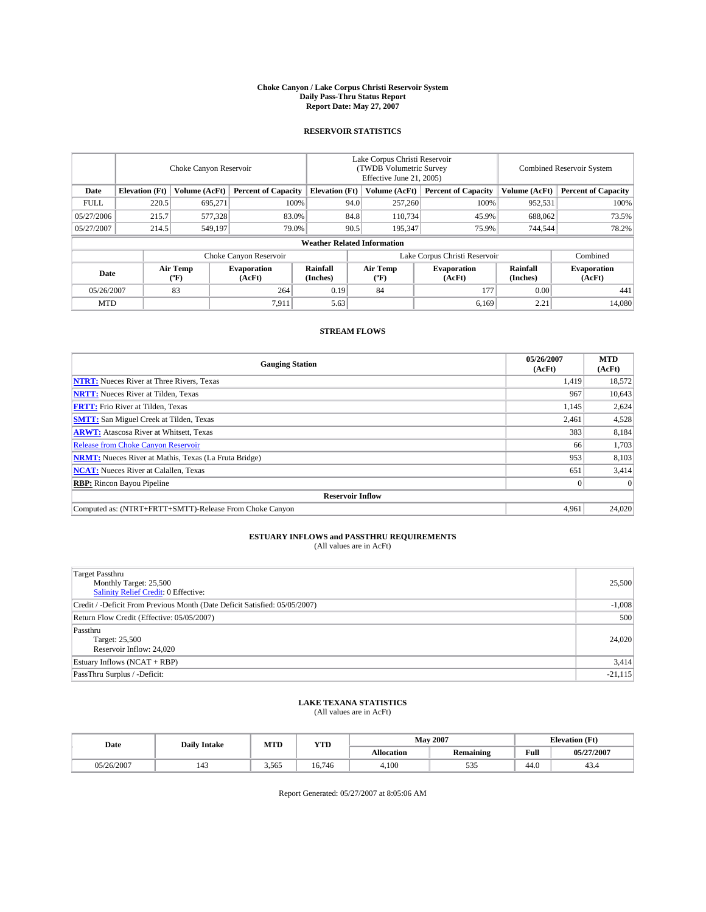#### **Choke Canyon / Lake Corpus Christi Reservoir System Daily Pass-Thru Status Report Report Date: May 27, 2007**

### **RESERVOIR STATISTICS**

|             | Choke Canyon Reservoir             |                  |                              |                       | Lake Corpus Christi Reservoir<br>(TWDB Volumetric Survey<br>Effective June 21, 2005) |                  |                               |                      | Combined Reservoir System    |  |  |
|-------------|------------------------------------|------------------|------------------------------|-----------------------|--------------------------------------------------------------------------------------|------------------|-------------------------------|----------------------|------------------------------|--|--|
| Date        | <b>Elevation</b> (Ft)              | Volume (AcFt)    | <b>Percent of Capacity</b>   | <b>Elevation</b> (Ft) |                                                                                      | Volume (AcFt)    | <b>Percent of Capacity</b>    | Volume (AcFt)        | <b>Percent of Capacity</b>   |  |  |
| <b>FULL</b> | 220.5                              | 695,271          |                              | 100%                  | 94.0                                                                                 | 257,260          | 100%                          | 952,531              | 100%                         |  |  |
| 05/27/2006  | 215.7                              | 577,328          | 83.0%                        |                       | 84.8                                                                                 | 110,734          | 45.9%                         | 688,062              | 73.5%                        |  |  |
| 05/27/2007  | 214.5                              | 549.197          | 79.0%                        |                       | 90.5                                                                                 | 195,347          | 75.9%                         | 744,544              | 78.2%                        |  |  |
|             | <b>Weather Related Information</b> |                  |                              |                       |                                                                                      |                  |                               |                      |                              |  |  |
|             |                                    |                  | Choke Canyon Reservoir       |                       |                                                                                      |                  | Lake Corpus Christi Reservoir |                      | Combined                     |  |  |
| Date        |                                    | Air Temp<br>(°F) | <b>Evaporation</b><br>(AcFt) | Rainfall<br>(Inches)  |                                                                                      | Air Temp<br>("F) | <b>Evaporation</b><br>(AcFt)  | Rainfall<br>(Inches) | <b>Evaporation</b><br>(AcFt) |  |  |
| 05/26/2007  |                                    | 83               | 264                          | 0.19                  |                                                                                      | 84               | 177                           | 0.00                 | 441                          |  |  |
| <b>MTD</b>  |                                    |                  | 7.911                        | 5.63                  |                                                                                      |                  | 6,169                         | 2.21                 | 14,080                       |  |  |

## **STREAM FLOWS**

| <b>Gauging Station</b>                                       | 05/26/2007<br>(AcFt) | <b>MTD</b><br>(AcFt) |
|--------------------------------------------------------------|----------------------|----------------------|
| <b>NTRT:</b> Nueces River at Three Rivers, Texas             | 1.419                | 18,572               |
| <b>NRTT:</b> Nueces River at Tilden, Texas                   | 967                  | 10,643               |
| <b>FRTT:</b> Frio River at Tilden, Texas                     | 1,145                | 2,624                |
| <b>SMTT:</b> San Miguel Creek at Tilden, Texas               | 2,461                | 4,528                |
| <b>ARWT:</b> Atascosa River at Whitsett, Texas               | 383                  | 8,184                |
| <b>Release from Choke Canyon Reservoir</b>                   | 66                   | 1,703                |
| <b>NRMT:</b> Nueces River at Mathis, Texas (La Fruta Bridge) | 953                  | 8,103                |
| <b>NCAT:</b> Nueces River at Calallen, Texas                 | 651                  | 3,414                |
| <b>RBP:</b> Rincon Bayou Pipeline                            |                      | $\Omega$             |
| <b>Reservoir Inflow</b>                                      |                      |                      |
| Computed as: (NTRT+FRTT+SMTT)-Release From Choke Canyon      | 4,961                | 24,020               |

# **ESTUARY INFLOWS and PASSTHRU REQUIREMENTS**<br>(All values are in AcFt)

| <b>Target Passthru</b><br>Monthly Target: 25,500<br>Salinity Relief Credit: 0 Effective: | 25,500    |
|------------------------------------------------------------------------------------------|-----------|
| Credit / -Deficit From Previous Month (Date Deficit Satisfied: 05/05/2007)               | $-1,008$  |
| Return Flow Credit (Effective: 05/05/2007)                                               | 500       |
| Passthru<br>Target: 25,500<br>Reservoir Inflow: 24,020                                   | 24,020    |
| Estuary Inflows (NCAT + RBP)                                                             | 3,414     |
| PassThru Surplus / -Deficit:                                                             | $-21,115$ |

## **LAKE TEXANA STATISTICS** (All values are in AcFt)

| Date       | <b>Daily Intake</b> | MTD   | <b>YTD</b> |                   | <b>May 2007</b>  |      | <b>Elevation</b> (Ft) |
|------------|---------------------|-------|------------|-------------------|------------------|------|-----------------------|
|            |                     |       |            | <b>Allocation</b> | <b>Remaining</b> | Full | 05/27/2007            |
| 05/26/2007 | $\Lambda$<br>143    | 3,565 | 16.746     | 4.100             | 535              | 44.0 | 45.4                  |

Report Generated: 05/27/2007 at 8:05:06 AM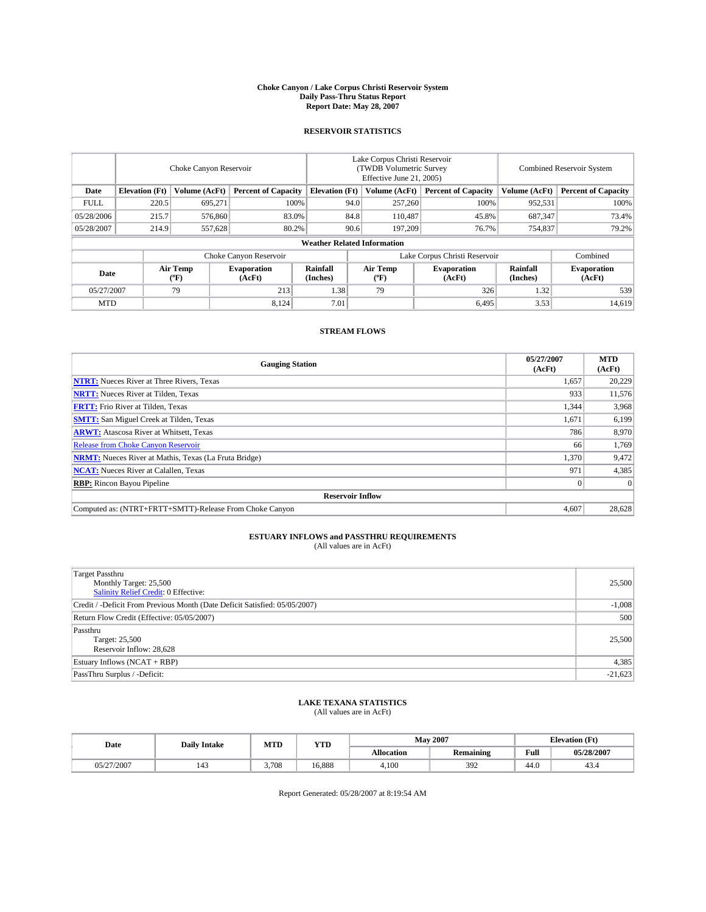#### **Choke Canyon / Lake Corpus Christi Reservoir System Daily Pass-Thru Status Report Report Date: May 28, 2007**

### **RESERVOIR STATISTICS**

|             | Choke Canyon Reservoir             |                  |                              |                       | Lake Corpus Christi Reservoir<br>(TWDB Volumetric Survey<br>Effective June 21, 2005) |                  |                               | Combined Reservoir System |                              |  |
|-------------|------------------------------------|------------------|------------------------------|-----------------------|--------------------------------------------------------------------------------------|------------------|-------------------------------|---------------------------|------------------------------|--|
| Date        | <b>Elevation</b> (Ft)              | Volume (AcFt)    | <b>Percent of Capacity</b>   | <b>Elevation</b> (Ft) |                                                                                      | Volume (AcFt)    | <b>Percent of Capacity</b>    | Volume (AcFt)             | <b>Percent of Capacity</b>   |  |
| <b>FULL</b> | 220.5                              | 695,271          |                              | 100%                  | 94.0                                                                                 | 257,260          | 100%                          | 952,531                   | 100%                         |  |
| 05/28/2006  | 215.7                              | 576,860          | 83.0%                        |                       | 84.8                                                                                 | 110,487          | 45.8%                         | 687,347                   | 73.4%                        |  |
| 05/28/2007  | 214.9                              | 557,628          | 80.2%                        |                       | 90.6                                                                                 | 197.209          | 76.7%                         | 754,837                   | 79.2%                        |  |
|             | <b>Weather Related Information</b> |                  |                              |                       |                                                                                      |                  |                               |                           |                              |  |
|             |                                    |                  | Choke Canyon Reservoir       |                       |                                                                                      |                  | Lake Corpus Christi Reservoir |                           | Combined                     |  |
| Date        |                                    | Air Temp<br>(°F) | <b>Evaporation</b><br>(AcFt) | Rainfall<br>(Inches)  |                                                                                      | Air Temp<br>("F) | <b>Evaporation</b><br>(AcFt)  | Rainfall<br>(Inches)      | <b>Evaporation</b><br>(AcFt) |  |
| 05/27/2007  |                                    | 79               | 213                          | 1.38                  |                                                                                      | 79               | 326                           | 1.32                      | 539                          |  |
| <b>MTD</b>  |                                    |                  | 8,124                        | 7.01                  |                                                                                      |                  | 6,495                         | 3.53                      | 14,619                       |  |

## **STREAM FLOWS**

| <b>Gauging Station</b>                                       | 05/27/2007<br>(AcFt) | <b>MTD</b><br>(AcFt) |
|--------------------------------------------------------------|----------------------|----------------------|
| <b>NTRT:</b> Nueces River at Three Rivers, Texas             | 1,657                | 20,229               |
| <b>NRTT:</b> Nueces River at Tilden, Texas                   | 933                  | 11,576               |
| <b>FRTT:</b> Frio River at Tilden, Texas                     | 1,344                | 3,968                |
| <b>SMTT:</b> San Miguel Creek at Tilden, Texas               | 1,671                | 6,199                |
| <b>ARWT:</b> Atascosa River at Whitsett, Texas               | 786                  | 8,970                |
| <b>Release from Choke Canyon Reservoir</b>                   | 66                   | 1,769                |
| <b>NRMT:</b> Nueces River at Mathis, Texas (La Fruta Bridge) | 1,370                | 9,472                |
| <b>NCAT:</b> Nueces River at Calallen, Texas                 | 971                  | 4,385                |
| <b>RBP:</b> Rincon Bayou Pipeline                            |                      | $\Omega$             |
| <b>Reservoir Inflow</b>                                      |                      |                      |
| Computed as: (NTRT+FRTT+SMTT)-Release From Choke Canyon      | 4.607                | 28,628               |

# **ESTUARY INFLOWS and PASSTHRU REQUIREMENTS**<br>(All values are in AcFt)

| <b>Target Passthru</b><br>Monthly Target: 25,500<br>Salinity Relief Credit: 0 Effective: | 25,500    |
|------------------------------------------------------------------------------------------|-----------|
| Credit / -Deficit From Previous Month (Date Deficit Satisfied: 05/05/2007)               | $-1,008$  |
| Return Flow Credit (Effective: 05/05/2007)                                               | 500       |
| Passthru<br>Target: 25,500<br>Reservoir Inflow: 28,628                                   | 25,500    |
| Estuary Inflows (NCAT + RBP)                                                             | 4,385     |
| PassThru Surplus / -Deficit:                                                             | $-21,623$ |

## **LAKE TEXANA STATISTICS** (All values are in AcFt)

| Date       | <b>Daily Intake</b> | MTD   | <b>YTD</b> |                   | <b>May 2007</b>  | <b>Elevation</b> (Ft) |            |
|------------|---------------------|-------|------------|-------------------|------------------|-----------------------|------------|
|            |                     |       |            | <b>Allocation</b> | <b>Remaining</b> | Full                  | 05/28/2007 |
| 05/27/2007 | 143                 | 3,708 | 16.888     | 4.100             | 392              | 44.0                  | 49.4       |

Report Generated: 05/28/2007 at 8:19:54 AM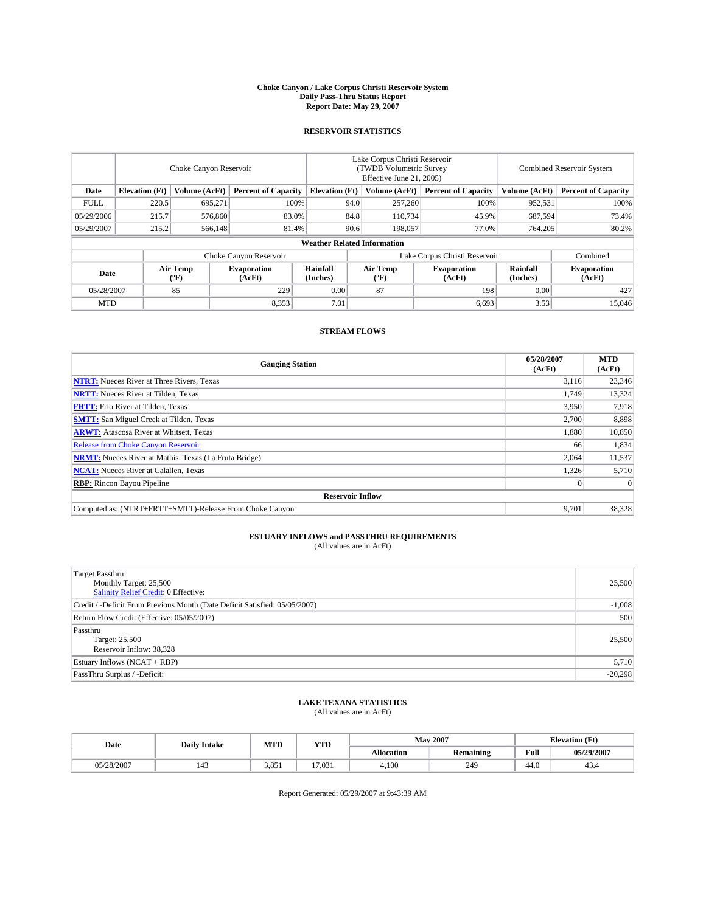#### **Choke Canyon / Lake Corpus Christi Reservoir System Daily Pass-Thru Status Report Report Date: May 29, 2007**

### **RESERVOIR STATISTICS**

|             | Choke Canyon Reservoir             |                  |                              |                       | Lake Corpus Christi Reservoir<br>(TWDB Volumetric Survey<br>Effective June 21, 2005) |                  |                               |                      | Combined Reservoir System    |  |  |
|-------------|------------------------------------|------------------|------------------------------|-----------------------|--------------------------------------------------------------------------------------|------------------|-------------------------------|----------------------|------------------------------|--|--|
| Date        | <b>Elevation</b> (Ft)              | Volume (AcFt)    | <b>Percent of Capacity</b>   | <b>Elevation</b> (Ft) |                                                                                      | Volume (AcFt)    | <b>Percent of Capacity</b>    | Volume (AcFt)        | <b>Percent of Capacity</b>   |  |  |
| <b>FULL</b> | 220.5                              | 695.271          | 100%                         |                       | 94.0                                                                                 | 257,260          | 100%                          | 952,531              | 100%                         |  |  |
| 05/29/2006  | 215.7                              | 576,860          | 83.0%                        |                       | 84.8                                                                                 | 110,734          | 45.9%                         | 687,594              | 73.4%                        |  |  |
| 05/29/2007  | 215.2                              | 566,148          | 81.4%                        |                       | 90.6                                                                                 | 198,057          | 77.0%                         | 764,205              | 80.2%                        |  |  |
|             | <b>Weather Related Information</b> |                  |                              |                       |                                                                                      |                  |                               |                      |                              |  |  |
|             |                                    |                  | Choke Canyon Reservoir       |                       |                                                                                      |                  | Lake Corpus Christi Reservoir |                      | Combined                     |  |  |
| Date        |                                    | Air Temp<br>(°F) | <b>Evaporation</b><br>(AcFt) | Rainfall<br>(Inches)  |                                                                                      | Air Temp<br>("F) | <b>Evaporation</b><br>(AcFt)  | Rainfall<br>(Inches) | <b>Evaporation</b><br>(AcFt) |  |  |
| 05/28/2007  |                                    | 85               | 229                          | 0.00                  |                                                                                      | 87               | 198                           | 0.00                 | 427                          |  |  |
| <b>MTD</b>  |                                    |                  | 8,353                        | 7.01                  |                                                                                      |                  | 6,693                         | 3.53                 | 15,046                       |  |  |

## **STREAM FLOWS**

| <b>Gauging Station</b>                                       | 05/28/2007<br>(AcFt) | <b>MTD</b><br>(AcFt) |
|--------------------------------------------------------------|----------------------|----------------------|
| <b>NTRT:</b> Nueces River at Three Rivers, Texas             | 3,116                | 23,346               |
| <b>NRTT:</b> Nueces River at Tilden, Texas                   | 1.749                | 13,324               |
| <b>FRTT:</b> Frio River at Tilden, Texas                     | 3,950                | 7,918                |
| <b>SMTT:</b> San Miguel Creek at Tilden, Texas               | 2,700                | 8,898                |
| <b>ARWT:</b> Atascosa River at Whitsett, Texas               | 1,880                | 10,850               |
| <b>Release from Choke Canyon Reservoir</b>                   | 66                   | 1,834                |
| <b>NRMT:</b> Nueces River at Mathis, Texas (La Fruta Bridge) | 2,064                | 11,537               |
| <b>NCAT:</b> Nueces River at Calallen, Texas                 | 1,326                | 5,710                |
| <b>RBP:</b> Rincon Bayou Pipeline                            |                      | $\Omega$             |
| <b>Reservoir Inflow</b>                                      |                      |                      |
| Computed as: (NTRT+FRTT+SMTT)-Release From Choke Canyon      | 9.701                | 38,328               |

# **ESTUARY INFLOWS and PASSTHRU REQUIREMENTS**<br>(All values are in AcFt)

| <b>Target Passthru</b><br>Monthly Target: 25,500<br>Salinity Relief Credit: 0 Effective: | 25,500    |
|------------------------------------------------------------------------------------------|-----------|
| Credit / -Deficit From Previous Month (Date Deficit Satisfied: 05/05/2007)               | $-1,008$  |
| Return Flow Credit (Effective: 05/05/2007)                                               | 500       |
| Passthru<br>Target: 25,500<br>Reservoir Inflow: 38,328                                   | 25,500    |
| Estuary Inflows (NCAT + RBP)                                                             | 5,710     |
| PassThru Surplus / -Deficit:                                                             | $-20,298$ |

## **LAKE TEXANA STATISTICS** (All values are in AcFt)

| Date       | <b>Daily Intake</b> | MTD   | <b>YTD</b> |                   | <b>May 2007</b>  |      | <b>Elevation</b> (Ft) |
|------------|---------------------|-------|------------|-------------------|------------------|------|-----------------------|
|            |                     |       |            | <b>Allocation</b> | <b>Remaining</b> | Full | 05/29/2007            |
| 05/28/2007 | $\Lambda$<br>143    | 3,851 | 17,031     | 4.100             | 249              | 44.0 | 43.4                  |

Report Generated: 05/29/2007 at 9:43:39 AM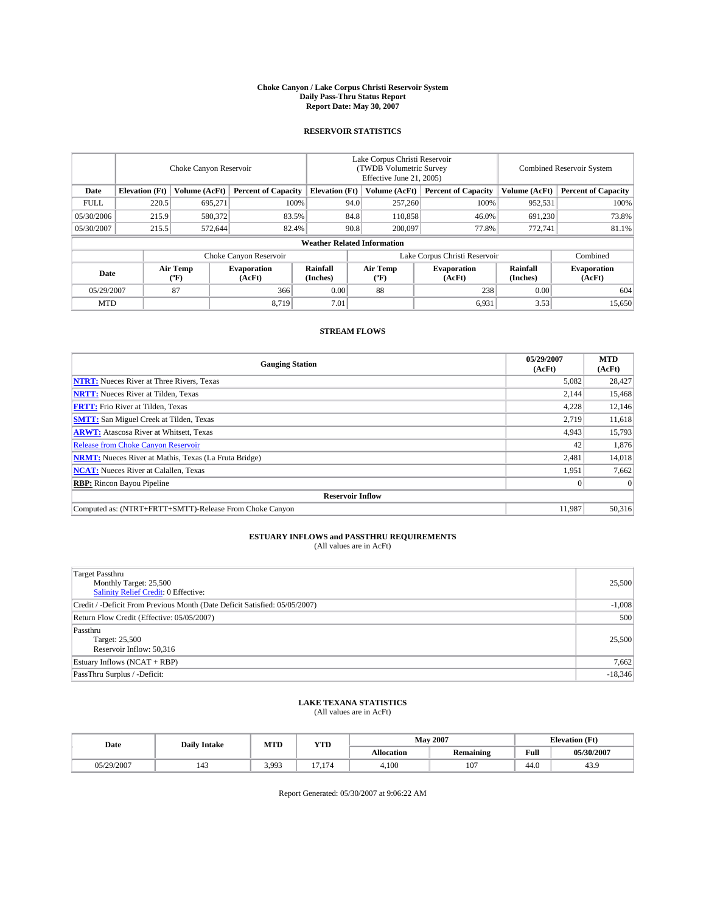#### **Choke Canyon / Lake Corpus Christi Reservoir System Daily Pass-Thru Status Report Report Date: May 30, 2007**

### **RESERVOIR STATISTICS**

|             | Choke Canyon Reservoir             |                  |                              |                       | Lake Corpus Christi Reservoir<br>(TWDB Volumetric Survey<br>Effective June 21, 2005) |                  |                               | Combined Reservoir System |                              |  |
|-------------|------------------------------------|------------------|------------------------------|-----------------------|--------------------------------------------------------------------------------------|------------------|-------------------------------|---------------------------|------------------------------|--|
| Date        | <b>Elevation</b> (Ft)              | Volume (AcFt)    | <b>Percent of Capacity</b>   | <b>Elevation</b> (Ft) |                                                                                      | Volume (AcFt)    | <b>Percent of Capacity</b>    | Volume (AcFt)             | <b>Percent of Capacity</b>   |  |
| <b>FULL</b> | 220.5                              | 695,271          | 100%                         |                       | 94.0                                                                                 | 257,260          | 100%                          | 952,531                   | 100%                         |  |
| 05/30/2006  | 215.9                              | 580,372          | 83.5%                        |                       | 84.8                                                                                 | 110,858          | 46.0%                         | 691,230                   | 73.8%                        |  |
| 05/30/2007  | 215.5                              | 572.644          | 82.4%                        |                       | 90.8                                                                                 | 200,097          | 77.8%                         | 772,741                   | 81.1%                        |  |
|             | <b>Weather Related Information</b> |                  |                              |                       |                                                                                      |                  |                               |                           |                              |  |
|             |                                    |                  | Choke Canyon Reservoir       |                       |                                                                                      |                  | Lake Corpus Christi Reservoir |                           | Combined                     |  |
| Date        |                                    | Air Temp<br>(°F) | <b>Evaporation</b><br>(AcFt) | Rainfall<br>(Inches)  |                                                                                      | Air Temp<br>("F) | <b>Evaporation</b><br>(AcFt)  | Rainfall<br>(Inches)      | <b>Evaporation</b><br>(AcFt) |  |
| 05/29/2007  |                                    | 87               | 366                          | 0.00                  |                                                                                      | 88               | 238                           | 0.00                      | 604                          |  |
| <b>MTD</b>  |                                    |                  | 8,719                        | 7.01                  |                                                                                      |                  | 6,931                         | 3.53                      | 15,650                       |  |

## **STREAM FLOWS**

| <b>Gauging Station</b>                                       | 05/29/2007<br>(AcFt) | <b>MTD</b><br>(AcFt) |
|--------------------------------------------------------------|----------------------|----------------------|
| <b>NTRT:</b> Nueces River at Three Rivers, Texas             | 5,082                | 28,427               |
| <b>NRTT:</b> Nueces River at Tilden, Texas                   | 2,144                | 15,468               |
| <b>FRTT:</b> Frio River at Tilden, Texas                     | 4,228                | 12,146               |
| <b>SMTT:</b> San Miguel Creek at Tilden, Texas               | 2,719                | 11,618               |
| <b>ARWT:</b> Atascosa River at Whitsett, Texas               | 4,943                | 15,793               |
| <b>Release from Choke Canyon Reservoir</b>                   | 42                   | 1,876                |
| <b>NRMT:</b> Nueces River at Mathis, Texas (La Fruta Bridge) | 2,481                | 14,018               |
| <b>NCAT:</b> Nueces River at Calallen, Texas                 | 1,951                | 7,662                |
| <b>RBP:</b> Rincon Bayou Pipeline                            |                      | $\Omega$             |
| <b>Reservoir Inflow</b>                                      |                      |                      |
| Computed as: (NTRT+FRTT+SMTT)-Release From Choke Canyon      | 11.987               | 50.316               |

# **ESTUARY INFLOWS and PASSTHRU REQUIREMENTS**<br>(All values are in AcFt)

| <b>Target Passthru</b><br>Monthly Target: 25,500<br>Salinity Relief Credit: 0 Effective: | 25,500    |
|------------------------------------------------------------------------------------------|-----------|
| Credit / -Deficit From Previous Month (Date Deficit Satisfied: 05/05/2007)               | $-1,008$  |
| Return Flow Credit (Effective: 05/05/2007)                                               | 500       |
| Passthru<br>Target: 25,500<br>Reservoir Inflow: 50,316                                   | 25,500    |
| Estuary Inflows (NCAT + RBP)                                                             | 7,662     |
| PassThru Surplus / -Deficit:                                                             | $-18,346$ |

## **LAKE TEXANA STATISTICS** (All values are in AcFt)

| Date       | <b>Daily Intake</b> | MTD   | <b>YTD</b>                                |            | <b>May 2007</b>  | <b>Elevation</b> (Ft) |            |
|------------|---------------------|-------|-------------------------------------------|------------|------------------|-----------------------|------------|
|            |                     |       |                                           | Allocation | <b>Remaining</b> | Full                  | 05/30/2007 |
| 05/29/2007 | 143                 | 3,993 | $\sim$<br>$\overline{\phantom{0}}$<br>1/4 | 4.100      | 107              | 44.0                  | 43.9       |

Report Generated: 05/30/2007 at 9:06:22 AM